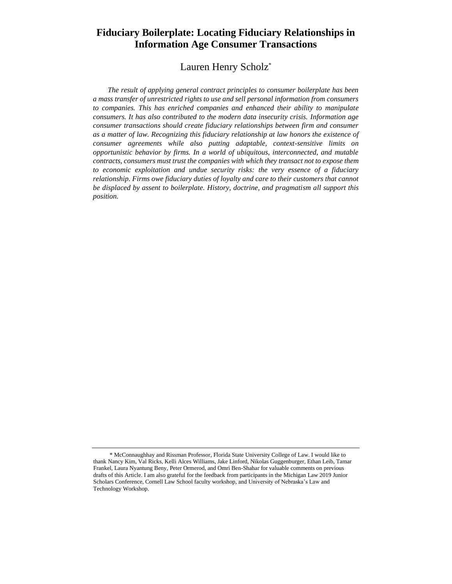# **Fiduciary Boilerplate: Locating Fiduciary Relationships in Information Age Consumer Transactions**

# Lauren Henry Scholz\*

*The result of applying general contract principles to consumer boilerplate has been a mass transfer of unrestricted rights to use and sell personal information from consumers to companies. This has enriched companies and enhanced their ability to manipulate consumers. It has also contributed to the modern data insecurity crisis. Information age consumer transactions should create fiduciary relationships between firm and consumer as a matter of law. Recognizing this fiduciary relationship at law honors the existence of consumer agreements while also putting adaptable, context-sensitive limits on opportunistic behavior by firms. In a world of ubiquitous, interconnected, and mutable contracts, consumers must trust the companies with which they transact not to expose them to economic exploitation and undue security risks: the very essence of a fiduciary relationship. Firms owe fiduciary duties of loyalty and care to their customers that cannot be displaced by assent to boilerplate. History, doctrine, and pragmatism all support this position.*

<sup>\*</sup> McConnaughhay and Rissman Professor, Florida State University College of Law. I would like to thank Nancy Kim, Val Ricks, Kelli Alces Williams, Jake Linford, Nikolas Guggenburger, Ethan Leib, Tamar Frankel, Laura Nyantung Beny, Peter Ormerod, and Omri Ben-Shahar for valuable comments on previous drafts of this Article. I am also grateful for the feedback from participants in the Michigan Law 2019 Junior Scholars Conference, Cornell Law School faculty workshop, and University of Nebraska's Law and Technology Workshop.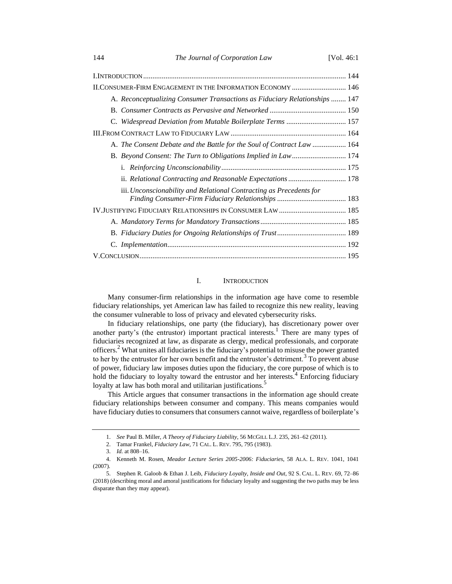| II.CONSUMER-FIRM ENGAGEMENT IN THE INFORMATION ECONOMY  146                |
|----------------------------------------------------------------------------|
| A. Reconceptualizing Consumer Transactions as Fiduciary Relationships  147 |
|                                                                            |
|                                                                            |
|                                                                            |
| A. The Consent Debate and the Battle for the Soul of Contract Law  164     |
|                                                                            |
|                                                                            |
| ii. Relational Contracting and Reasonable Expectations  178                |
| iii. Unconscionability and Relational Contracting as Precedents for        |
|                                                                            |
|                                                                            |
|                                                                            |
|                                                                            |
|                                                                            |

# <span id="page-1-0"></span>I. INTRODUCTION

Many consumer-firm relationships in the information age have come to resemble fiduciary relationships, yet American law has failed to recognize this new reality, leaving the consumer vulnerable to loss of privacy and elevated cybersecurity risks.

<span id="page-1-1"></span>In fiduciary relationships, one party (the fiduciary), has discretionary power over another party's (the entrustor) important practical interests. <sup>1</sup> There are many types of fiduciaries recognized at law, as disparate as clergy, medical professionals, and corporate officers.<sup>2</sup> What unites all fiduciaries is the fiduciary's potential to misuse the power granted to her by the entrustor for her own benefit and the entrustor's detriment.<sup>3</sup> To prevent abuse of power, fiduciary law imposes duties upon the fiduciary, the core purpose of which is to hold the fiduciary to loyalty toward the entrustor and her interests.<sup>4</sup> Enforcing fiduciary loyalty at law has both moral and utilitarian justifications.<sup>5</sup>

This Article argues that consumer transactions in the information age should create fiduciary relationships between consumer and company. This means companies would have fiduciary duties to consumers that consumers cannot waive, regardless of boilerplate's

<sup>1.</sup> *See* Paul B. Miller, *A Theory of Fiduciary Liability*, 56 MCGILL L.J. 235, 261–62 (2011).

<sup>2.</sup> Tamar Frankel, *Fiduciary Law*, 71 CAL. L. REV. 795, 795 (1983).

<sup>3.</sup> *Id.* at 808–16.

<sup>4.</sup> Kenneth M. Rosen, *Meador Lecture Series 2005-2006: Fiduciaries*, 58 ALA. L. REV. 1041, 1041 (2007).

<sup>5.</sup> Stephen R. Galoob & Ethan J. Leib, *Fiduciary Loyalty, Inside and Out*, 92 S. CAL. L. REV. 69, 72–86 (2018) (describing moral and amoral justifications for fiduciary loyalty and suggesting the two paths may be less disparate than they may appear).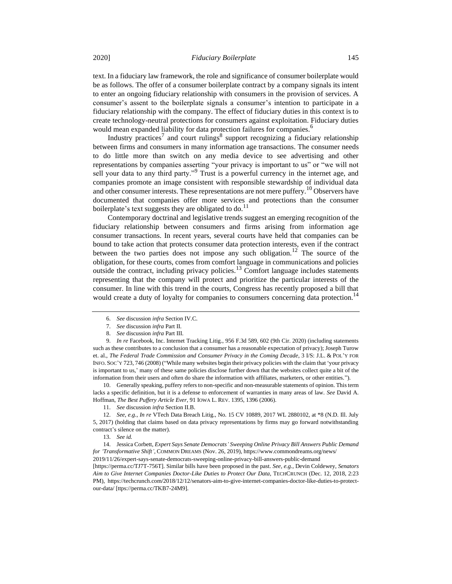text. In a fiduciary law framework, the role and significance of consumer boilerplate would be as follows. The offer of a consumer boilerplate contract by a company signals its intent to enter an ongoing fiduciary relationship with consumers in the provision of services. A consumer's assent to the boilerplate signals a consumer's intention to participate in a fiduciary relationship with the company. The effect of fiduciary duties in this context is to create technology-neutral protections for consumers against exploitation. Fiduciary duties would mean expanded liability for data protection failures for companies.<sup>6</sup>

Industry practices<sup>7</sup> and court rulings<sup>8</sup> support recognizing a fiduciary relationship between firms and consumers in many information age transactions. The consumer needs to do little more than switch on any media device to see advertising and other representations by companies asserting "your privacy is important to us" or "we will not sell your data to any third party."<sup>9</sup> Trust is a powerful currency in the internet age, and companies promote an image consistent with responsible stewardship of individual data and other consumer interests. These representations are not mere puffery.<sup>10</sup> Observers have documented that companies offer more services and protections than the consumer boilerplate's text suggests they are obligated to do. $^{11}$ 

Contemporary doctrinal and legislative trends suggest an emerging recognition of the fiduciary relationship between consumers and firms arising from information age consumer transactions. In recent years, several courts have held that companies can be bound to take action that protects consumer data protection interests, even if the contract between the two parties does not impose any such obligation.<sup>12</sup> The source of the obligation, for these courts, comes from comfort language in communications and policies outside the contract, including privacy policies.<sup>13</sup> Comfort language includes statements representing that the company will protect and prioritize the particular interests of the consumer. In line with this trend in the courts, Congress has recently proposed a bill that would create a duty of loyalty for companies to consumers concerning data protection.<sup>14</sup>

9. *In re* Facebook, Inc. Internet Tracking Litig., 956 F.3d 589, 602 (9th Cir. 2020) (including statements such as these contributes to a conclusion that a consumer has a reasonable expectation of privacy); Joseph Turow et. al., *The Federal Trade Commission and Consumer Privacy in the Coming Decade*, 3 I/S: J.L. & POL'Y FOR INFO. SOC'Y 723, 746 (2008) ("While many websites begin their privacy policies with the claim that 'your privacy is important to us,' many of these same policies disclose further down that the websites collect quite a bit of the information from their users and often do share the information with affiliates, marketers, or other entities.").

10. Generally speaking, puffery refers to non-specific and non-measurable statements of opinion. This term lacks a specific definition, but it is a defense to enforcement of warranties in many areas of law. *See* David A. Hoffman, *The Best Puffery Article Ever*, 91 IOWA L. REV. 1395, 1396 (2006).

11. *See* discussion *infra* Section II.B.

12. *See, e.g.*, *In re* VTech Data Breach Litig., No. 15 CV 10889, 2017 WL 2880102, at \*8 (N.D. Ill. July 5, 2017) (holding that claims based on data privacy representations by firms may go forward notwithstanding contract's silence on the matter).

14. Jessica Corbett, *Expert Says Senate Democrats' Sweeping Online Privacy Bill Answers Public Demand for 'Transformative Shift'*, COMMON DREAMS (Nov. 26, 2019), https://www.commondreams.org/news/ 2019/11/26/expert-says-senate-democrats-sweeping-online-privacy-bill-answers-public-demand

[https://perma.cc/TJ7T-756T]. Similar bills have been proposed in the past. *See, e.g.*, Devin Coldewey, *Senators Aim to Give Internet Companies Doctor-Like Duties to Protect Our Data*, TECHCRUNCH (Dec. 12, 2018, 2:23 PM), https://techcrunch.com/2018/12/12/senators-aim-to-give-internet-companies-doctor-like-duties-to-protectour-data/ [ttps://perma.cc/TKB7-24M9].

<sup>6.</sup> *See* discussion *infra* Section IV.C.

<sup>7.</sup> *See* discussion *infra* Part II.

<sup>8.</sup> *See* discussion *infra* Part III.

<sup>13.</sup> *See id.*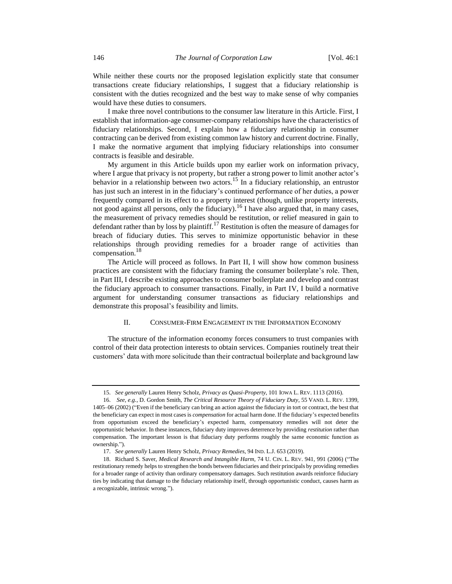While neither these courts nor the proposed legislation explicitly state that consumer transactions create fiduciary relationships, I suggest that a fiduciary relationship is consistent with the duties recognized and the best way to make sense of why companies would have these duties to consumers.

I make three novel contributions to the consumer law literature in this Article. First, I establish that information-age consumer-company relationships have the characteristics of fiduciary relationships. Second, I explain how a fiduciary relationship in consumer contracting can be derived from existing common law history and current doctrine. Finally, I make the normative argument that implying fiduciary relationships into consumer contracts is feasible and desirable.

<span id="page-3-1"></span><span id="page-3-0"></span>My argument in this Article builds upon my earlier work on information privacy, where I argue that privacy is not property, but rather a strong power to limit another actor's behavior in a relationship between two actors.<sup>15</sup> In a fiduciary relationship, an entrustor has just such an interest in in the fiduciary's continued performance of her duties, a power frequently compared in its effect to a property interest (though, unlike property interests, not good against all persons, only the fiduciary).<sup>16</sup> I have also argued that, in many cases, the measurement of privacy remedies should be restitution, or relief measured in gain to defendant rather than by loss by plaintiff.<sup>17</sup> Restitution is often the measure of damages for breach of fiduciary duties. This serves to minimize opportunistic behavior in these relationships through providing remedies for a broader range of activities than compensation.<sup>18</sup>

The Article will proceed as follows. In Part II, I will show how common business practices are consistent with the fiduciary framing the consumer boilerplate's role. Then, in Part III, I describe existing approaches to consumer boilerplate and develop and contrast the fiduciary approach to consumer transactions. Finally, in Part IV, I build a normative argument for understanding consumer transactions as fiduciary relationships and demonstrate this proposal's feasibility and limits.

#### II. CONSUMER-FIRM ENGAGEMENT IN THE INFORMATION ECONOMY

The structure of the information economy forces consumers to trust companies with control of their data protection interests to obtain services. Companies routinely treat their customers' data with more solicitude than their contractual boilerplate and background law

<sup>15.</sup> *See generally* Lauren Henry Scholz, *Privacy as Quasi-Property*, 101 IOWA L. REV. 1113 (2016).

<sup>16.</sup> *See, e.g.*, D. Gordon Smith, *The Critical Resource Theory of Fiduciary Duty*, 55 VAND. L. REV. 1399, 1405–06 (2002) ("Even if the beneficiary can bring an action against the fiduciary in tort or contract, the best that the beneficiary can expect in most cases is *compensation* for actual harm done. If the fiduciary's expected benefits from opportunism exceed the beneficiary's expected harm, compensatory remedies will not deter the opportunistic behavior. In these instances, fiduciary duty improves deterrence by providing *restitution* rather than compensation. The important lesson is that fiduciary duty performs roughly the same economic function as ownership.").

<sup>17.</sup> *See generally* Lauren Henry Scholz, *Privacy Remedies*, 94 IND. L.J. 653 (2019).

<sup>18.</sup> Richard S. Saver, *Medical Research and Intangible Harm*, 74 U. CIN. L. REV. 941, 991 (2006) ("The restitutionary remedy helps to strengthen the bonds between fiduciaries and their principals by providing remedies for a broader range of activity than ordinary compensatory damages. Such restitution awards reinforce fiduciary ties by indicating that damage to the fiduciary relationship itself, through opportunistic conduct, causes harm as a recognizable, intrinsic wrong.").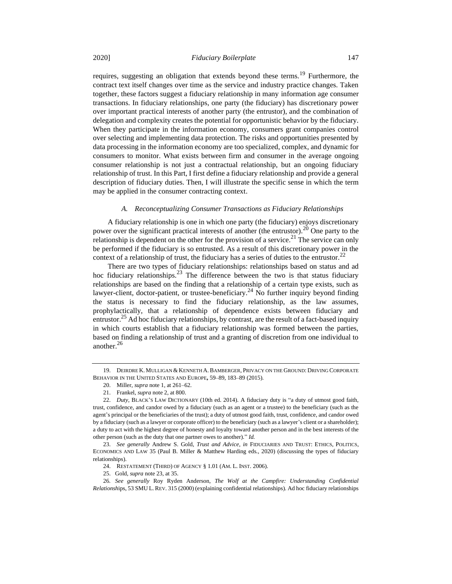requires, suggesting an obligation that extends beyond these terms.<sup>19</sup> Furthermore, the contract text itself changes over time as the service and industry practice changes. Taken together, these factors suggest a fiduciary relationship in many information age consumer transactions. In fiduciary relationships, one party (the fiduciary) has discretionary power over important practical interests of another party (the entrustor), and the combination of delegation and complexity creates the potential for opportunistic behavior by the fiduciary. When they participate in the information economy, consumers grant companies control over selecting and implementing data protection. The risks and opportunities presented by data processing in the information economy are too specialized, complex, and dynamic for consumers to monitor. What exists between firm and consumer in the average ongoing consumer relationship is not just a contractual relationship, but an ongoing fiduciary relationship of trust. In this Part, I first define a fiduciary relationship and provide a general description of fiduciary duties. Then, I will illustrate the specific sense in which the term may be applied in the consumer contracting context.

#### *A. Reconceptualizing Consumer Transactions as Fiduciary Relationships*

A fiduciary relationship is one in which one party (the fiduciary) enjoys discretionary power over the significant practical interests of another (the entrustor).<sup>20</sup> One party to the relationship is dependent on the other for the provision of a service.<sup>21</sup> The service can only be performed if the fiduciary is so entrusted. As a result of this discretionary power in the context of a relationship of trust, the fiduciary has a series of duties to the entrustor.<sup>22</sup>

<span id="page-4-0"></span>There are two types of fiduciary relationships: relationships based on status and ad hoc fiduciary relationships.<sup>23</sup> The difference between the two is that status fiduciary relationships are based on the finding that a relationship of a certain type exists, such as lawyer-client, doctor-patient, or trustee-beneficiary.<sup>24</sup> No further inquiry beyond finding the status is necessary to find the fiduciary relationship, as the law assumes, prophylactically, that a relationship of dependence exists between fiduciary and entrustor.<sup>25</sup> Ad hoc fiduciary relationships, by contrast, are the result of a fact-based inquiry in which courts establish that a fiduciary relationship was formed between the parties, based on finding a relationship of trust and a granting of discretion from one individual to another. $26$ 

<sup>19.</sup> DEIRDRE K.MULLIGAN & KENNETH A. BAMBERGER, PRIVACY ON THE GROUND: DRIVING CORPORATE BEHAVIOR IN THE UNITED STATES AND EUROPE**,** 59–89, 183–89 (2015).

<sup>20.</sup> Miller, *supra* not[e 1,](#page-1-0) at 261–62.

<sup>21.</sup> Frankel, *supra* not[e 2,](#page-1-1) at 800.

<sup>22.</sup> *Duty*, BLACK'S LAW DICTIONARY (10th ed. 2014). A fiduciary duty is "a duty of utmost good faith, trust, confidence, and candor owed by a fiduciary (such as an agent or a trustee) to the beneficiary (such as the agent's principal or the beneficiaries of the trust); a duty of utmost good faith, trust, confidence, and candor owed by a fiduciary (such as a lawyer or corporate officer) to the beneficiary (such as a lawyer's client or a shareholder); a duty to act with the highest degree of honesty and loyalty toward another person and in the best interests of the other person (such as the duty that one partner owes to another)." *Id.*

<sup>23.</sup> *See generally* Andrew S. Gold, *Trust and Advice*, *in* FIDUCIARIES AND TRUST: ETHICS, POLITICS, ECONOMICS AND LAW 35 (Paul B. Miller & Matthew Harding eds., 2020) (discussing the types of fiduciary relationships).

<sup>24.</sup> RESTATEMENT (THIRD) OF AGENCY § 1.01 (AM. L. INST. 2006).

<sup>25.</sup> Gold, *supra* not[e 23,](#page-4-0) at 35.

<sup>26</sup>*. See generally* Roy Ryden Anderson, *The Wolf at the Campfire: Understanding Confidential Relationsh*ips, 53 SMU L. REV. 315 (2000) (explaining confidential relationships). Ad hoc fiduciary relationships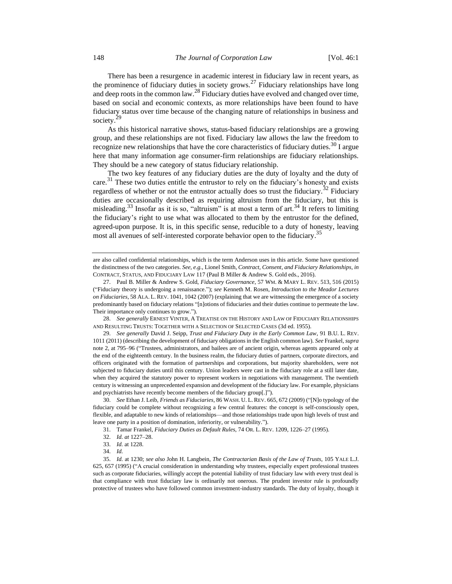There has been a resurgence in academic interest in fiduciary law in recent years, as the prominence of fiduciary duties in society grows.<sup>27</sup> Fiduciary relationships have long and deep roots in the common law.<sup>28</sup> Fiduciary duties have evolved and changed over time, based on social and economic contexts, as more relationships have been found to have fiduciary status over time because of the changing nature of relationships in business and society.<sup>29</sup>

<span id="page-5-1"></span>As this historical narrative shows, status-based fiduciary relationships are a growing group, and these relationships are not fixed. Fiduciary law allows the law the freedom to recognize new relationships that have the core characteristics of fiduciary duties.<sup>30</sup> I argue here that many information age consumer-firm relationships are fiduciary relationships. They should be a new category of status fiduciary relationship.

<span id="page-5-0"></span>The two key features of any fiduciary duties are the duty of loyalty and the duty of care. $31$  These two duties entitle the entrustor to rely on the fiduciary's honesty and exists regardless of whether or not the entrustor actually does so trust the fiduciary.<sup>32</sup> Fiduciary duties are occasionally described as requiring altruism from the fiduciary, but this is misleading.<sup>33</sup> Insofar as it is so, "altruism" is at most a term of art.<sup>34</sup> It refers to limiting the fiduciary's right to use what was allocated to them by the entrustor for the defined, agreed-upon purpose. It is, in this specific sense, reducible to a duty of honesty, leaving most all avenues of self-interested corporate behavior open to the fiduciary.<sup>35</sup>

28. *See generally* ERNEST VINTER, A TREATISE ON THE HISTORY AND LAW OF FIDUCIARY RELATIONSHIPS AND RESULTING TRUSTS: TOGETHER WITH A SELECTION OF SELECTED CASES (3d ed. 1955).

29. *See generally* David J. Seipp, *Trust and Fiduciary Duty in the Early Common Law*, 91 B.U. L. REV. 1011 (2011) (describing the development of fiduciary obligations in the English common law). *See* Frankel, *supra* note [2,](#page-1-1) at 795–96 ("Trustees, administrators, and bailees are of ancient origin, whereas agents appeared only at the end of the eighteenth century. In the business realm, the fiduciary duties of partners, corporate directors, and officers originated with the formation of partnerships and corporations, but majority shareholders, were not subjected to fiduciary duties until this century. Union leaders were cast in the fiduciary role at a still later date, when they acquired the statutory power to represent workers in negotiations with management. The twentieth century is witnessing an unprecedented expansion and development of the fiduciary law. For example, physicians and psychiatrists have recently become members of the fiduciary group[.]").

30. *See* Ethan J. Leib, *Friends as Fiduciaries*, 86 WASH. U. L. REV. 665, 672 (2009) ("[N]o typology of the fiduciary could be complete without recognizing a few central features: the concept is self-consciously open, flexible, and adaptable to new kinds of relationships—and those relationships trade upon high levels of trust and leave one party in a position of domination, inferiority, or vulnerability.").

31. Tamar Frankel, *Fiduciary Duties as Default Rules*, 74 OR. L. REV. 1209, 1226–27 (1995).

- 32. *Id. at* 1227–28.
- 33. *Id.* at 1228.

34. *Id.*

35. *Id.* at 1230; *see also* John H. Langbein, *The Contractarian Basis of the Law of Trusts*, 105 YALE L.J. 625, 657 (1995) ("A crucial consideration in understanding why trustees, especially expert professional trustees such as corporate fiduciaries, willingly accept the potential liability of trust fiduciary law with every trust deal is that compliance with trust fiduciary law is ordinarily not onerous. The prudent investor rule is profoundly protective of trustees who have followed common investment-industry standards. The duty of loyalty, though it

are also called confidential relationships, which is the term Anderson uses in this article. Some have questioned the distinctness of the two categories. *See, e.g.*, Lionel Smith, *Contract, Consent, and Fiduciary Relationships*, *in* CONTRACT, STATUS, AND FIDUCIARY LAW 117 (Paul B Miller & Andrew S. Gold eds., 2016).

<sup>27.</sup> Paul B. Miller & Andrew S. Gold, *Fiduciary Governance*, 57 WM. & MARY L. REV. 513, 516 (2015) ("Fiduciary theory is undergoing a renaissance."); *see* Kenneth M. Rosen, *Introduction to the Meador Lectures on Fiduciaries*, 58 ALA. L. REV. 1041, 1042 (2007) (explaining that we are witnessing the emergence of a society predominantly based on fiduciary relations "[n]otions of fiduciaries and their duties continue to permeate the law. Their importance only continues to grow.").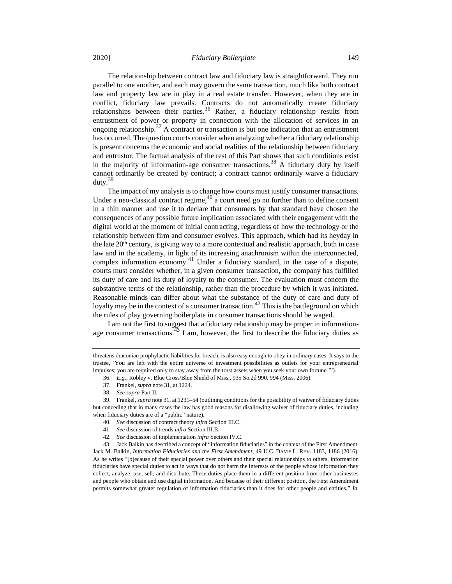The relationship between contract law and fiduciary law is straightforward. They run parallel to one another, and each may govern the same transaction, much like both contract law and property law are in play in a real estate transfer. However, when they are in conflict, fiduciary law prevails. Contracts do not automatically create fiduciary relationships between their parties.<sup>36</sup> Rather, a fiduciary relationship results from entrustment of power or property in connection with the allocation of services in an ongoing relationship.<sup>37</sup> A contract or transaction is but one indication that an entrustment has occurred. The question courts consider when analyzing whether a fiduciary relationship is present concerns the economic and social realities of the relationship between fiduciary and entrustor. The factual analysis of the rest of this Part shows that such conditions exist in the majority of information-age consumer transactions.<sup>38</sup> A fiduciary duty by itself cannot ordinarily be created by contract; a contract cannot ordinarily waive a fiduciary duty.<sup>39</sup>

The impact of my analysis is to change how courts must justify consumer transactions. Under a neo-classical contract regime, $40\overline{a}$  court need go no further than to define consent in a thin manner and use it to declare that consumers by that standard have chosen the consequences of any possible future implication associated with their engagement with the digital world at the moment of initial contracting, regardless of how the technology or the relationship between firm and consumer evolves. This approach, which had its heyday in the late  $20<sup>th</sup>$  century, is giving way to a more contextual and realistic approach, both in case law and in the academy, in light of its increasing anachronism within the interconnected, complex information economy.<sup>41</sup> Under a fiduciary standard, in the case of a dispute, courts must consider whether, in a given consumer transaction, the company has fulfilled its duty of care and its duty of loyalty to the consumer. The evaluation must concern the substantive terms of the relationship, rather than the procedure by which it was initiated. Reasonable minds can differ about what the substance of the duty of care and duty of loyalty may be in the context of a consumer transaction.<sup>42</sup> This is the battleground on which the rules of play governing boilerplate in consumer transactions should be waged.

I am not the first to suggest that a fiduciary relationship may be proper in informationage consumer transactions.<sup> $43$ </sup> I am, however, the first to describe the fiduciary duties as

43. Jack Balkin has described a concept of "information fiduciaries" in the context of the First Amendment. Jack M. Balkin, *Information Fiduciaries and the First Amendment*, 49 U.C. DAVIS L. REV. 1183, 1186 (2016). As he writes "[b]ecause of their special power over others and their special relationships to others, information fiduciaries have special duties to act in ways that do not harm the interests of the people whose information they collect, analyze, use, sell, and distribute. These duties place them in a different position from other businesses and people who obtain and use digital information. And because of their different position, the First Amendment permits somewhat greater regulation of information fiduciaries than it does for other people and entities." *Id.* 

threatens draconian prophylactic liabilities for breach, is also easy enough to obey in ordinary cases. It says to the trustee, 'You are left with the entire universe of investment possibilities as outlets for your entrepreneurial impulses; you are required only to stay away from the trust assets when you seek your own fortune.'").

<sup>36.</sup> *E.g.*, Robley v. Blue Cross/Blue Shield of Miss., 935 So.2d 990, 994 (Miss. 2006).

<sup>37.</sup> Frankel, *supra* not[e 31,](#page-5-0) at 1224.

<sup>38.</sup> *See supra* Part II.

<sup>39.</sup> Frankel, *supra* not[e 31,](#page-5-0) at 1231–54 (outlining conditions for the possibility of waiver of fiduciary duties but conceding that in many cases the law has good reasons for disallowing waiver of fiduciary duties, including when fiduciary duties are of a "public" nature).

<sup>40.</sup> *See* discussion of contract theory *infra* Section III.C.

<sup>41.</sup> *See* discussion of trends *infra* Section III.B.

<sup>42.</sup> *See* discussion of implementation *infra* Section IV.C.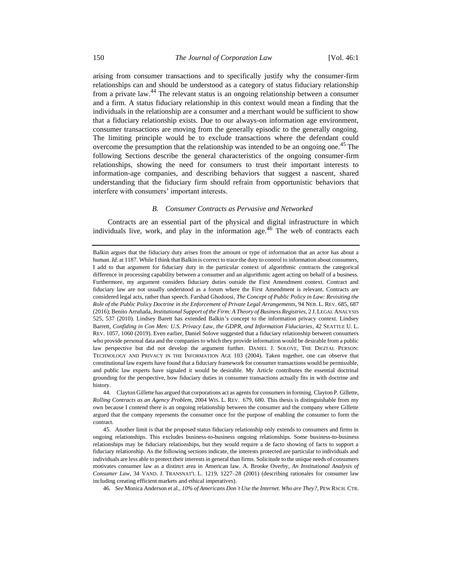<span id="page-7-1"></span>arising from consumer transactions and to specifically justify why the consumer-firm relationships can and should be understood as a category of status fiduciary relationship from a private law.<sup>44</sup> The relevant status is an ongoing relationship between a consumer and a firm. A status fiduciary relationship in this context would mean a finding that the individuals in the relationship are a consumer and a merchant would be sufficient to show that a fiduciary relationship exists. Due to our always-on information age environment, consumer transactions are moving from the generally episodic to the generally ongoing. The limiting principle would be to exclude transactions where the defendant could overcome the presumption that the relationship was intended to be an ongoing one.<sup>45</sup> The following Sections describe the general characteristics of the ongoing consumer-firm relationships, showing the need for consumers to trust their important interests to information-age companies, and describing behaviors that suggest a nascent, shared understanding that the fiduciary firm should refrain from opportunistic behaviors that interfere with consumers' important interests.

## <span id="page-7-0"></span>*B. Consumer Contracts as Pervasive and Networked*

Contracts are an essential part of the physical and digital infrastructure in which individuals live, work, and play in the information age.<sup>46</sup> The web of contracts each

Balkin argues that the fiduciary duty arises from the amount or type of information that an actor has about a human. *Id.* at 1187. While I think that Balkin is correct to trace the duty to control to information about consumers, I add to that argument for fiduciary duty in the particular context of algorithmic contracts the categorical difference in processing capability between a consumer and an algorithmic agent acting on behalf of a business. Furthermore, my argument considers fiduciary duties outside the First Amendment context. Contract and fiduciary law are not usually understood as a forum where the First Amendment is relevant. Contracts are considered legal acts, rather than speech. Farshad Ghodoosi, *The Concept of Public Policy in Law: Revisiting the Role of the Public Policy Doctrine in the Enforcement of Private Legal Arrangements*, 94 NEB. L. REV. 685, 687 (2016); Benito Arruñada, *Institutional Support of the Firm: A Theory of Business Registries*, 2 J. LEGAL ANALYSIS 525, 537 (2010). Lindsey Barett has extended Balkin's concept to the information privacy context. Lindsey Barrett, *Confiding in Con Men: U.S. Privacy Law, the GDPR, and Information Fiduciaries*, 42 SEATTLE U. L. REV. 1057, 1060 (2019). Even earlier, Daniel Solove suggested that a fiduciary relationship between consumers who provide personal data and the companies to which they provide information would be desirable from a public law perspective but did not develop the argument further. DANIEL J. SOLOVE, THE DIGITAL PERSON: TECHNOLOGY AND PRIVACY IN THE INFORMATION AGE 103 (2004). Taken together, one can observe that constitutional law experts have found that a fiduciary framework for consumer transactions would be permissible, and public law experts have signaled it would be desirable. My Article contributes the essential doctrinal grounding for the perspective, how fiduciary duties in consumer transactions actually fits in with doctrine and history.

44. Clayton Gillette has argued that corporations act as agents for consumers in forming. Clayton P. Gillette, *Rolling Contracts as an Agency Problem*, 2004 WIS. L. REV. 679, 680. This thesis is distinguishable from my own because I contend there is an ongoing relationship between the consumer and the company where Gillette argued that the company represents the consumer once for the purpose of enabling the consumer to form the contract.

45. Another limit is that the proposed status fiduciary relationship only extends to consumers and firms in ongoing relationships. This excludes business-to-business ongoing relationships. Some business-to-business relationships may be fiduciary relationships, but they would require a de facto showing of facts to support a fiduciary relationship. As the following sections indicate, the interests protected are particular to individuals and individuals are less able to protect their interests in general than firms. Solicitude to the unique needs of consumers motivates consumer law as a distinct area in American law. A. Brooke Overby, *An Institutional Analysis of Consumer Law*, 34 VAND. J. TRANSNAT'L L. 1219, 1227–28 (2001) (describing rationales for consumer law including creating efficient markets and ethical imperatives).

46*. See* Monica Anderson et al., *10% of Americans Don't Use the Internet. Who are They?*, PEW RSCH. CTR.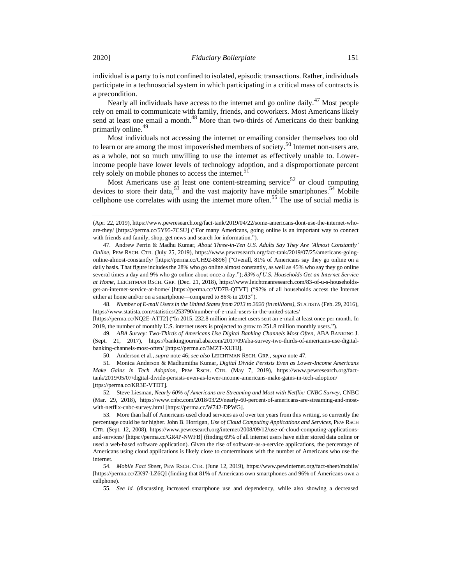individual is a party to is not confined to isolated, episodic transactions. Rather, individuals participate in a technosocial system in which participating in a critical mass of contracts is a precondition.

<span id="page-8-0"></span>Nearly all individuals have access to the internet and go online daily.<sup>47</sup> Most people rely on email to communicate with family, friends, and coworkers. Most Americans likely send at least one email a month.<sup>48</sup> More than two-thirds of Americans do their banking primarily online.<sup>49</sup>

Most individuals not accessing the internet or emailing consider themselves too old to learn or are among the most impoverished members of society.<sup>50</sup> Internet non-users are, as a whole, not so much unwilling to use the internet as effectively unable to. Lowerincome people have lower levels of technology adoption, and a disproportionate percent rely solely on mobile phones to access the internet.<sup>51</sup>

Most Americans use at least one content-streaming service<sup>52</sup> or cloud computing devices to store their data,<sup>53</sup> and the vast majority have mobile smartphones.<sup>54</sup> Mobile cellphone use correlates with using the internet more often.<sup>55</sup> The use of social media is

48. *Number of E-mail Users in the United States from 2013 to 2020 (in millions)*, STATISTA (Feb. 29, 2016), https://www.statista.com/statistics/253790/number-of-e-mail-users-in-the-united-states/ [https://perma.cc/NQ2E-ATT2] ("In 2015, 232.8 million internet users sent an e-mail at least once per month. In

2019, the number of monthly U.S. internet users is projected to grow to 251.8 million monthly users.").

49. *ABA Survey: Two-Thirds of Americans Use Digital Banking Channels Most Often*, ABA BANKING J. (Sept. 21, 2017), https://bankingjournal.aba.com/2017/09/aba-survey-two-thirds-of-americans-use-digitalbanking-channels-most-often/ [https://perma.cc/3MZT-XUHJ].

50. Anderson et al., *supra* not[e 46;](#page-7-0) *see also* LEICHTMAN RSCH. GRP., *supra* not[e 47.](#page-8-0) 

51. Monica Anderson & Madhumitha Kumar**,** *Digital Divide Persists Even as Lower-Income Americans Make Gains in Tech Adoption*, PEW RSCH. CTR. (May 7, 2019), https://www.pewresearch.org/facttank/2019/05/07/digital-divide-persists-even-as-lower-income-americans-make-gains-in-tech-adoption/ [ttps://perma.cc/KR3E-VTDT].

52. Steve Liesman, *Nearly 60% of Americans are Streaming and Most with Netflix: CNBC Survey*, CNBC (Mar. 29, 2018), https://www.cnbc.com/2018/03/29/nearly-60-percent-of-americans-are-streaming-and-mostwith-netflix-cnbc-survey.html [https://perma.cc/W742-DPWG].

53. More than half of Americans used cloud services as of over ten years from this writing, so currently the percentage could be far higher. John B. Horrigan, *Use of Cloud Computing Applications and Services*, PEW RSCH CTR. (Sept. 12, 2008), https://www.pewresearch.org/internet/2008/09/12/use-of-cloud-computing-applicationsand-services/ [https://perma.cc/GR4P-NWFB] (finding 69% of all internet users have either stored data online or used a web-based software application). Given the rise of software-as-a-service applications, the percentage of Americans using cloud applications is likely close to conterminous with the number of Americans who use the internet.

54. *Mobile Fact Sheet*, PEW RSCH. CTR. (June 12, 2019), https://www.pewinternet.org/fact-sheet/mobile/ [https://perma.cc/ZK97-LZ6Q] (finding that 81% of Americans own smartphones and 96% of Americans own a cellphone).

55. *See id.* (discussing increased smartphone use and dependency, while also showing a decreased

<sup>(</sup>Apr. 22, 2019), https://www.pewresearch.org/fact-tank/2019/04/22/some-americans-dont-use-the-internet-whoare-they/ [https://perma.cc/5Y95-7CSU] ("For many Americans, going online is an important way to connect with friends and family, shop, get news and search for information.").

<sup>47.</sup> Andrew Perrin & Madhu Kumar, *About Three-in-Ten U.S. Adults Say They Are 'Almost Constantly' Online*, PEW RSCH. CTR. (July 25, 2019), https://www.pewresearch.org/fact-tank/2019/07/25/americans-goingonline-almost-constantly/ [https://perma.cc/CH92-8896] ("Overall, 81% of Americans say they go online on a daily basis. That figure includes the 28% who go online almost constantly, as well as 45% who say they go online several times a day and 9% who go online about once a day."); *83% of U.S. Households Get an Internet Service at Home*, LEICHTMAN RSCH. GRP. (Dec. 21, 2018), https://www.leichtmanresearch.com/83-of-u-s-householdsget-an-internet-service-at-home/ [https://perma.cc/VD7B-QTVT] ("92% of all households access the Internet either at home and/or on a smartphone—compared to 86% in 2013").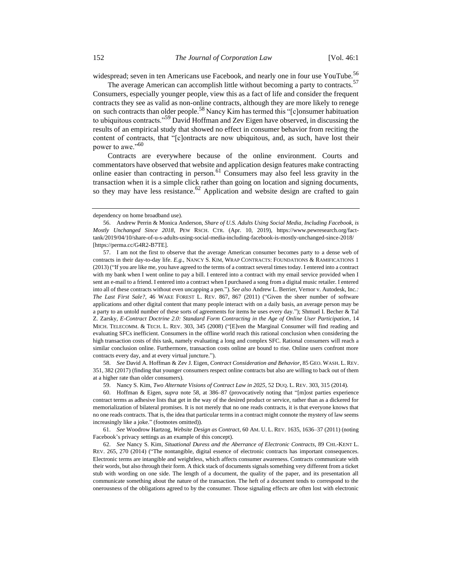<span id="page-9-2"></span>widespread; seven in ten Americans use Facebook, and nearly one in four use YouTube.<sup>56</sup> The average American can accomplish little without becoming a party to contracts.<sup>57</sup>

<span id="page-9-0"></span>Consumers, especially younger people, view this as a fact of life and consider the frequent contracts they see as valid as non-online contracts, although they are more likely to renege on such contracts than older people. <sup>58</sup> Nancy Kim has termed this "[c]onsumer habituation to ubiquitous contracts."<sup>59</sup> David Hoffman and Zev Eigen have observed, in discussing the results of an empirical study that showed no effect in consumer behavior from reciting the content of contracts, that "[c]ontracts are now ubiquitous, and, as such, have lost their power to awe."<sup>60</sup>

<span id="page-9-1"></span>Contracts are everywhere because of the online environment. Courts and commentators have observed that website and application design features make contracting online easier than contracting in person.<sup>61</sup> Consumers may also feel less gravity in the transaction when it is a simple click rather than going on location and signing documents, so they may have less resistance.<sup>62</sup> Application and website design are crafted to gain

58. *See* David A. Hoffman & Zev J. Eigen, *Contract Consideration and Behavior*, 85 GEO. WASH. L. REV. 351, 382 (2017) (finding that younger consumers respect online contracts but also are willing to back out of them at a higher rate than older consumers).

59. Nancy S. Kim, *Two Alternate Visions of Contract Law in 2025*, 52 DUQ. L. REV. 303, 315 (2014).

60. Hoffman & Eigen, *supra* note [58,](#page-9-0) at 386–87 (provocatively noting that "[m]ost parties experience contract terms as adhesive lists that get in the way of the desired product or service, rather than as a dickered for memorialization of bilateral promises. It is not merely that no one reads contracts, it is that everyone knows that no one reads contracts. That is, the idea that particular terms in a contract might connote the mystery of law seems increasingly like a joke." (footnotes omitted)).

61. *See* Woodrow Hartzog, *Website Design as Contract*, 60 AM. U. L. REV. 1635, 1636–37 (2011) (noting Facebook's privacy settings as an example of this concept).

62. *See* Nancy S. Kim, *Situational Duress and the Aberrance of Electronic Contracts*, 89 CHI.-KENT L. REV. 265, 270 (2014) ("The nontangible, digital essence of electronic contracts has important consequences. Electronic terms are intangible and weightless, which affects consumer awareness. Contracts communicate with their words, but also through their form. A thick stack of documents signals something very different from a ticket stub with wording on one side. The length of a document, the quality of the paper, and its presentation all communicate something about the nature of the transaction. The heft of a document tends to correspond to the onerousness of the obligations agreed to by the consumer. Those signaling effects are often lost with electronic

<span id="page-9-3"></span>dependency on home broadband use).

<sup>56.</sup> Andrew Perrin & Monica Anderson, *Share of U.S. Adults Using Social Media, Including Facebook, is Mostly Unchanged Since 2018*, PEW RSCH. CTR. (Apr. 10, 2019), https://www.pewresearch.org/facttank/2019/04/10/share-of-u-s-adults-using-social-media-including-facebook-is-mostly-unchanged-since-2018/ [https://perma.cc/G4R2-B7TE].

<sup>57.</sup> I am not the first to observe that the average American consumer becomes party to a dense web of contracts in their day-to-day life. *E.g.*, NANCY S. KIM, WRAP CONTRACTS: FOUNDATIONS & RAMIFICATIONS 1 (2013) ("If you are like me, you have agreed to the terms of a contract several times today. I entered into a contract with my bank when I went online to pay a bill. I entered into a contract with my email service provided when I sent an e-mail to a friend. I entered into a contract when I purchased a song from a digital music retailer. I entered into all of these contracts without even uncapping a pen."). *See also* Andrew L. Berrier, Vernor v. Autodesk, Inc.*: The Last First Sale?*, 46 WAKE FOREST L. REV. 867, 867 (2011) ("Given the sheer number of software applications and other digital content that many people interact with on a daily basis, an average person may be a party to an untold number of these sorts of agreements for items he uses every day."); Shmuel I. Becher & Tal Z. Zarsky, *E-Contract Doctrine 2.0: Standard Form Contracting in the Age of Online User Participation*, 14 MICH. TELECOMM. & TECH. L. REV. 303, 345 (2008) ("[E]ven the Marginal Consumer will find reading and evaluating SFCs inefficient. Consumers in the offline world reach this rational conclusion when considering the high transaction costs of this task, namely evaluating a long and complex SFC. Rational consumers will reach a similar conclusion online. Furthermore, transaction costs online are bound to rise. Online users confront more contracts every day, and at every virtual juncture.").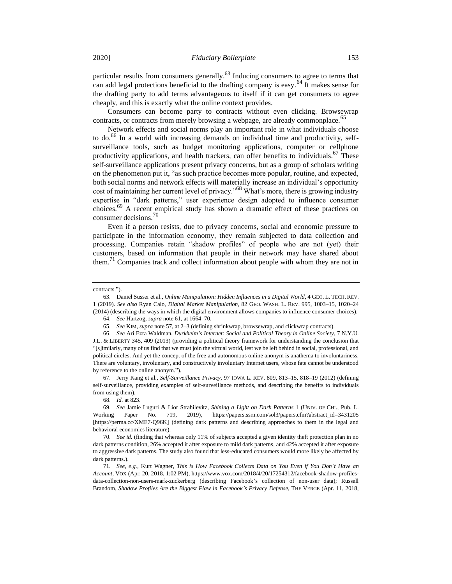<span id="page-10-0"></span>particular results from consumers generally.<sup>63</sup> Inducing consumers to agree to terms that can add legal protections beneficial to the drafting company is easy.<sup>64</sup> It makes sense for the drafting party to add terms advantageous to itself if it can get consumers to agree cheaply, and this is exactly what the online context provides.

Consumers can become party to contracts without even clicking. Browsewrap contracts, or contracts from merely browsing a webpage, are already commonplace.<sup>65</sup>

Network effects and social norms play an important role in what individuals choose to do.<sup>66</sup> In a world with increasing demands on individual time and productivity, selfsurveillance tools, such as budget monitoring applications, computer or cellphone productivity applications, and health trackers, can offer benefits to individuals.<sup>67</sup> These self-surveillance applications present privacy concerns, but as a group of scholars writing on the phenomenon put it, "as such practice becomes more popular, routine, and expected, both social norms and network effects will materially increase an individual's opportunity cost of maintaining her current level of privacy."<sup>68</sup> What's more, there is growing industry expertise in "dark patterns," user experience design adopted to influence consumer choices.<sup>69</sup> A recent empirical study has shown a dramatic effect of these practices on consumer decisions.<sup>70</sup>

<span id="page-10-1"></span>Even if a person resists, due to privacy concerns, social and economic pressure to participate in the information economy, they remain subjected to data collection and processing. Companies retain "shadow profiles" of people who are not (yet) their customers, based on information that people in their network may have shared about them.<sup>71</sup> Companies track and collect information about people with whom they are not in

67. Jerry Kang et al., *Self-Surveillance Privacy*, 97 IOWA L. REV. 809, 813–15, 818–19 (2012) (defining self-surveillance, providing examples of self-surveillance methods, and describing the benefits to individuals from using them).

68. *Id.* at 823.

contracts.").

<sup>63.</sup> Daniel Susser et al., *Online Manipulation: Hidden Influences in a Digital World*, 4 GEO. L. TECH. REV. 1 (2019). *See also* Ryan Calo, *Digital Market Manipulation*, 82 GEO. WASH. L. REV. 995, 1003–15, 1020–24 (2014) (describing the ways in which the digital environment allows companies to influence consumer choices).

<sup>64.</sup> *See* Hartzog, *supra* note [61,](#page-9-1) at 1664–70.

<sup>65.</sup> *See* KIM, *supra* note [57,](#page-9-2) at 2–3 (defining shrinkwrap, browsewrap, and clickwrap contracts).

<sup>66.</sup> *See* Ari Ezra Waldman, *Durkheim's Internet: Social and Political Theory in Online Society*, 7 N.Y.U. J.L. & LIBERTY 345, 409 (2013) (providing a political theory framework for understanding the conclusion that "[s]imilarly, many of us find that we must join the virtual world, lest we be left behind in social, professional, and political circles. And yet the concept of the free and autonomous online anonym is anathema to involuntariness. There are voluntary, involuntary, and constructively involuntary Internet users, whose fate cannot be understood by reference to the online anonym.").

<sup>69.</sup> *See* Jamie Luguri & Lior Strahilevitz, *Shining a Light on Dark Patterns* 1 (UNIV. OF CHI., Pub. L. Working Paper No. 719, 2019), https://papers.ssrn.com/sol3/papers.cfm?abstract\_id=3431205 [https://perma.cc/XME7-Q96K] (defining dark patterns and describing approaches to them in the legal and behavioral economics literature).

<sup>70.</sup> *See id.* (finding that whereas only 11% of subjects accepted a given identity theft protection plan in no dark patterns condition, 26% accepted it after exposure to mild dark patterns, and 42% accepted it after exposure to aggressive dark patterns. The study also found that less-educated consumers would more likely be affected by dark patterns.).

<sup>71</sup>*. See, e.g.*, Kurt Wagner, *This is How Facebook Collects Data on You Even if You Don't Have an Account*, VOX (Apr. 20, 2018, 1:02 PM), https://www.vox.com/2018/4/20/17254312/facebook-shadow-profilesdata-collection-non-users-mark-zuckerberg (describing Facebook's collection of non-user data); Russell Brandom, *Shadow Profiles Are the Biggest Flaw in Facebook's Privacy Defense*, THE VERGE (Apr. 11, 2018,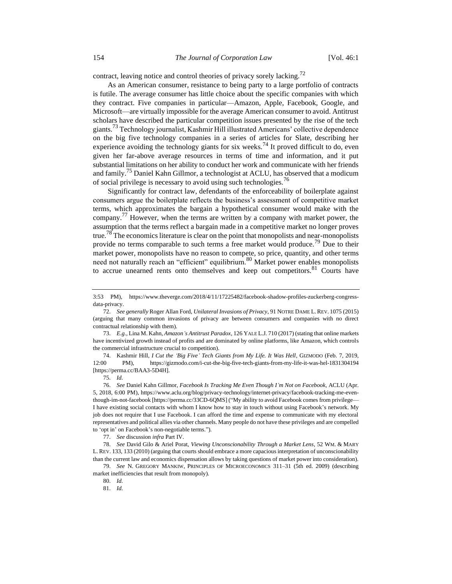contract, leaving notice and control theories of privacy sorely lacking.<sup>72</sup>

As an American consumer, resistance to being party to a large portfolio of contracts is futile. The average consumer has little choice about the specific companies with which they contract. Five companies in particular––Amazon, Apple, Facebook, Google, and Microsoft––are virtually impossible for the average American consumer to avoid. Antitrust scholars have described the particular competition issues presented by the rise of the tech giants.<sup>73</sup> Technology journalist, Kashmir Hill illustrated Americans' collective dependence on the big five technology companies in a series of articles for Slate, describing her experience avoiding the technology giants for six weeks.<sup>74</sup> It proved difficult to do, even given her far-above average resources in terms of time and information, and it put substantial limitations on her ability to conduct her work and communicate with her friends and family.<sup>75</sup> Daniel Kahn Gillmor, a technologist at ACLU, has observed that a modicum of social privilege is necessary to avoid using such technologies.<sup>76</sup>

Significantly for contract law, defendants of the enforceability of boilerplate against consumers argue the boilerplate reflects the business's assessment of competitive market terms, which approximates the bargain a hypothetical consumer would make with the company.<sup> $77$ </sup> However, when the terms are written by a company with market power, the assumption that the terms reflect a bargain made in a competitive market no longer proves true.<sup>78</sup> The economics literature is clear on the point that monopolists and near-monopolists provide no terms comparable to such terms a free market would produce.<sup>79</sup> Due to their market power, monopolists have no reason to compete, so price, quantity, and other terms need not naturally reach an "efficient" equilibrium.<sup>80</sup> Market power enables monopolists to accrue unearned rents onto themselves and keep out competitors.<sup>81</sup> Courts have

74. Kashmir Hill, *I Cut the 'Big Five' Tech Giants from My Life. It Was Hell*, GIZMODO (Feb. 7, 2019, 12:00 PM), https://gizmodo.com/i-cut-the-big-five-tech-giants-from-my-life-it-was-hel-1831304194 [https://perma.cc/BAA3-5D4H].

75. *Id.*

76. *See* Daniel Kahn Gillmor, *Facebook Is Tracking Me Even Though I'm Not on Facebook*, ACLU (Apr. 5, 2018, 6:00 PM), https://www.aclu.org/blog/privacy-technology/internet-privacy/facebook-tracking-me-eventhough-im-not-facebook [https://perma.cc/33CD-6QMS] ("My ability to avoid Facebook comes from privilege— I have existing social contacts with whom I know how to stay in touch without using Facebook's network. My job does not require that I use Facebook. I can afford the time and expense to communicate with my electoral representatives and political allies via other channels. Many people do not have these privileges and are compelled to 'opt in' on Facebook's non-negotiable terms.").

77. *See* discussion *infra* Part IV.

78. *See* David Gilo & Ariel Porat, *Viewing Unconscionability Through a Market Lens*, 52 WM. & MARY L. REV. 133, 133 (2010) (arguing that courts should embrace a more capacious interpretation of unconscionability than the current law and economics dispensation allows by taking questions of market power into consideration).

79. *See* N. GREGORY MANKIW, PRINCIPLES OF MICROECONOMICS 311–31 (5th ed. 2009) (describing market inefficiencies that result from monopoly).

<sup>3:53</sup> PM), https://www.theverge.com/2018/4/11/17225482/facebook-shadow-profiles-zuckerberg-congressdata-privacy.

<sup>72.</sup> *See generally* Roger Allan Ford, *Unilateral Invasions of Privacy*, 91 NOTRE DAME L. REV. 1075 (2015) (arguing that many common invasions of privacy are between consumers and companies with no direct contractual relationship with them).

<sup>73.</sup> *E.g.*, Lina M. Kahn, *Amazon's Antitrust Paradox*, 126 YALE L.J. 710 (2017) (stating that online markets have incentivized growth instead of profits and are dominated by online platforms, like Amazon, which controls the commercial infrastructure crucial to competition).

<sup>80.</sup> *Id.*

<sup>81.</sup> *Id.*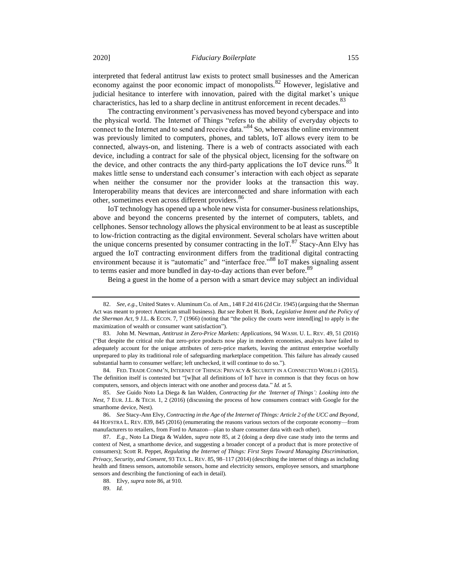interpreted that federal antitrust law exists to protect small businesses and the American economy against the poor economic impact of monopolists.<sup>82</sup> However, legislative and judicial hesitance to interfere with innovation, paired with the digital market's unique characteristics, has led to a sharp decline in antitrust enforcement in recent decades.<sup>83</sup>

The contracting environment's pervasiveness has moved beyond cyberspace and into the physical world. The Internet of Things "refers to the ability of everyday objects to connect to the Internet and to send and receive data."<sup>84</sup> So, whereas the online environment was previously limited to computers, phones, and tablets, IoT allows every item to be connected, always-on, and listening. There is a web of contracts associated with each device, including a contract for sale of the physical object, licensing for the software on the device, and other contracts the any third-party applications the IoT device runs. <sup>85</sup> It makes little sense to understand each consumer's interaction with each object as separate when neither the consumer nor the provider looks at the transaction this way. Interoperability means that devices are interconnected and share information with each other, sometimes even across different providers.<sup>86</sup>

<span id="page-12-1"></span><span id="page-12-0"></span>IoT technology has opened up a whole new vista for consumer-business relationships, above and beyond the concerns presented by the internet of computers, tablets, and cellphones. Sensor technology allows the physical environment to be at least as susceptible to low-friction contracting as the digital environment. Several scholars have written about the unique concerns presented by consumer contracting in the  $I_0T$ .<sup>87</sup> Stacy-Ann Elvy has argued the IoT contracting environment differs from the traditional digital contracting environment because it is "automatic" and "interface free."<sup>88</sup> IoT makes signaling assent to terms easier and more bundled in day-to-day actions than ever before.<sup>89</sup>

Being a guest in the home of a person with a smart device may subject an individual

84. FED. TRADE COMM'N, INTERNET OF THINGS: PRIVACY & SECURITY IN A CONNECTED WORLD i (2015). The definition itself is contested but "[w]hat all definitions of IoT have in common is that they focus on how computers, sensors, and objects interact with one another and process data." *Id.* at 5.

89. *Id.*

<sup>82.</sup> *See, e.g.*, United States v. Aluminum Co. of Am*.*, 148 F.2d 416 (2d Cir. 1945) (arguing that the Sherman Act was meant to protect American small business). *But see* Robert H. Bork, *Legislative Intent and the Policy of the Sherman Act*, 9 J.L. & ECON. 7, 7 (1966) (noting that "the policy the courts were intend[ing] to apply is the maximization of wealth or consumer want satisfaction").

<sup>83.</sup> John M. Newman, *Antitrust in Zero-Price Markets: Applications*, 94 WASH. U. L. REV. 49, 51 (2016) ("But despite the critical role that zero-price products now play in modern economies, analysts have failed to adequately account for the unique attributes of zero-price markets, leaving the antitrust enterprise woefully unprepared to play its traditional role of safeguarding marketplace competition. This failure has already caused substantial harm to consumer welfare; left unchecked, it will continue to do so.").

<sup>85.</sup> *See* Guido Noto La Diega & Ian Walden, *Contracting for the 'Internet of Things': Looking into the Nest*, 7 EUR. J.L. & TECH. 1, 2 (2016) (discussing the process of how consumers contract with Google for the smarthome device, Nest).

<sup>86.</sup> *See* Stacy-Ann Elvy, *Contracting in the Age of the Internet of Things: Article 2 of the UCC and Beyond*, 44 HOFSTRA L. REV. 839, 845 (2016) (enumerating the reasons various sectors of the corporate economy—from manufacturers to retailers, from Ford to Amazon—plan to share consumer data with each other).

<sup>87.</sup> *E.g.*, Noto La Diega & Walden, *supra* note [85,](#page-12-0) at 2 (doing a deep dive case study into the terms and context of Nest, a smarthome device, and suggesting a broader concept of a product that is more protective of consumers); Scott R. Peppet, *Regulating the Internet of Things: First Steps Toward Managing Discrimination, Privacy, Security, and Consent*, 93 TEX. L. REV. 85, 98–117 (2014) (describing the internet of things as including health and fitness sensors, automobile sensors, home and electricity sensors, employee sensors, and smartphone sensors and describing the functioning of each in detail).

<sup>88.</sup> Elvy, *supra* not[e 86,](#page-12-1) at 910.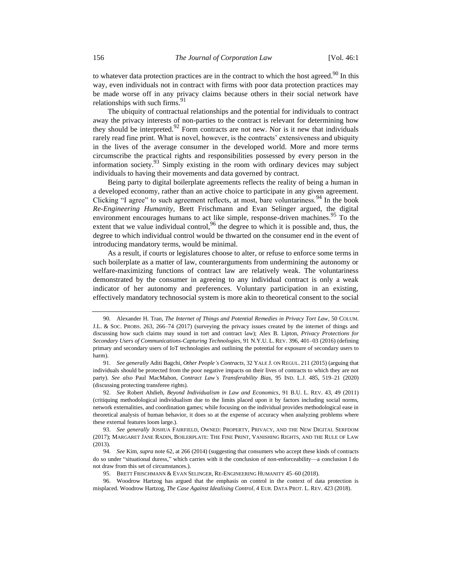to whatever data protection practices are in the contract to which the host agreed.<sup>90</sup> In this way, even individuals not in contract with firms with poor data protection practices may be made worse off in any privacy claims because others in their social network have relationships with such firms.<sup>91</sup>

The ubiquity of contractual relationships and the potential for individuals to contract away the privacy interests of non-parties to the contract is relevant for determining how they should be interpreted.<sup>92</sup> Form contracts are not new. Nor is it new that individuals rarely read fine print. What is novel, however, is the contracts' extensiveness and ubiquity in the lives of the average consumer in the developed world. More and more terms circumscribe the practical rights and responsibilities possessed by every person in the information society.<sup>93</sup> Simply existing in the room with ordinary devices may subject individuals to having their movements and data governed by contract.

<span id="page-13-1"></span><span id="page-13-0"></span>Being party to digital boilerplate agreements reflects the reality of being a human in a developed economy, rather than an active choice to participate in any given agreement. Clicking "I agree" to such agreement reflects, at most, bare voluntariness.<sup>94</sup> In the book *Re-Engineering Humanity*, Brett Frischmann and Evan Selinger argued, the digital environment encourages humans to act like simple, response-driven machines.<sup>95</sup> To the extent that we value individual control,  $96$  the degree to which it is possible and, thus, the degree to which individual control would be thwarted on the consumer end in the event of introducing mandatory terms, would be minimal.

As a result, if courts or legislatures choose to alter, or refuse to enforce some terms in such boilerplate as a matter of law, counterarguments from undermining the autonomy or welfare-maximizing functions of contract law are relatively weak. The voluntariness demonstrated by the consumer in agreeing to any individual contract is only a weak indicator of her autonomy and preferences. Voluntary participation in an existing, effectively mandatory technosocial system is more akin to theoretical consent to the social

<sup>90.</sup> Alexander H. Tran, *The Internet of Things and Potential Remedies in Privacy Tort Law*, 50 COLUM. J.L. & SOC. PROBS. 263, 266–74 (2017) (surveying the privacy issues created by the internet of things and discussing how such claims may sound in tort and contract law); Alex B. Lipton, *Privacy Protections for Secondary Users of Communications-Capturing Technologies*, 91 N.Y.U. L. REV. 396, 401–03 (2016) (defining primary and secondary users of IoT technologies and outlining the potential for exposure of secondary users to harm).

<sup>91.</sup> *See generally* Aditi Bagchi, *Other People's Contracts*, 32 YALE J. ON REGUL. 211 (2015) (arguing that individuals should be protected from the poor negative impacts on their lives of contracts to which they are not party). *See also* Paul MacMahon, *Contract Law's Transferability Bias*, 95 IND. L.J. 485, 519–21 (2020) (discussing protecting transferee rights).

<sup>92.</sup> *See* Robert Ahdieh, *Beyond Individualism in Law and Economics*, 91 B.U. L. REV. 43, 49 (2011) (critiquing methodological individualism due to the limits placed upon it by factors including social norms, network externalities, and coordination games; while focusing on the individual provides methodological ease in theoretical analysis of human behavior, it does so at the expense of accuracy when analyzing problems where these external features loom large.).

<sup>93.</sup> *See generally* JOSHUA FAIRFIELD, OWNED: PROPERTY, PRIVACY, AND THE NEW DIGITAL SERFDOM (2017); MARGARET JANE RADIN, BOILERPLATE: THE FINE PRINT, VANISHING RIGHTS, AND THE RULE OF LAW (2013).

<sup>94.</sup> *See* Kim, *supra* not[e 62,](#page-9-3) at 266 (2014) (suggesting that consumers who accept these kinds of contracts do so under "situational duress," which carries with it the conclusion of non-enforceability—a conclusion I do not draw from this set of circumstances.).

<sup>95.</sup> BRETT FRISCHMANN & EVAN SELINGER, RE-ENGINEERING HUMANITY 45–60 (2018).

<sup>96.</sup> Woodrow Hartzog has argued that the emphasis on control in the context of data protection is misplaced. Woodrow Hartzog, *The Case Against Idealising Control*, 4 EUR. DATA PROT. L. REV. 423 (2018).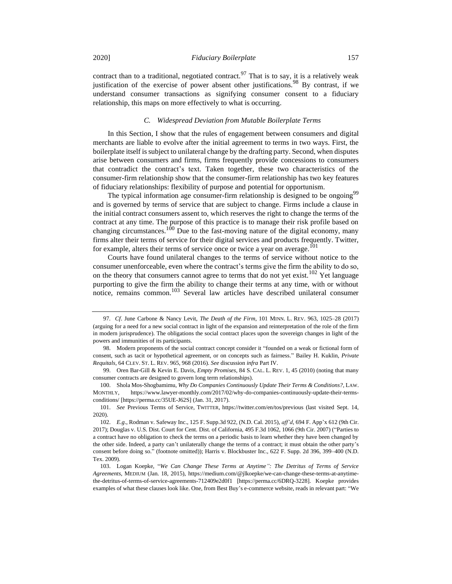contract than to a traditional, negotiated contract.<sup>97</sup> That is to say, it is a relatively weak justification of the exercise of power absent other justifications.<sup>98</sup> By contrast, if we understand consumer transactions as signifying consumer consent to a fiduciary relationship, this maps on more effectively to what is occurring.

#### <span id="page-14-0"></span>*C. Widespread Deviation from Mutable Boilerplate Terms*

In this Section, I show that the rules of engagement between consumers and digital merchants are liable to evolve after the initial agreement to terms in two ways. First, the boilerplate itself is subject to unilateral change by the drafting party. Second, when disputes arise between consumers and firms, firms frequently provide concessions to consumers that contradict the contract's text. Taken together, these two characteristics of the consumer-firm relationship show that the consumer-firm relationship has two key features of fiduciary relationships: flexibility of purpose and potential for opportunism.

The typical information age consumer-firm relationship is designed to be ongoing<sup>99</sup> and is governed by terms of service that are subject to change. Firms include a clause in the initial contract consumers assent to, which reserves the right to change the terms of the contract at any time. The purpose of this practice is to manage their risk profile based on changing circumstances.<sup>100</sup> Due to the fast-moving nature of the digital economy, many firms alter their terms of service for their digital services and products frequently. Twitter, for example, alters their terms of service once or twice a year on average.<sup>101</sup>

Courts have found unilateral changes to the terms of service without notice to the consumer unenforceable, even where the contract's terms give the firm the ability to do so, on the theory that consumers cannot agree to terms that do not yet exist.<sup>102</sup> Yet language purporting to give the firm the ability to change their terms at any time, with or without notice, remains common.<sup>103</sup> Several law articles have described unilateral consumer

100. Shola Mos-Shogbamimu, *Why Do Companies Continuously Update Their Terms & Conditions?*, LAW. MONTHLY, https://www.lawyer-monthly.com/2017/02/why-do-companies-continuously-update-their-termsconditions/ [https://perma.cc/35UE-J62S] (Jan. 31, 2017).

101. *See* Previous Terms of Service, TWITTER, https://twitter.com/en/tos/previous (last visited Sept. 14, 2020).

<sup>97</sup>*. Cf*. June Carbone & Nancy Levit, *The Death of the Firm*, 101 MINN. L. REV. 963, 1025–28 (2017) (arguing for a need for a new social contract in light of the expansion and reinterpretation of the role of the firm in modern jurisprudence). The obligations the social contract places upon the sovereign changes in light of the powers and immunities of its participants.

<sup>98.</sup> Modern proponents of the social contract concept consider it "founded on a weak or fictional form of consent, such as tacit or hypothetical agreement, or on concepts such as fairness." Bailey H. Kuklin, *Private Requitals*, 64 CLEV. ST. L. REV. 965, 968 (2016). *See* discussion *infra* Part IV.

<sup>99.</sup> Oren Bar-Gill & Kevin E. Davis, *Empty Promises*, 84 S. CAL. L. REV. 1, 45 (2010) (noting that many consumer contracts are designed to govern long term relationships).

<sup>102.</sup> *E.g*., Rodman v. Safeway Inc., 125 F. Supp.3d 922, (N.D. Cal. 2015), *aff'd*, 694 F. App'x 612 (9th Cir. 2017); Douglas v. U.S. Dist. Court for Cent. Dist. of California, 495 F.3d 1062, 1066 (9th Cir. 2007) ("Parties to a contract have no obligation to check the terms on a periodic basis to learn whether they have been changed by the other side. Indeed, a party can't unilaterally change the terms of a contract; it must obtain the other party's consent before doing so." (footnote omitted)); Harris v. Blockbuster Inc., 622 F. Supp. 2d 396, 399–400 (N.D. Tex. 2009).

<sup>103.</sup> Logan Koepke, "*We Can Change These Terms at Anytime": The Detritus of Terms of Service Agreements*, MEDIUM (Jan. 18, 2015), https://medium.com/@jlkoepke/we-can-change-these-terms-at-anytimethe-detritus-of-terms-of-service-agreements-712409e2d0f1 [https://perma.cc/6DRQ-3228]. Koepke provides examples of what these clauses look like. One, from Best Buy's e-commerce website, reads in relevant part: "We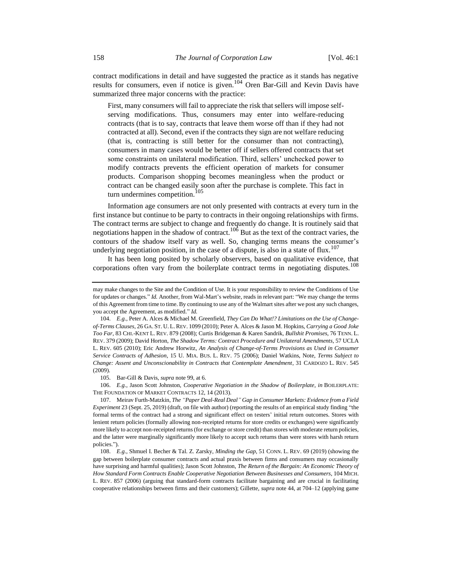contract modifications in detail and have suggested the practice as it stands has negative results for consumers, even if notice is given.<sup>104</sup> Oren Bar-Gill and Kevin Davis have summarized three major concerns with the practice:

<span id="page-15-2"></span>First, many consumers will fail to appreciate the risk that sellers will impose selfserving modifications. Thus, consumers may enter into welfare-reducing contracts (that is to say, contracts that leave them worse off than if they had not contracted at all). Second, even if the contracts they sign are not welfare reducing (that is, contracting is still better for the consumer than not contracting), consumers in many cases would be better off if sellers offered contracts that set some constraints on unilateral modification. Third, sellers' unchecked power to modify contracts prevents the efficient operation of markets for consumer products. Comparison shopping becomes meaningless when the product or contract can be changed easily soon after the purchase is complete. This fact in turn undermines competition.<sup>105</sup>

Information age consumers are not only presented with contracts at every turn in the first instance but continue to be party to contracts in their ongoing relationships with firms. The contract terms are subject to change and frequently do change. It is routinely said that negotiations happen in the shadow of contract.<sup>106</sup> But as the text of the contract varies, the contours of the shadow itself vary as well. So, changing terms means the consumer's underlying negotiation position, in the case of a dispute, is also in a state of flux.<sup>107</sup>

<span id="page-15-1"></span><span id="page-15-0"></span>It has been long posited by scholarly observers, based on qualitative evidence, that corporations often vary from the boilerplate contract terms in negotiating disputes.<sup>108</sup>

105. Bar-Gill & Davis, *supra* not[e 99,](#page-14-0) at 6.

106. *E.g.*, Jason Scott Johnston, *Cooperative Negotiation in the Shadow of Boilerplate*, *in* BOILERPLATE: THE FOUNDATION OF MARKET CONTRACTS 12, 14 (2013).

107. Meirav Furth-Matzkin, *The "Paper Deal-Real Deal" Gap in Consumer Markets: Evidence from a Field Experiment* 23 (Sept. 25, 2019) (draft, on file with author) (reporting the results of an empirical study finding "the formal terms of the contract had a strong and significant effect on testers' initial return outcomes. Stores with lenient return policies (formally allowing non-receipted returns for store credits or exchanges) were significantly more likely to accept non-receipted returns (for exchange or store credit) than stores with moderate return policies, and the latter were marginally significantly more likely to accept such returns than were stores with harsh return policies.").

108. *E.g.*, Shmuel I. Becher & Tal. Z. Zarsky, *Minding the Gap*, 51 CONN. L. REV. 69 (2019) (showing the gap between boilerplate consumer contracts and actual praxis between firms and consumers may occasionally have surprising and harmful qualities); Jason Scott Johnston, *The Return of the Bargain: An Economic Theory of How Standard Form Contracts Enable Cooperative Negotiation Between Businesses and Consumers*, 104 MICH. L. REV. 857 (2006) (arguing that standard-form contracts facilitate bargaining and are crucial in facilitating cooperative relationships between firms and their customers); Gillette, *supra* note [44,](#page-7-1) at 704–12 (applying game

may make changes to the Site and the Condition of Use. It is your responsibility to review the Conditions of Use for updates or changes." *Id.* Another, from Wal-Mart's website, reads in relevant part: "We may change the terms of this Agreement from time to time. By continuing to use any of the Walmart sites after we post any such changes, you accept the Agreement, as modified." *Id.*

<sup>104.</sup> *E.g.*, Peter A. Alces & Michael M. Greenfield, *They Can Do What!? Limitations on the Use of Changeof-Terms Clauses*, 26 GA. ST. U. L. REV. 1099 (2010); Peter A. Alces & Jason M. Hopkins, *Carrying a Good Joke Too Far*, 83 CHI.-KENT L. REV. 879 (2008); Curtis Bridgeman & Karen Sandrik, *Bullshit Promises*, 76 TENN. L. REV. 379 (2009); David Horton, *The Shadow Terms: Contract Procedure and Unilateral Amendments*, 57 UCLA L. REV. 605 (2010); Eric Andrew Horwitz, *An Analysis of Change-of-Terms Provisions as Used in Consumer Service Contracts of Adhesion*, 15 U. MIA. BUS. L. REV. 75 (2006); Daniel Watkins, Note, *Terms Subject to Change: Assent and Unconscionability in Contracts that Contemplate Amendment*, 31 CARDOZO L. REV. 545 (2009).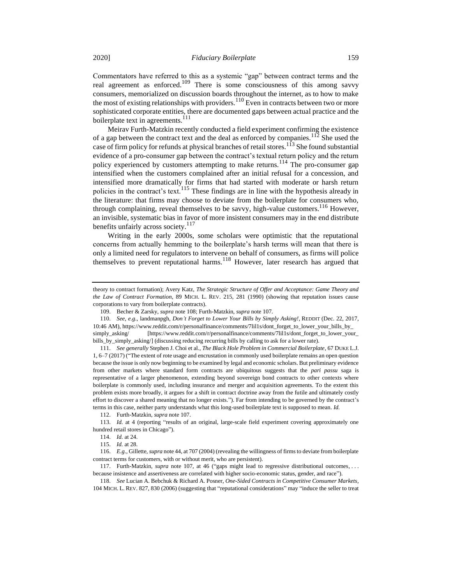Commentators have referred to this as a systemic "gap" between contract terms and the real agreement as enforced.<sup>109</sup> There is some consciousness of this among savvy consumers, memorialized on discussion boards throughout the internet, as to how to make the most of existing relationships with providers.<sup>110</sup> Even in contracts between two or more sophisticated corporate entities, there are documented gaps between actual practice and the boilerplate text in agreements.<sup>111</sup>

Meirav Furth-Matzkin recently conducted a field experiment confirming the existence of a gap between the contract text and the deal as enforced by companies.<sup>112</sup> She used the case of firm policy for refunds at physical branches of retail stores.<sup>113</sup> She found substantial evidence of a pro-consumer gap between the contract's textual return policy and the return policy experienced by customers attempting to make returns.<sup>114</sup> The pro-consumer gap intensified when the customers complained after an initial refusal for a concession, and intensified more dramatically for firms that had started with moderate or harsh return policies in the contract's text.<sup>115</sup> These findings are in line with the hypothesis already in the literature: that firms may choose to deviate from the boilerplate for consumers who, through complaining, reveal themselves to be savvy, high-value customers.<sup>116</sup> However, an invisible, systematic bias in favor of more insistent consumers may in the end distribute benefits unfairly across society.<sup>117</sup>

Writing in the early 2000s, some scholars were optimistic that the reputational concerns from actually hemming to the boilerplate's harsh terms will mean that there is only a limited need for regulators to intervene on behalf of consumers, as firms will police themselves to prevent reputational harms.<sup>118</sup> However, later research has argued that

111. *See generally* Stephen J. Choi et al., *The Black Hole Problem in Commercial Boilerplate*, 67 DUKE L.J. 1, 6–7 (2017) ("The extent of rote usage and encrustation in commonly used boilerplate remains an open question because the issue is only now beginning to be examined by legal and economic scholars. But preliminary evidence from other markets where standard form contracts are ubiquitous suggests that the *pari passu* saga is representative of a larger phenomenon, extending beyond sovereign bond contracts to other contexts where boilerplate is commonly used, including insurance and merger and acquisition agreements. To the extent this problem exists more broadly, it argues for a shift in contract doctrine away from the futile and ultimately costly effort to discover a shared meaning that no longer exists."). Far from intending to be governed by the contract's terms in this case, neither party understands what this long-used boilerplate text is supposed to mean. *Id.*

theory to contract formation); Avery Katz, *The Strategic Structure of Offer and Acceptance: Game Theory and the Law of Contract Formation*, 89 MICH. L. REV. 215, 281 (1990) (showing that reputation issues cause corporations to vary from boilerplate contracts).

<sup>109.</sup> Becher & Zarsky, *supra* not[e 108;](#page-15-0) Furth-Matzkin, *supra* not[e 107.](#page-15-1)

<sup>110.</sup> *See, e.g.*, landmanpgh, *Don't Forget to Lower Your Bills by Simply Asking!*, REDDIT (Dec. 22, 2017, 10:46 AM), https://www.reddit.com/r/personalfinance/comments/7lil1s/dont\_forget\_to\_lower\_your\_bills\_by\_ simply\_asking/ [https://www.reddit.com/r/personalfinance/comments/7lil1s/dont\_forget\_to\_lower\_your\_ bills\_by\_simply\_asking/] (discussing reducing recurring bills by calling to ask for a lower rate).

<sup>112.</sup> Furth-Matzkin, *supra* not[e 107.](#page-15-1) 

<sup>113.</sup> *Id.* at 4 (reporting "results of an original, large-scale field experiment covering approximately one hundred retail stores in Chicago").

<sup>114.</sup> *Id.* at 24.

<sup>115.</sup> *Id.* at 28.

<sup>116.</sup> *E.g.*, Gillette, *supra* not[e 44,](#page-7-1) at 707 (2004) (revealing the willingness of firms to deviate from boilerplate contract terms for customers, with or without merit, who are persistent).

<sup>117.</sup> Furth-Matzkin, *supra* note [107,](#page-15-1) at 46 ("gaps might lead to regressive distributional outcomes, . . . because insistence and assertiveness are correlated with higher socio-economic status, gender, and race").

<sup>118.</sup> *See* Lucian A. Bebchuk & Richard A. Posner, *One-Sided Contracts in Competitive Consumer Markets*, 104 MICH. L. REV. 827, 830 (2006) (suggesting that "reputational considerations" may "induce the seller to treat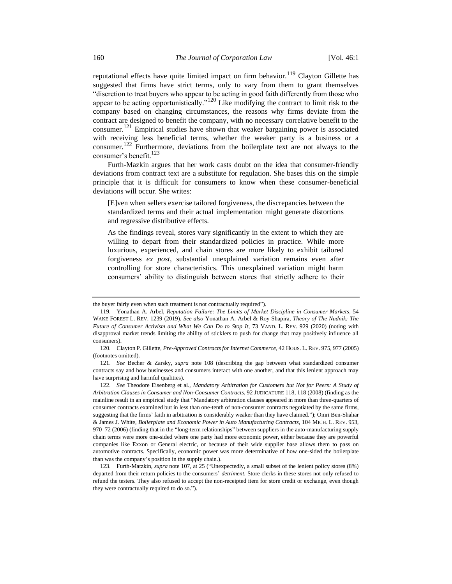reputational effects have quite limited impact on firm behavior.<sup>119</sup> Clayton Gillette has suggested that firms have strict terms, only to vary from them to grant themselves "discretion to treat buyers who appear to be acting in good faith differently from those who appear to be acting opportunistically."<sup>120</sup> Like modifying the contract to limit risk to the company based on changing circumstances, the reasons why firms deviate from the contract are designed to benefit the company, with no necessary correlative benefit to the consumer.<sup>121</sup> Empirical studies have shown that weaker bargaining power is associated with receiving less beneficial terms, whether the weaker party is a business or a consumer.<sup>122</sup> Furthermore, deviations from the boilerplate text are not always to the consumer's benefit.<sup>123</sup>

<span id="page-17-0"></span>Furth-Mazkin argues that her work casts doubt on the idea that consumer-friendly deviations from contract text are a substitute for regulation. She bases this on the simple principle that it is difficult for consumers to know when these consumer-beneficial deviations will occur. She writes:

[E]ven when sellers exercise tailored forgiveness, the discrepancies between the standardized terms and their actual implementation might generate distortions and regressive distributive effects.

As the findings reveal, stores vary significantly in the extent to which they are willing to depart from their standardized policies in practice. While more luxurious, experienced, and chain stores are more likely to exhibit tailored forgiveness *ex post*, substantial unexplained variation remains even after controlling for store characteristics. This unexplained variation might harm consumers' ability to distinguish between stores that strictly adhere to their

the buyer fairly even when such treatment is not contractually required").

<sup>119.</sup> Yonathan A. Arbel, *Reputation Failure: The Limits of Market Discipline in Consumer Markets*, 54 WAKE FOREST L. REV. 1239 (2019). *See also* Yonathan A. Arbel & Roy Shapira, *Theory of The Nudnik: The*  Future of Consumer Activism and What We Can Do to Stop It, 73 VAND. L. REV. 929 (2020) (noting with disapproval market trends limiting the ability of sticklers to push for change that may positively influence all consumers).

<sup>120.</sup> Clayton P. Gillette, *Pre-Approved Contracts for Internet Commerce*, 42 HOUS. L. REV. 975, 977 (2005) (footnotes omitted).

<sup>121.</sup> *See* Becher & Zarsky, *supra* note [108](#page-15-0) (describing the gap between what standardized consumer contracts say and how businesses and consumers interact with one another, and that this lenient approach may have surprising and harmful qualities).

<sup>122.</sup> *See* Theodore Eisenberg et al., *Mandatory Arbitration for Customers but Not for Peers: A Study of Arbitration Clauses in Consumer and Non-Consumer Contracts*, 92 JUDICATURE 118, 118 (2008) (finding as the mainline result in an empirical study that "Mandatory arbitration clauses appeared in more than three-quarters of consumer contracts examined but in less than one-tenth of non-consumer contracts negotiated by the same firms, suggesting that the firms' faith in arbitration is considerably weaker than they have claimed."); Omri Ben-Shahar & James J. White, *Boilerplate and Economic Power in Auto Manufacturing Contracts*, 104 MICH. L. REV. 953, 970–72 (2006) (finding that in the "long-term relationships" between suppliers in the auto-manufacturing supply chain terms were more one-sided where one party had more economic power, either because they are powerful companies like Exxon or General electric, or because of their wide supplier base allows them to pass on automotive contracts. Specifically, economic power was more determinative of how one-sided the boilerplate than was the company's position in the supply chain.).

<sup>123.</sup> Furth-Matzkin, *supra* not[e 107,](#page-15-1) at 25 ("Unexpectedly, a small subset of the lenient policy stores (8%) departed from their return policies to the consumers' *detriment*. Store clerks in these stores not only refused to refund the testers. They also refused to accept the non-receipted item for store credit or exchange, even though they were contractually required to do so.").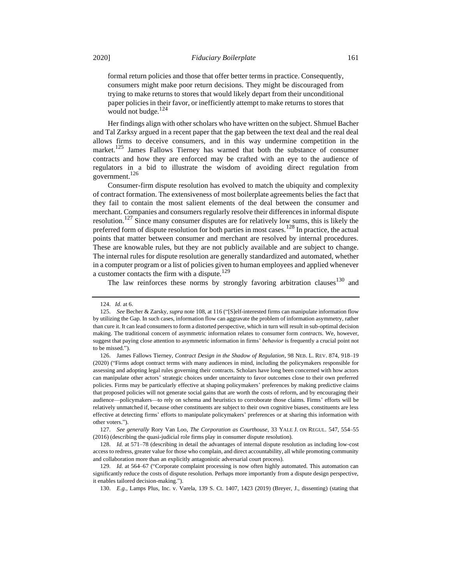formal return policies and those that offer better terms in practice. Consequently, consumers might make poor return decisions. They might be discouraged from trying to make returns to stores that would likely depart from their unconditional paper policies in their favor, or inefficiently attempt to make returns to stores that would not budge.<sup>124</sup>

Her findings align with other scholars who have written on the subject. Shmuel Bacher and Tal Zarksy argued in a recent paper that the gap between the text deal and the real deal allows firms to deceive consumers, and in this way undermine competition in the market.<sup>125</sup> James Fallows Tierney has warned that both the substance of consumer contracts and how they are enforced may be crafted with an eye to the audience of regulators in a bid to illustrate the wisdom of avoiding direct regulation from government.<sup>126</sup>

<span id="page-18-0"></span>Consumer-firm dispute resolution has evolved to match the ubiquity and complexity of contract formation. The extensiveness of most boilerplate agreements belies the fact that they fail to contain the most salient elements of the deal between the consumer and merchant. Companies and consumers regularly resolve their differences in informal dispute resolution.<sup>127</sup> Since many consumer disputes are for relatively low sums, this is likely the preferred form of dispute resolution for both parties in most cases.<sup>128</sup> In practice, the actual points that matter between consumer and merchant are resolved by internal procedures. These are knowable rules, but they are not publicly available and are subject to change. The internal rules for dispute resolution are generally standardized and automated, whether in a computer program or a list of policies given to human employees and applied whenever a customer contacts the firm with a dispute.<sup>129</sup>

The law reinforces these norms by strongly favoring arbitration clauses $130$  and

<sup>124.</sup> *Id.* at 6.

<sup>125.</sup> *See* Becher & Zarsky, *supra* not[e 108,](#page-15-0) at 116 ("[S]elf-interested firms can manipulate information flow by utilizing the Gap. In such cases, information flow can aggravate the problem of information asymmetry, rather than cure it. It can lead consumers to form a distorted perspective, which in turn will result in sub-optimal decision making. The traditional concern of asymmetric information relates to consumer form *contracts*. We, however, suggest that paying close attention to asymmetric information in firms' *behavior* is frequently a crucial point not to be missed.").

<sup>126.</sup> James Fallows Tierney, *Contract Design in the Shadow of Regulation*, 98 NEB. L. REV. 874, 918–19 (2020) ("Firms adopt contract terms with many audiences in mind, including the policymakers responsible for assessing and adopting legal rules governing their contracts. Scholars have long been concerned with how actors can manipulate other actors' strategic choices under uncertainty to favor outcomes close to their own preferred policies. Firms may be particularly effective at shaping policymakers' preferences by making predictive claims that proposed policies will not generate social gains that are worth the costs of reform, and by encouraging their audience—policymakers—to rely on schema and heuristics to corroborate those claims. Firms' efforts will be relatively unmatched if, because other constituents are subject to their own cognitive biases, constituents are less effective at detecting firms' efforts to manipulate policymakers' preferences or at sharing this information with other voters.").

<sup>127.</sup> *See generally* Rory Van Loo, *The Corporation as Courthouse*, 33 YALE J. ON REGUL. 547, 554–55 (2016) (describing the quasi-judicial role firms play in consumer dispute resolution).

<sup>128.</sup> *Id.* at 571–78 (describing in detail the advantages of internal dispute resolution as including low-cost access to redress, greater value for those who complain, and direct accountability, all while promoting community and collaboration more than an explicitly antagonistic adversarial court process).

<sup>129</sup>*. Id.* at 564–67 ("Corporate complaint processing is now often highly automated. This automation can significantly reduce the costs of dispute resolution. Perhaps more importantly from a dispute design perspective, it enables tailored decision-making.").

<sup>130.</sup> *E.g.*, Lamps Plus, Inc. v. Varela, 139 S. Ct. 1407, 1423 (2019) (Breyer, J., dissenting) (stating that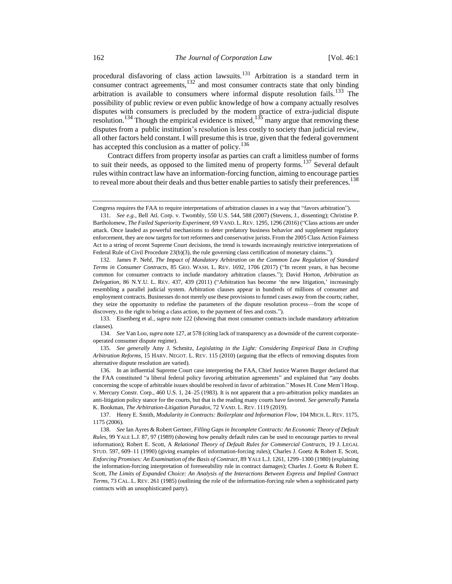procedural disfavoring of class action lawsuits.<sup>131</sup> Arbitration is a standard term in consumer contract agreements, $132$  and most consumer contracts state that only binding arbitration is available to consumers where informal dispute resolution fails.<sup>133</sup> The possibility of public review or even public knowledge of how a company actually resolves disputes with consumers is precluded by the modern practice of extra-judicial dispute resolution.<sup>134</sup> Though the empirical evidence is mixed,<sup>135</sup> many argue that removing these disputes from a public institution's resolution is less costly to society than judicial review, all other factors held constant. I will presume this is true, given that the federal government has accepted this conclusion as a matter of policy.<sup>136</sup>

<span id="page-19-0"></span>Contract differs from property insofar as parties can craft a limitless number of forms to suit their needs, as opposed to the limited menu of property forms.<sup>137</sup> Several default rules within contract law have an information-forcing function, aiming to encourage parties to reveal more about their deals and thus better enable parties to satisfy their preferences.<sup>138</sup>

Congress requires the FAA to require interpretations of arbitration clauses in a way that "favors arbitration").

<sup>131.</sup> *See e.g.*, Bell Atl. Corp. v. Twombly, 550 U.S. 544, 588 (2007) (Stevens, J., dissenting); Christine P. Bartholomew, *The Failed Superiority Experiment*, 69 VAND. L. REV. 1295, 1296 (2016) ("Class actions are under attack. Once lauded as powerful mechanisms to deter predatory business behavior and supplement regulatory enforcement, they are now targets for tort reformers and conservative jurists. From the 2005 Class Action Fairness Act to a string of recent Supreme Court decisions, the trend is towards increasingly restrictive interpretations of Federal Rule of Civil Procedure 23(b)(3), the rule governing class certification of monetary claims.").

<sup>132.</sup> James P. Nehf, *The Impact of Mandatory Arbitration on the Common Law Regulation of Standard Terms in Consumer Contracts*, 85 GEO. WASH. L. REV. 1692, 1706 (2017) ("In recent years, it has become common for consumer contracts to include mandatory arbitration clauses."); David Horton, *Arbitration as Delegation*, 86 N.Y.U. L. REV. 437, 439 (2011) ("Arbitration has become 'the new litigation,' increasingly resembling a parallel judicial system. Arbitration clauses appear in hundreds of millions of consumer and employment contracts. Businesses do not merely use these provisions to funnel cases away from the courts; rather, they seize the opportunity to redefine the parameters of the dispute resolution process—from the scope of discovery, to the right to bring a class action, to the payment of fees and costs.").

<sup>133.</sup> Eisenberg et al., *supra* not[e 122](#page-17-0) (showing that most consumer contracts include mandatory arbitration clauses).

<sup>134.</sup> *See* Van Loo, *supra* not[e 127,](#page-18-0) at 578 (citing lack of transparency as a downside of the current corporateoperated consumer dispute regime).

<sup>135.</sup> *See generally* Amy J. Schmitz, *Legislating in the Light: Considering Empirical Data in Crafting Arbitration Reforms*, 15 HARV. NEGOT. L. REV. 115 (2010) (arguing that the effects of removing disputes from alternative dispute resolution are varied).

<sup>136.</sup> In an influential Supreme Court case interpreting the FAA, Chief Justice Warren Burger declared that the FAA constituted "a liberal federal policy favoring arbitration agreements" and explained that "any doubts concerning the scope of arbitrable issues should be resolved in favor of arbitration." Moses H. Cone Mem'l Hosp. v. Mercury Constr. Corp., 460 U.S. 1, 24–25 (1983). It is not apparent that a pro-arbitration policy mandates an anti-litigation policy stance for the courts, but that is the reading many courts have favored. *See generally* Pamela K. Bookman, *The Arbitration-Litigation Paradox*, 72 VAND. L. REV. 1119 (2019).

<sup>137.</sup> Henry E. Smith, *Modularity in Contracts: Boilerplate and Information Flow*, 104 MICH. L. REV. 1175, 1175 (2006).

<sup>138.</sup> *See* Ian Ayres & Robert Gertner, *Filling Gaps in Incomplete Contracts: An Economic Theory of Default Rules*, 99 YALE L.J. 87, 97 (1989) (showing how penalty default rules can be used to encourage parties to reveal information); Robert E. Scott, A *Relational Theory of Default Rules for Commercial Contracts*, 19 J. LEGAL STUD. 597, 609–11 (1990) (giving examples of information-forcing rules); Charles J. Goetz & Robert E. Scott, *Enforcing Promises: An Examination of the Basis of Contract*, 89 YALE L.J. 1261, 1299–1300 (1980) (explaining the information-forcing interpretation of foreseeability rule in contract damages); Charles J. Goetz & Robert E. Scott, *The Limits of Expanded Choice: An Analysis of the Interactions Between Express and Implied Contract Terms*, 73 CAL. L. REV. 261 (1985) (outlining the role of the information-forcing rule when a sophisticated party contracts with an unsophisticated party).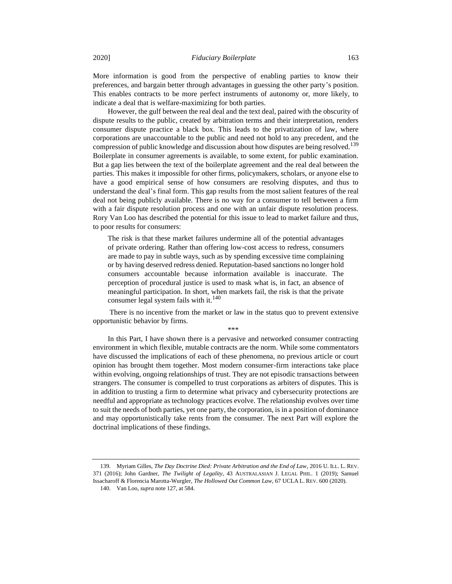More information is good from the perspective of enabling parties to know their preferences, and bargain better through advantages in guessing the other party's position. This enables contracts to be more perfect instruments of autonomy or, more likely, to indicate a deal that is welfare-maximizing for both parties.

However, the gulf between the real deal and the text deal, paired with the obscurity of dispute results to the public, created by arbitration terms and their interpretation, renders consumer dispute practice a black box. This leads to the privatization of law, where corporations are unaccountable to the public and need not hold to any precedent, and the compression of public knowledge and discussion about how disputes are being resolved.<sup>139</sup> Boilerplate in consumer agreements is available, to some extent, for public examination. But a gap lies between the text of the boilerplate agreement and the real deal between the parties. This makes it impossible for other firms, policymakers, scholars, or anyone else to have a good empirical sense of how consumers are resolving disputes, and thus to understand the deal's final form. This gap results from the most salient features of the real deal not being publicly available. There is no way for a consumer to tell between a firm with a fair dispute resolution process and one with an unfair dispute resolution process. Rory Van Loo has described the potential for this issue to lead to market failure and thus, to poor results for consumers:

The risk is that these market failures undermine all of the potential advantages of private ordering. Rather than offering low-cost access to redress, consumers are made to pay in subtle ways, such as by spending excessive time complaining or by having deserved redress denied. Reputation-based sanctions no longer hold consumers accountable because information available is inaccurate. The perception of procedural justice is used to mask what is, in fact, an absence of meaningful participation. In short, when markets fail, the risk is that the private consumer legal system fails with it.<sup>140</sup>

There is no incentive from the market or law in the status quo to prevent extensive opportunistic behavior by firms.

<span id="page-20-0"></span>\*\*\*

In this Part, I have shown there is a pervasive and networked consumer contracting environment in which flexible, mutable contracts are the norm. While some commentators have discussed the implications of each of these phenomena, no previous article or court opinion has brought them together. Most modern consumer-firm interactions take place within evolving, ongoing relationships of trust. They are not episodic transactions between strangers. The consumer is compelled to trust corporations as arbiters of disputes. This is in addition to trusting a firm to determine what privacy and cybersecurity protections are needful and appropriate as technology practices evolve. The relationship evolves over time to suit the needs of both parties, yet one party, the corporation, is in a position of dominance and may opportunistically take rents from the consumer. The next Part will explore the doctrinal implications of these findings.

139. Myriam Gilles, *The Day Doctrine Died: Private Arbitration and the End of Law*, 2016 U. ILL. L. REV. 371 (2016); John Gardner, *The Twilight of Legality*, 43 AUSTRALASIAN J. LEGAL PHIL. 1 (2019); Samuel Issacharoff & Florencia Marotta-Wurgler, *The Hollowed Out Common Law*, 67 UCLA L. REV. 600 (2020). 140. Van Loo, *supra* not[e 127,](#page-18-0) at 584.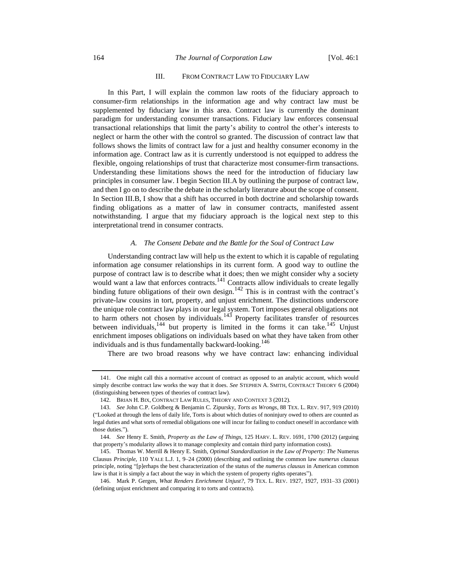#### 164 *The Journal of Corporation Law* [Vol. 46:1

# III. FROM CONTRACT LAW TO FIDUCIARY LAW

In this Part, I will explain the common law roots of the fiduciary approach to consumer-firm relationships in the information age and why contract law must be supplemented by fiduciary law in this area. Contract law is currently the dominant paradigm for understanding consumer transactions. Fiduciary law enforces consensual transactional relationships that limit the party's ability to control the other's interests to neglect or harm the other with the control so granted. The discussion of contract law that follows shows the limits of contract law for a just and healthy consumer economy in the information age. Contract law as it is currently understood is not equipped to address the flexible, ongoing relationships of trust that characterize most consumer-firm transactions. Understanding these limitations shows the need for the introduction of fiduciary law principles in consumer law. I begin Section III.A by outlining the purpose of contract law, and then I go on to describe the debate in the scholarly literature about the scope of consent. In Section III.B, I show that a shift has occurred in both doctrine and scholarship towards finding obligations as a matter of law in consumer contracts, manifested assent notwithstanding. I argue that my fiduciary approach is the logical next step to this interpretational trend in consumer contracts.

### <span id="page-21-1"></span>*A. The Consent Debate and the Battle for the Soul of Contract Law*

Understanding contract law will help us the extent to which it is capable of regulating information age consumer relationships in its current form. A good way to outline the purpose of contract law is to describe what it does; then we might consider why a society would want a law that enforces contracts.<sup>141</sup> Contracts allow individuals to create legally binding future obligations of their own design.<sup>142</sup> This is in contrast with the contract's private-law cousins in tort, property, and unjust enrichment. The distinctions underscore the unique role contract law plays in our legal system. Tort imposes general obligations not to harm others not chosen by individuals. $143$  Property facilitates transfer of resources between individuals,  $144$  but property is limited in the forms it can take.<sup>145</sup> Unjust enrichment imposes obligations on individuals based on what they have taken from other individuals and is thus fundamentally backward-looking.<sup>146</sup>

<span id="page-21-0"></span>There are two broad reasons why we have contract law: enhancing individual

<sup>141.</sup> One might call this a normative account of contract as opposed to an analytic account, which would simply describe contract law works the way that it does. *See* STEPHEN A. SMITH, CONTRACT THEORY 6 (2004) (distinguishing between types of theories of contract law).

<sup>142.</sup> BRIAN H. BIX, CONTRACT LAW RULES, THEORY AND CONTEXT 3 (2012).

<sup>143.</sup> *See* John C.P. Goldberg & Benjamin C. Zipursky, *Torts as Wrongs*, 88 TEX. L. REV. 917, 919 (2010) ("Looked at through the lens of daily life, Torts is about which duties of noninjury owed to others are counted as legal duties and what sorts of remedial obligations one will incur for failing to conduct oneself in accordance with those duties.").

<sup>144.</sup> *See* Henry E. Smith, *Property as the Law of Things*, 125 HARV. L. REV. 1691, 1700 (2012) (arguing that property's modularity allows it to manage complexity and contain third party information costs).

<sup>145.</sup> Thomas W. Merrill & Henry E. Smith, *Optimal Standardization in the Law of Property: The* Numerus Clausus *Principle*, 110 YALE L.J. 1, 9–24 (2000) (describing and outlining the common law *numerus clausus* principle, noting "[p]erhaps the best characterization of the status of the *numerus clausus* in American common law is that it is simply a fact about the way in which the system of property rights operates").

<sup>146.</sup> Mark P. Gergen, *What Renders Enrichment Unjust?*, 79 TEX. L. REV. 1927, 1927, 1931–33 (2001) (defining unjust enrichment and comparing it to torts and contracts).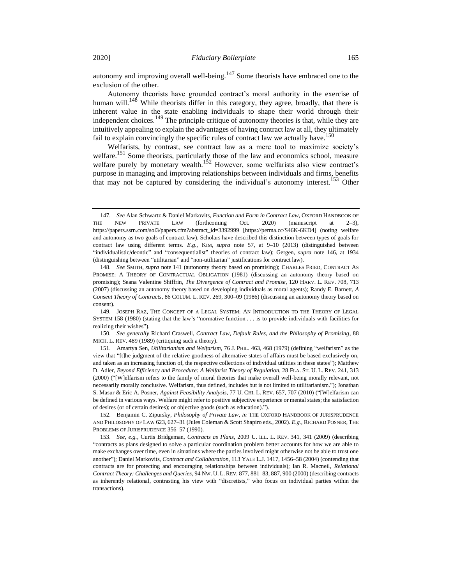autonomy and improving overall well-being.<sup>147</sup> Some theorists have embraced one to the exclusion of the other.

<span id="page-22-0"></span>Autonomy theorists have grounded contract's moral authority in the exercise of human will.<sup>148</sup> While theorists differ in this category, they agree, broadly, that there is inherent value in the state enabling individuals to shape their world through their independent choices.<sup>149</sup> The principle critique of autonomy theories is that, while they are intuitively appealing to explain the advantages of having contract law at all, they ultimately fail to explain convincingly the specific rules of contract law we actually have.<sup>150</sup>

<span id="page-22-1"></span>Welfarists, by contrast, see contract law as a mere tool to maximize society's welfare.<sup>151</sup> Some theorists, particularly those of the law and economics school, measure welfare purely by monetary wealth.<sup>152</sup> However, some welfarists also view contract's purpose in managing and improving relationships between individuals and firms, benefits that may not be captured by considering the individual's autonomy interest.<sup>153</sup> Other

150. *See generally* Richard Craswell, *Contract Law, Default Rules, and the Philosophy of Promising*, 88 MICH. L. REV. 489 (1989) (critiquing such a theory).

<sup>147.</sup> *See* Alan Schwartz & Daniel Markovits, *Function and Form in Contract Law*, OXFORD HANDBOOK OF THE NEW PRIVATE LAW (forthcoming Oct. 2020) (manuscript at 2–3), https://papers.ssrn.com/sol3/papers.cfm?abstract\_id=3392999 [https://perma.cc/S46K-6KD4] (noting welfare and autonomy as two goals of contract law). Scholars have described this distinction between types of goals for contract law using different terms. *E.g.*, KIM, *supra* note [57,](#page-9-2) at 9–10 (2013) (distinguished between "individualistic/deontic" and "consequentialist" theories of contract law); Gergen, *supra* note [146,](#page-21-0) at 1934 (distinguishing between "utilitarian" and "non-utilitarian" justifications for contract law).

<sup>148.</sup> *See* SMITH, *supra* note [141](#page-21-1) (autonomy theory based on promising); CHARLES FRIED, CONTRACT AS PROMISE: A THEORY OF CONTRACTUAL OBLIGATION (1981) (discussing an autonomy theory based on promising); Seana Valentine Shiffrin, *The Divergence of Contract and Promise*, 120 HARV. L. REV. 708, 713 (2007) (discussing an autonomy theory based on developing individuals as moral agents); Randy E. Barnett, *A Consent Theory of Contracts*, 86 COLUM. L. REV. 269, 300–09 (1986) (discussing an autonomy theory based on consent).

<sup>149.</sup> JOSEPH RAZ, THE CONCEPT OF A LEGAL SYSTEM: AN INTRODUCTION TO THE THEORY OF LEGAL SYSTEM 158 (1980) (stating that the law's "normative function . . . is to provide individuals with facilities for realizing their wishes").

<sup>151.</sup> Amartya Sen, *Utilitarianism and Welfarism*, 76 J. PHIL. 463, 468 (1979) (defining "welfarism" as the view that "[t]he judgment of the relative goodness of alternative states of affairs must be based exclusively on, and taken as an increasing function of, the respective collections of individual utilities in these states"); Matthew D. Adler, *Beyond Efficiency and Procedure: A Welfarist Theory of Regulation*, 28 FLA. ST. U. L. REV. 241, 313 (2000) ("[W]elfarism refers to the family of moral theories that make overall well-being morally relevant, not necessarily morally conclusive. Welfarism, thus defined, includes but is not limited to utilitarianism."); Jonathan S. Masur & Eric A. Posner, *Against Feasibility Analysis*, 77 U. CHI. L. REV. 657, 707 (2010) ("[W]elfarism can be defined in various ways. Welfare might refer to positive subjective experience or mental states; the satisfaction of desires (or of certain desires); or objective goods (such as education).").

<sup>152.</sup> Benjamin C. Zipursky, *Philosophy of Private Law*, *in* THE OXFORD HANDBOOK OF JURISPRUDENCE AND PHILOSOPHY OF LAW 623, 627–31 (Jules Coleman & Scott Shapiro eds., 2002). *E.g.*, RICHARD POSNER, THE PROBLEMS OF JURISPRUDENCE 356–57 (1990).

<sup>153.</sup> *See, e.g.*, Curtis Bridgeman, *Contracts as Plans*, 2009 U. ILL. L. REV. 341, 341 (2009) (describing "contracts as plans designed to solve a particular coordination problem better accounts for how we are able to make exchanges over time, even in situations where the parties involved might otherwise not be able to trust one another"); Daniel Markovits, *Contract and Collaboration*, 113 YALE L.J. 1417, 1456–58 (2004) (contending that contracts are for protecting and encouraging relationships between individuals); Ian R. Macneil, *Relational Contract Theory: Challenges and Queries*, 94 NW. U. L. REV. 877, 881–83, 887, 900 (2000) (describing contracts as inherently relational, contrasting his view with "discretists," who focus on individual parties within the transactions).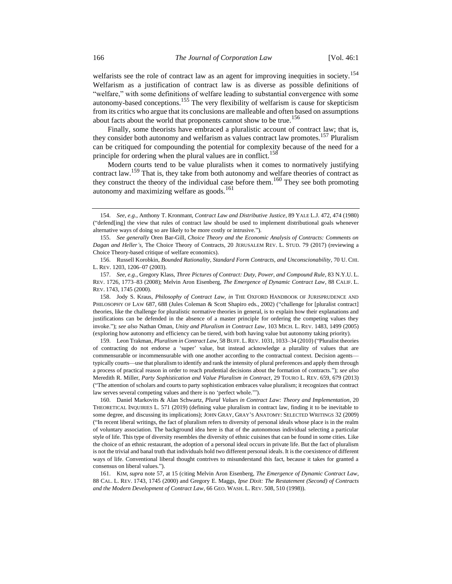welfarists see the role of contract law as an agent for improving inequities in society.<sup>154</sup> Welfarism as a justification of contract law is as diverse as possible definitions of "welfare," with some definitions of welfare leading to substantial convergence with some autonomy-based conceptions.<sup>155</sup> The very flexibility of welfarism is cause for skepticism from its critics who argue that its conclusions are malleable and often based on assumptions about facts about the world that proponents cannot show to be true.<sup>156</sup>

<span id="page-23-1"></span>Finally, some theorists have embraced a pluralistic account of contract law; that is, they consider both autonomy and welfarism as values contract law promotes.<sup>157</sup> Pluralism can be critiqued for compounding the potential for complexity because of the need for a principle for ordering when the plural values are in conflict.<sup>158</sup>

<span id="page-23-0"></span>Modern courts tend to be value pluralists when it comes to normatively justifying contract law.<sup>159</sup> That is, they take from both autonomy and welfare theories of contract as they construct the theory of the individual case before them.<sup>160</sup> They see both promoting autonomy and maximizing welfare as goods.<sup>161</sup>

156. Russell Korobkin, *Bounded Rationality, Standard Form Contracts, and Unconscionability*, 70 U. CHI. L. REV. 1203, 1206–07 (2003).

158. Jody S. Kraus, *Philosophy of Contract Law*, *in* THE OXFORD HANDBOOK OF JURISPRUDENCE AND PHILOSOPHY OF LAW 687, 688 (Jules Coleman & Scott Shapiro eds., 2002) ("challenge for [pluralist contract] theories, like the challenge for pluralistic normative theories in general, is to explain how their explanations and justifications can be defended in the absence of a master principle for ordering the competing values they invoke."); *see also* Nathan Oman, *Unity and Pluralism in Contract Law*, 103 MICH. L. REV. 1483, 1499 (2005) (exploring how autonomy and efficiency can be tiered, with both having value but autonomy taking priority).

159. Leon Trakman, *Pluralism in Contract Law*, 58 BUFF. L. REV. 1031, 1033–34 (2010) ("Pluralist theories of contracting do not endorse a 'super' value, but instead acknowledge a plurality of values that are commensurable or incommensurable with one another according to the contractual context. Decision agentstypically courts—use that pluralism to identify and rank the intensity of plural preferences and apply them through a process of practical reason in order to reach prudential decisions about the formation of contracts."); *see also* Meredith R. Miller, *Party Sophistication and Value Pluralism in Contract*, 29 TOURO L. REV. 659, 679 (2013) ("The attention of scholars and courts to party sophistication embraces value pluralism; it recognizes that contract law serves several competing values and there is no 'perfect whole.'").

160. Daniel Markovits & Alan Schwartz, *Plural Values in Contract Law: Theory and Implementation*, 20 THEORETICAL INQUIRIES L. 571 (2019) (defining value pluralism in contract law, finding it to be inevitable to some degree, and discussing its implications); JOHN GRAY, GRAY'S ANATOMY: SELECTED WRITINGS 32 (2009) ("In recent liberal writings, the fact of pluralism refers to diversity of personal ideals whose place is in the realm of voluntary association. The background idea here is that of the autonomous individual selecting a particular style of life. This type of diversity resembles the diversity of ethnic cuisines that can be found in some cities. Like the choice of an ethnic restaurant, the adoption of a personal ideal occurs in private life. But the fact of pluralism is not the trivial and banal truth that individuals hold two different personal ideals. It is the coexistence of different ways of life. Conventional liberal thought contrives to misunderstand this fact, because it takes for granted a consensus on liberal values.").

161. KIM, *supra* not[e 57,](#page-9-2) at 15 (citing Melvin Aron Eisenberg, *The Emergence of Dynamic Contract Law*, 88 CAL. L. REV. 1743, 1745 (2000) and Gregory E. Maggs, *Ipse Dixit: The Restatement (Second) of Contracts and the Modern Development of Contract Law*, 66 GEO. WASH. L. REV. 508, 510 (1998)).

<sup>154.</sup> *See, e.g.*, Anthony T. Kronmant, *Contract Law and Distributive Justice*, 89 YALE L.J. 472, 474 (1980) ("defend[ing] the view that rules of contract law should be used to implement distributional goals whenever alternative ways of doing so are likely to be more costly or intrusive.").

<sup>155.</sup> *See generally* Oren Bar-Gill, *Choice Theory and the Economic Analysis of Contracts: Comments on Dagan and Heller's,* The Choice Theory of Contracts, 20 JERUSALEM REV. L. STUD. 79 (2017) (reviewing a Choice Theory-based critique of welfare economics).

<sup>157.</sup> *See, e.g.*, Gregory Klass, *Three Pictures of Contract: Duty, Power, and Compound Rule*, 83 N.Y.U. L. REV. 1726, 1773–83 (2008); Melvin Aron Eisenberg, *The Emergence of Dynamic Contract Law*, 88 CALIF. L. REV. 1743, 1745 (2000).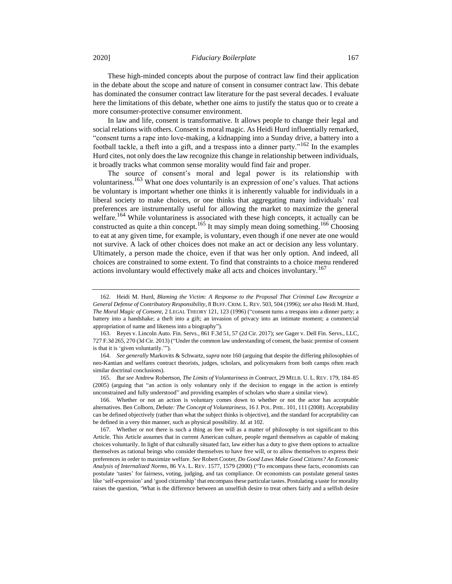These high-minded concepts about the purpose of contract law find their application in the debate about the scope and nature of consent in consumer contract law. This debate has dominated the consumer contract law literature for the past several decades. I evaluate here the limitations of this debate, whether one aims to justify the status quo or to create a more consumer-protective consumer environment.

In law and life, consent is transformative. It allows people to change their legal and social relations with others. Consent is moral magic. As Heidi Hurd influentially remarked, "consent turns a rape into love-making, a kidnapping into a Sunday drive, a battery into a football tackle, a theft into a gift, and a trespass into a dinner party."<sup>162</sup> In the examples Hurd cites, not only does the law recognize this change in relationship between individuals, it broadly tracks what common sense morality would find fair and proper.

The source of consent's moral and legal power is its relationship with voluntariness.<sup>163</sup> What one does voluntarily is an expression of one's values. That actions be voluntary is important whether one thinks it is inherently valuable for individuals in a liberal society to make choices, or one thinks that aggregating many individuals' real preferences are instrumentally useful for allowing the market to maximize the general welfare.<sup>164</sup> While voluntariness is associated with these high concepts, it actually can be constructed as quite a thin concept.  $165$  It may simply mean doing something.  $166$  Choosing to eat at any given time, for example, is voluntary, even though if one never ate one would not survive. A lack of other choices does not make an act or decision any less voluntary. Ultimately, a person made the choice, even if that was her only option. And indeed, all choices are constrained to some extent. To find that constraints to a choice menu rendered actions involuntary would effectively make all acts and choices involuntary.<sup>167</sup>

163. Reyes v. Lincoln Auto. Fin. Servs., 861 F.3d 51, 57 (2d Cir. 2017); *see* Gager v. Dell Fin. Servs., LLC, 727 F.3d 265, 270 (3d Cir. 2013) ("Under the common law understanding of consent, the basic premise of consent is that it is 'given voluntarily.'").

164. *See generally* Markovits & Schwartz, *supra* not[e 160](#page-23-0) (arguing that despite the differing philosophies of neo-Kantian and welfares contract theorists, judges, scholars, and policymakers from both camps often reach similar doctrinal conclusions).

165. *But see* Andrew Robertson, *The Limits of Voluntariness in Contract*, 29 MELB. U. L. REV. 179, 184–85 (2005) (arguing that "an action is only voluntary only if the decision to engage in the action is entirely unconstrained and fully understood" and providing examples of scholars who share a similar view).

166. Whether or not an action is voluntary comes down to whether or not the actor has acceptable alternatives. Ben Colborn, *Debate: The Concept of Voluntariness*, 16 J. POL. PHIL. 101, 111 (2008). Acceptability can be defined objectively (rather than what the subject thinks is objective), and the standard for acceptability can be defined in a very thin manner, such as physical possibility. *Id.* at 102.

167. Whether or not there is such a thing as free will as a matter of philosophy is not significant to this Article. This Article assumes that in current American culture, people regard themselves as capable of making choices voluntarily. In light of that culturally situated fact, law either has a duty to give them options to actualize themselves as rational beings who consider themselves to have free will, or to allow themselves to express their preferences in order to maximize welfare. *See* Robert Cooter, *Do Good Laws Make Good Citizens? An Economic Analysis of Internalized Norms*, 86 VA. L. REV. 1577, 1579 (2000) ("To encompass these facts, economists can postulate 'tastes' for fairness, voting, judging, and tax compliance. Or economists can postulate general tastes like 'self-expression' and 'good citizenship' that encompass these particular tastes. Postulating a taste for morality raises the question, 'What is the difference between an unselfish desire to treat others fairly and a selfish desire

<sup>162.</sup> Heidi M. Hurd, *Blaming the Victim: A Response to the Proposal That Criminal Law Recognize a General Defense of Contributory Responsibility*, 8 BUFF. CRIM. L. REV. 503, 504 (1996); *see also* Heidi M. Hurd, *The Moral Magic of Consent*, 2 LEGAL THEORY 121, 123 (1996) ("consent turns a trespass into a dinner party; a battery into a handshake; a theft into a gift; an invasion of privacy into an intimate moment; a commercial appropriation of name and likeness into a biography").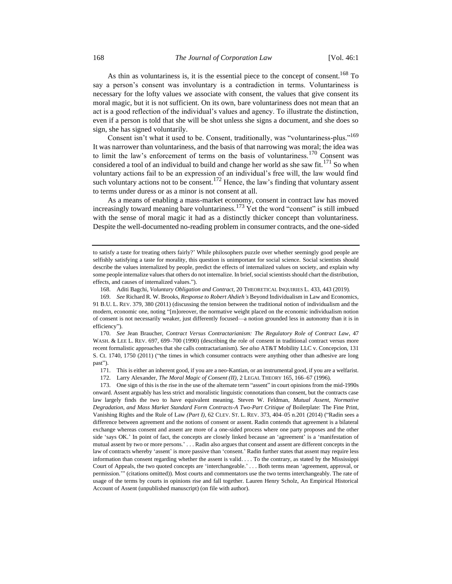As thin as voluntariness is, it is the essential piece to the concept of consent.<sup>168</sup> To say a person's consent was involuntary is a contradiction in terms. Voluntariness is necessary for the lofty values we associate with consent, the values that give consent its moral magic, but it is not sufficient. On its own, bare voluntariness does not mean that an act is a good reflection of the individual's values and agency. To illustrate the distinction, even if a person is told that she will be shot unless she signs a document, and she does so sign, she has signed voluntarily.

Consent isn't what it used to be. Consent, traditionally, was "voluntariness-plus."<sup>169</sup> It was narrower than voluntariness, and the basis of that narrowing was moral; the idea was to limit the law's enforcement of terms on the basis of voluntariness.<sup>170</sup> Consent was considered a tool of an individual to build and change her world as she saw fit.<sup>171</sup> So when voluntary actions fail to be an expression of an individual's free will, the law would find such voluntary actions not to be consent.<sup>172</sup> Hence, the law's finding that voluntary assent to terms under duress or as a minor is not consent at all.

As a means of enabling a mass-market economy, consent in contract law has moved increasingly toward meaning bare voluntariness.<sup>173</sup> Yet the word "consent" is still imbued with the sense of moral magic it had as a distinctly thicker concept than voluntariness. Despite the well-documented no-reading problem in consumer contracts, and the one-sided

170. *See* Jean Braucher, *Contract Versus Contractarianism: The Regulatory Role of Contract Law*, 47 WASH. & LEE L. REV. 697, 699–700 (1990) (describing the role of consent in traditional contract versus more recent formalistic approaches that she calls contractarianism). *See also* AT&T Mobility LLC v. Concepcion, 131 S. Ct. 1740, 1750 (2011) ("the times in which consumer contracts were anything other than adhesive are long past").

171. This is either an inherent good, if you are a neo-Kantian, or an instrumental good, if you are a welfarist.

172. Larry Alexander, *The Moral Magic of Consent (II)*, 2 LEGAL THEORY 165, 166–67 (1996).

173. One sign of this is the rise in the use of the alternate term "assent" in court opinions from the mid-1990s onward. Assent arguably has less strict and moralistic linguistic connotations than consent, but the contracts case law largely finds the two to have equivalent meaning. Steven W. Feldman, *Mutual Assent, Normative Degradation, and Mass Market Standard Form Contracts-A Two-Part Critique of* Boilerplate: The Fine Print, Vanishing Rights and the Rule of Law *(Part I)*, 62 CLEV. ST. L. REV. 373, 404–05 n.201 (2014) ("Radin sees a difference between agreement and the notions of consent or assent. Radin contends that agreement is a bilateral exchange whereas consent and assent are more of a one-sided process where one party proposes and the other side 'says OK.' In point of fact, the concepts are closely linked because an 'agreement' is a 'manifestation of mutual assent by two or more persons.' . . . Radin also argues that consent and assent are different concepts in the law of contracts whereby 'assent' is more passive than 'consent.' Radin further states that assent may require less information than consent regarding whether the assent is valid. . . . To the contrary, as stated by the Mississippi Court of Appeals, the two quoted concepts are 'interchangeable.' . . . Both terms mean 'agreement, approval, or permission.'" (citations omitted)). Most courts and commentators use the two terms interchangeably. The rate of usage of the terms by courts in opinions rise and fall together. Lauren Henry Scholz, An Empirical Historical Account of Assent (unpublished manuscript) (on file with author).

to satisfy a taste for treating others fairly?' While philosophers puzzle over whether seemingly good people are selfishly satisfying a taste for morality, this question is unimportant for social science. Social scientists should describe the values internalized by people, predict the effects of internalized values on society, and explain why some people internalize values that others do not internalize. In brief, social scientists should chart the distribution, effects, and causes of internalized values.").

<sup>168.</sup> Aditi Bagchi, *Voluntary Obligation and Contract*, 20 THEORETICAL INQUIRIES L. 433, 443 (2019).

<sup>169.</sup> *See* Richard R. W. Brooks, *Response to Robert Ahdieh's* Beyond Individualism in Law and Economics, 91 B.U. L. REV. 379, 380 (2011) (discussing the tension between the traditional notion of individualism and the modern, economic one, noting "[m]oreover, the normative weight placed on the economic individualism notion of consent is not necessarily weaker, just differently focused—a notion grounded less in autonomy than it is in efficiency").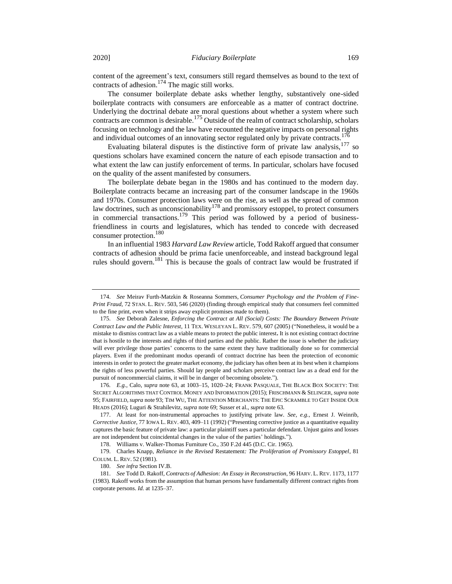content of the agreement's text, consumers still regard themselves as bound to the text of contracts of adhesion.<sup>174</sup> The magic still works.

The consumer boilerplate debate asks whether lengthy, substantively one-sided boilerplate contracts with consumers are enforceable as a matter of contract doctrine. Underlying the doctrinal debate are moral questions about whether a system where such contracts are common is desirable.<sup>175</sup> Outside of the realm of contract scholarship, scholars focusing on technology and the law have recounted the negative impacts on personal rights and individual outcomes of an innovating sector regulated only by private contracts.<sup>176</sup>

Evaluating bilateral disputes is the distinctive form of private law analysis,<sup>177</sup> so questions scholars have examined concern the nature of each episode transaction and to what extent the law can justify enforcement of terms. In particular, scholars have focused on the quality of the assent manifested by consumers.

The boilerplate debate began in the 1980s and has continued to the modern day. Boilerplate contracts became an increasing part of the consumer landscape in the 1960s and 1970s. Consumer protection laws were on the rise, as well as the spread of common law doctrines, such as unconscionability<sup>178</sup> and promissory estoppel, to protect consumers in commercial transactions.<sup>179</sup> This period was followed by a period of businessfriendliness in courts and legislatures, which has tended to concede with decreased consumer protection.<sup>180</sup>

<span id="page-26-0"></span>In an influential 1983 *Harvard Law Review* article, Todd Rakoff argued that consumer contracts of adhesion should be prima facie unenforceable, and instead background legal rules should govern.<sup>181</sup> This is because the goals of contract law would be frustrated if

178. Williams v. Walker-Thomas Furniture Co., 350 F.2d 445 (D.C. Cir. 1965).

179. Charles Knapp, *Reliance in the Revised* Restatement*: The Proliferation of Promissory Estoppel*, 81 COLUM. L. REV. 52 (1981).

<sup>174.</sup> *See* Meirav Furth-Matzkin & Roseanna Sommers, *Consumer Psychology and the Problem of Fine-Print Fraud*, 72 STAN. L. REV. 503, 546 (2020) (finding through empirical study that consumers feel committed to the fine print, even when it strips away explicit promises made to them).

<sup>175.</sup> *See* Deborah Zalesne, *Enforcing the Contract at All (Social) Costs: The Boundary Between Private Contract Law and the Public Interest*, 11 TEX. WESLEYAN L. REV. 579, 607 (2005) ("Nonetheless, it would be a mistake to dismiss contract law as a viable means to protect the public interest**.** It is not existing contract doctrine that is hostile to the interests and rights of third parties and the public. Rather the issue is whether the judiciary will ever privilege those parties' concerns to the same extent they have traditionally done so for commercial players. Even if the predominant modus operandi of contract doctrine has been the protection of economic interests in order to protect the greater market economy, the judiciary has often been at its best when it champions the rights of less powerful parties. Should lay people and scholars perceive contract law as a dead end for the pursuit of noncommercial claims, it will be in danger of becoming obsolete.").

<sup>176</sup>*. E.g.*, Calo, *supra* note [63,](#page-10-0) at 1003–15, 1020–24; FRANK PASQUALE, THE BLACK BOX SOCIETY: THE SECRET ALGORITHMS THAT CONTROL MONEY AND INFORMATION (2015); FRISCHMANN & SELINGER, *supra* note [95;](#page-13-0) FAIRFIELD, *supra* note [93;](#page-13-1) TIM WU, THE ATTENTION MERCHANTS: THE EPIC SCRAMBLE TO GET INSIDE OUR HEADS (2016); Luguri & Strahilevitz, *supra* note [69;](#page-10-1) Susser et al., *supra* not[e 63.](#page-10-0)

<sup>177.</sup> At least for non-instrumental approaches to justifying private law. *See, e.g.*, Ernest J. Weinrib, *Corrective Justice*, 77 IOWA L. REV. 403, 409–11 (1992) ("Presenting corrective justice as a quantitative equality captures the basic feature of private law: a particular plaintiff sues a particular defendant. Unjust gains and losses are not independent but coincidental changes in the value of the parties' holdings.").

<sup>180.</sup> *See infra* Section IV.B.

<sup>181.</sup> *See* Todd D. Rakoff, *Contracts of Adhesion: An Essay in Reconstruction*, 96 HARV. L. REV. 1173, 1177 (1983). Rakoff works from the assumption that human persons have fundamentally different contract rights from corporate persons. *Id.* at 1235–37.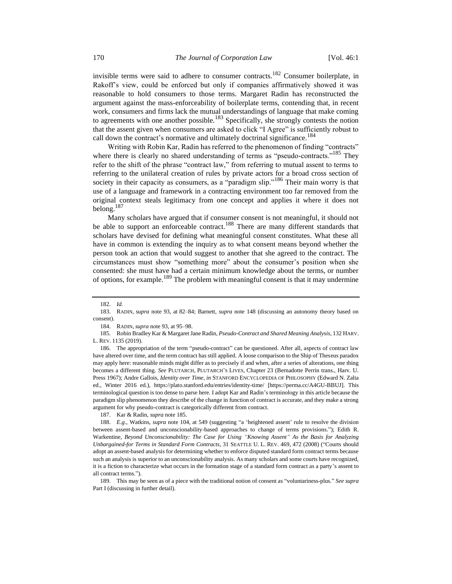invisible terms were said to adhere to consumer contracts.<sup>182</sup> Consumer boilerplate, in Rakoff's view, could be enforced but only if companies affirmatively showed it was reasonable to hold consumers to those terms. Margaret Radin has reconstructed the argument against the mass-enforceability of boilerplate terms, contending that, in recent work, consumers and firms lack the mutual understandings of language that make coming to agreements with one another possible.<sup>183</sup> Specifically, she strongly contests the notion that the assent given when consumers are asked to click "I Agree" is sufficiently robust to call down the contract's normative and ultimately doctrinal significance.<sup>184</sup>

<span id="page-27-0"></span>Writing with Robin Kar, Radin has referred to the phenomenon of finding "contracts" where there is clearly no shared understanding of terms as "pseudo-contracts."<sup>185</sup> They refer to the shift of the phrase "contract law," from referring to mutual assent to terms to referring to the unilateral creation of rules by private actors for a broad cross section of society in their capacity as consumers, as a "paradigm slip."<sup>186</sup> Their main worry is that use of a language and framework in a contracting environment too far removed from the original context steals legitimacy from one concept and applies it where it does not belong. $187$ 

Many scholars have argued that if consumer consent is not meaningful, it should not be able to support an enforceable contract.<sup>188</sup> There are many different standards that scholars have devised for defining what meaningful consent constitutes. What these all have in common is extending the inquiry as to what consent means beyond whether the person took an action that would suggest to another that she agreed to the contract. The circumstances must show "something more" about the consumer's position when she consented: she must have had a certain minimum knowledge about the terms, or number of options, for example.<sup>189</sup> The problem with meaningful consent is that it may undermine

<sup>182.</sup> *Id.*

<sup>183.</sup> RADIN, *supra* note [93,](#page-13-1) at 82–84; Barnett, *supra* note [148](#page-22-0) (discussing an autonomy theory based on consent).

<sup>184.</sup> RADIN, *supra* not[e 93,](#page-13-1) at 95–98.

<sup>185.</sup> Robin Bradley Kar & Margaret Jane Radin, *Pseudo-Contract and Shared Meaning Analysis*, 132 HARV. L. REV. 1135 (2019).

<sup>186.</sup> The appropriation of the term "pseudo-contract" can be questioned. After all, aspects of contract law have altered over time, and the term contract has still applied. A loose comparison to the Ship of Theseus paradox may apply here: reasonable minds might differ as to precisely if and when, after a series of alterations, one thing becomes a different thing. *See* PLUTARCH, PLUTARCH'S LIVES, Chapter 23 (Bernadotte Perrin trans., Harv. U. Press 1967); Andre Gallois, *Identity over Time*, *in* STANFORD ENCYCLOPEDIA OF PHILOSOPHY (Edward N. Zalta ed., Winter 2016 ed.), https://plato.stanford.edu/entries/identity-time/ [https://perma.cc/A4GU-BBUJ]. This terminological question is too dense to parse here. I adopt Kar and Radin's terminology in this article because the paradigm slip phenomenon they describe of the change in function of contract is accurate, and they make a strong argument for why pseudo-contract is categorically different from contract.

<sup>187.</sup> Kar & Radin, *supra* not[e 185.](#page-27-0)

<sup>188.</sup> *E.g.*, Watkins, *supra* note [104,](#page-15-2) at 549 (suggesting "a 'heightened assent' rule to resolve the division between assent-based and unconscionability-based approaches to change of terms provisions."); Edith R. Warkentine, *Beyond Unconscionability: The Case for Using "Knowing Assent" As the Basis for Analyzing Unbargained-for Terms in Standard Form Contracts*, 31 SEATTLE U. L. REV. 469, 472 (2008) ("Courts should adopt an assent-based analysis for determining whether to enforce disputed standard form contract terms because such an analysis is superior to an unconscionability analysis. As many scholars and some courts have recognized, it is a fiction to characterize what occurs in the formation stage of a standard form contract as a party's assent to all contract terms.").

<sup>189.</sup> This may be seen as of a piece with the traditional notion of consent as "voluntariness-plus." *See supra*  Part I (discussing in further detail).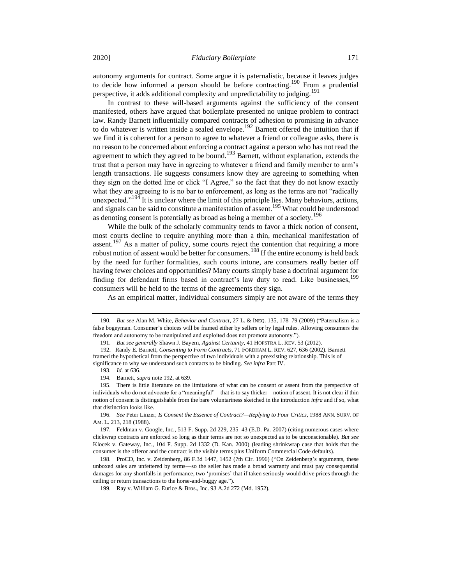autonomy arguments for contract. Some argue it is paternalistic, because it leaves judges to decide how informed a person should be before contracting.<sup>190</sup> From a prudential perspective, it adds additional complexity and unpredictability to judging.<sup>191</sup>

<span id="page-28-0"></span>In contrast to these will-based arguments against the sufficiency of the consent manifested, others have argued that boilerplate presented no unique problem to contract law. Randy Barnett influentially compared contracts of adhesion to promising in advance to do whatever is written inside a sealed envelope.<sup>192</sup> Barnett offered the intuition that if we find it is coherent for a person to agree to whatever a friend or colleague asks, there is no reason to be concerned about enforcing a contract against a person who has not read the agreement to which they agreed to be bound.<sup>193</sup> Barnett, without explanation, extends the trust that a person may have in agreeing to whatever a friend and family member to arm's length transactions. He suggests consumers know they are agreeing to something when they sign on the dotted line or click "I Agree," so the fact that they do not know exactly what they are agreeing to is no bar to enforcement, as long as the terms are not "radically unexpected."<sup>194</sup> It is unclear where the limit of this principle lies. Many behaviors, actions, and signals can be said to constitute a manifestation of assent.<sup>195</sup> What could be understood as denoting consent is potentially as broad as being a member of a society.<sup>196</sup>

While the bulk of the scholarly community tends to favor a thick notion of consent, most courts decline to require anything more than a thin, mechanical manifestation of assent.<sup>197</sup> As a matter of policy, some courts reject the contention that requiring a more robust notion of assent would be better for consumers.<sup>198</sup> If the entire economy is held back by the need for further formalities, such courts intone, are consumers really better off having fewer choices and opportunities? Many courts simply base a doctrinal argument for finding for defendant firms based in contract's law duty to read. Like businesses, 199 consumers will be held to the terms of the agreements they sign.

As an empirical matter, individual consumers simply are not aware of the terms they

<sup>190.</sup> *But see* Alan M. White, *Behavior and Contract*, 27 L. & INEQ. 135, 178–79 (2009) ("Paternalism is a false bogeyman. Consumer's choices will be framed either by sellers or by legal rules. Allowing consumers the freedom and autonomy to be manipulated and exploited does not promote autonomy.").

<sup>191.</sup> *But see generally* Shawn J. Bayern, *Against Certainty*, 41 HOFSTRA L. REV. 53 (2012).

 <sup>192.</sup> Randy E. Barnett, *Consenting to Form Contracts*, 71 FORDHAM L. REV. 627, 636 (2002). Barnett framed the hypothetical from the perspective of two individuals with a preexisting relationship. This is of significance to why we understand such contacts to be binding. *See infra* Part IV.

<sup>193.</sup> *Id.* at 636.

<sup>194.</sup> Barnett, *supra* note [192,](#page-28-0) at 639.

<sup>195.</sup> There is little literature on the limitations of what can be consent or assent from the perspective of individuals who do not advocate for a "meaningful"—that is to say thicker—notion of assent. It is not clear if thin notion of consent is distinguishable from the bare voluntariness sketched in the introduction *infra* and if so, what that distinction looks like.

<sup>196.</sup> *See* Peter Linzer, *Is Consent the Essence of Contract?—Replying to Four Critics*, 1988 ANN. SURV. OF AM. L. 213, 218 (1988).

<sup>197.</sup> Feldman v. Google, Inc., 513 F. Supp. 2d 229, 235–43 (E.D. Pa. 2007) (citing numerous cases where clickwrap contracts are enforced so long as their terms are not so unexpected as to be unconscionable). *But see* Klocek v. Gateway, Inc., 104 F. Supp. 2d 1332 (D. Kan. 2000) (leading shrinkwrap case that holds that the consumer is the offeror and the contract is the visible terms plus Uniform Commercial Code defaults).

<sup>198.</sup> ProCD, Inc. v. Zeidenberg, 86 F.3d 1447, 1452 (7th Cir. 1996) ("On Zeidenberg's arguments, these unboxed sales are unfettered by terms—so the seller has made a broad warranty and must pay consequential damages for any shortfalls in performance, two 'promises' that if taken seriously would drive prices through the ceiling or return transactions to the horse-and-buggy age.").

<sup>199.</sup> Ray v. William G. Eurice & Bros., Inc. 93 A.2d 272 (Md. 1952).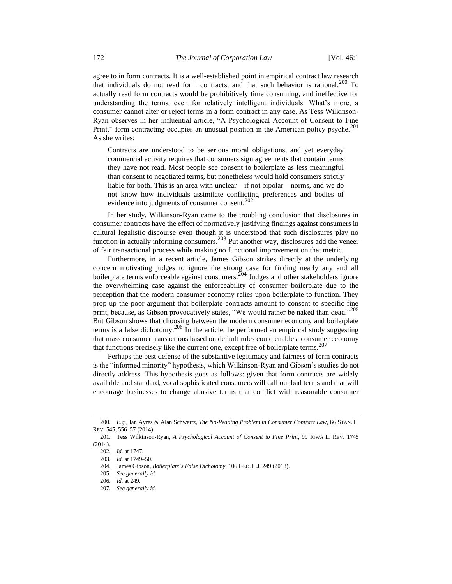agree to in form contracts. It is a well-established point in empirical contract law research that individuals do not read form contracts, and that such behavior is rational.<sup>200</sup> To actually read form contracts would be prohibitively time consuming, and ineffective for understanding the terms, even for relatively intelligent individuals. What's more, a consumer cannot alter or reject terms in a form contract in any case. As Tess Wilkinson-Ryan observes in her influential article, "A Psychological Account of Consent to Fine Print," form contracting occupies an unusual position in the American policy psyche.<sup>201</sup> As she writes:

Contracts are understood to be serious moral obligations, and yet everyday commercial activity requires that consumers sign agreements that contain terms they have not read. Most people see consent to boilerplate as less meaningful than consent to negotiated terms, but nonetheless would hold consumers strictly liable for both. This is an area with unclear—if not bipolar—norms, and we do not know how individuals assimilate conflicting preferences and bodies of evidence into judgments of consumer consent.<sup>202</sup>

In her study, Wilkinson-Ryan came to the troubling conclusion that disclosures in consumer contracts have the effect of normatively justifying findings against consumers in cultural legalistic discourse even though it is understood that such disclosures play no function in actually informing consumers.<sup>203</sup> Put another way, disclosures add the veneer of fair transactional process while making no functional improvement on that metric.

Furthermore, in a recent article, James Gibson strikes directly at the underlying concern motivating judges to ignore the strong case for finding nearly any and all boilerplate terms enforceable against consumers.  $^{204}$  Judges and other stakeholders ignore the overwhelming case against the enforceability of consumer boilerplate due to the perception that the modern consumer economy relies upon boilerplate to function. They prop up the poor argument that boilerplate contracts amount to consent to specific fine print, because, as Gibson provocatively states, "We would rather be naked than dead."<sup>205</sup> But Gibson shows that choosing between the modern consumer economy and boilerplate terms is a false dichotomy.<sup>206</sup> In the article, he performed an empirical study suggesting that mass consumer transactions based on default rules could enable a consumer economy that functions precisely like the current one, except free of boilerplate terms. $207$ 

Perhaps the best defense of the substantive legitimacy and fairness of form contracts is the "informed minority" hypothesis, which Wilkinson-Ryan and Gibson's studies do not directly address. This hypothesis goes as follows: given that form contracts are widely available and standard, vocal sophisticated consumers will call out bad terms and that will encourage businesses to change abusive terms that conflict with reasonable consumer

<sup>200.</sup> *E.g.*, Ian Ayres & Alan Schwartz, *The No-Reading Problem in Consumer Contract Law*, 66 STAN. L. REV. 545, 556–57 (2014).

<sup>201.</sup> Tess Wilkinson-Ryan, *A Psychological Account of Consent to Fine Print*, 99 IOWA L. REV. 1745  $(2014)$ .

<sup>202.</sup> *Id.* at 1747.

<sup>203.</sup> *Id.* at 1749–50.

<sup>204.</sup> James Gibson, *Boilerplate's False Dichotomy*, 106 GEO. L.J. 249 (2018).

<sup>205.</sup> *See generally id.*

<sup>206.</sup> *Id.* at 249.

<sup>207.</sup> *See generally id.*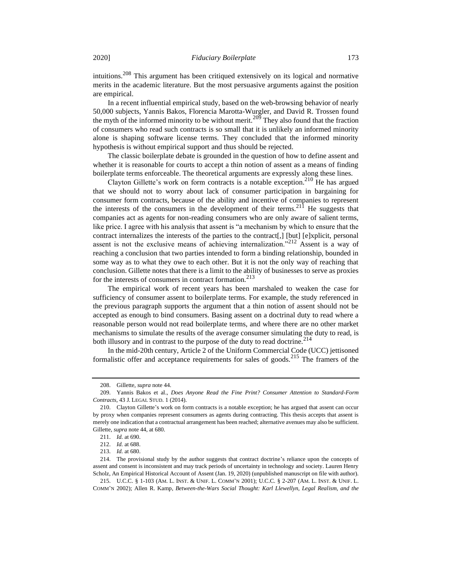intuitions.<sup>208</sup> This argument has been critiqued extensively on its logical and normative merits in the academic literature. But the most persuasive arguments against the position are empirical.

In a recent influential empirical study, based on the web-browsing behavior of nearly 50,000 subjects, Yannis Bakos, Florencia Marotta-Wurgler, and David R. Trossen found the myth of the informed minority to be without merit.<sup>209</sup> They also found that the fraction of consumers who read such contracts is so small that it is unlikely an informed minority alone is shaping software license terms. They concluded that the informed minority hypothesis is without empirical support and thus should be rejected.

The classic boilerplate debate is grounded in the question of how to define assent and whether it is reasonable for courts to accept a thin notion of assent as a means of finding boilerplate terms enforceable. The theoretical arguments are expressly along these lines.

Clayton Gillette's work on form contracts is a notable exception.<sup>210</sup> He has argued that we should not to worry about lack of consumer participation in bargaining for consumer form contracts, because of the ability and incentive of companies to represent the interests of the consumers in the development of their terms.<sup>211</sup> He suggests that companies act as agents for non-reading consumers who are only aware of salient terms, like price. I agree with his analysis that assent is "a mechanism by which to ensure that the contract internalizes the interests of the parties to the contract[,] [but] [e]xplicit, personal assent is not the exclusive means of achieving internalization."<sup>212</sup> Assent is a way of reaching a conclusion that two parties intended to form a binding relationship, bounded in some way as to what they owe to each other. But it is not the only way of reaching that conclusion. Gillette notes that there is a limit to the ability of businesses to serve as proxies for the interests of consumers in contract formation.<sup>213</sup>

The empirical work of recent years has been marshaled to weaken the case for sufficiency of consumer assent to boilerplate terms. For example, the study referenced in the previous paragraph supports the argument that a thin notion of assent should not be accepted as enough to bind consumers. Basing assent on a doctrinal duty to read where a reasonable person would not read boilerplate terms, and where there are no other market mechanisms to simulate the results of the average consumer simulating the duty to read, is both illusory and in contrast to the purpose of the duty to read doctrine.<sup>214</sup>

In the mid-20th century, Article 2 of the Uniform Commercial Code (UCC) jettisoned formalistic offer and acceptance requirements for sales of goods.<sup>215</sup> The framers of the

<sup>208.</sup> Gillette, *supra* not[e 44.](#page-7-1)

<sup>209.</sup> Yannis Bakos et al., *Does Anyone Read the Fine Print? Consumer Attention to Standard-Form Contracts*, 43 J. LEGAL STUD. 1 (2014).

<sup>210.</sup> Clayton Gillette's work on form contracts is a notable exception; he has argued that assent can occur by proxy when companies represent consumers as agents during contracting. This thesis accepts that assent is merely one indication that a contractual arrangement has been reached; alternative avenues may also be sufficient. Gillette, *supra* not[e 44,](#page-7-1) at 680.

<sup>211.</sup> *Id.* at 690.

<sup>212.</sup> *Id.* at 688.

<sup>213.</sup> *Id.* at 680.

<sup>214.</sup> The provisional study by the author suggests that contract doctrine's reliance upon the concepts of assent and consent is inconsistent and may track periods of uncertainty in technology and society. Lauren Henry Scholz, An Empirical Historical Account of Assent (Jan. 19, 2020) (unpublished manuscript on file with author).

<sup>215.</sup> U.C.C. § 1-103 (AM. L. INST. & UNIF. L. COMM'N 2001); U.C.C. § 2-207 (AM. L. INST. & UNIF. L. COMM'N 2002); Allen R. Kamp, *Between-the-Wars Social Thought: Karl Llewellyn, Legal Realism, and the*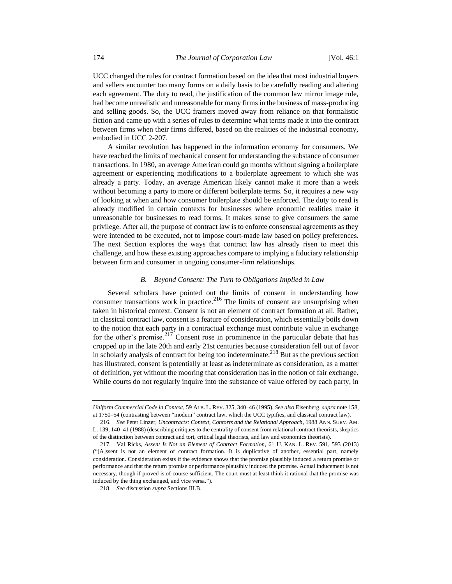UCC changed the rules for contract formation based on the idea that most industrial buyers and sellers encounter too many forms on a daily basis to be carefully reading and altering each agreement. The duty to read, the justification of the common law mirror image rule, had become unrealistic and unreasonable for many firms in the business of mass-producing and selling goods. So, the UCC framers moved away from reliance on that formalistic fiction and came up with a series of rules to determine what terms made it into the contract between firms when their firms differed, based on the realities of the industrial economy, embodied in UCC 2-207.

A similar revolution has happened in the information economy for consumers. We have reached the limits of mechanical consent for understanding the substance of consumer transactions. In 1980, an average American could go months without signing a boilerplate agreement or experiencing modifications to a boilerplate agreement to which she was already a party. Today, an average American likely cannot make it more than a week without becoming a party to more or different boilerplate terms. So, it requires a new way of looking at when and how consumer boilerplate should be enforced. The duty to read is already modified in certain contexts for businesses where economic realities make it unreasonable for businesses to read forms. It makes sense to give consumers the same privilege. After all, the purpose of contract law is to enforce consensual agreements as they were intended to be executed, not to impose court-made law based on policy preferences. The next Section explores the ways that contract law has already risen to meet this challenge, and how these existing approaches compare to implying a fiduciary relationship between firm and consumer in ongoing consumer-firm relationships.

### <span id="page-31-0"></span>*B. Beyond Consent: The Turn to Obligations Implied in Law*

Several scholars have pointed out the limits of consent in understanding how consumer transactions work in practice.<sup>216</sup> The limits of consent are unsurprising when taken in historical context. Consent is not an element of contract formation at all. Rather, in classical contract law, consent is a feature of consideration, which essentially boils down to the notion that each party in a contractual exchange must contribute value in exchange for the other's promise.<sup>217</sup> Consent rose in prominence in the particular debate that has cropped up in the late 20th and early 21st centuries because consideration fell out of favor in scholarly analysis of contract for being too indeterminate.<sup>218</sup> But as the previous section has illustrated, consent is potentially at least as indeterminate as consideration, as a matter of definition, yet without the mooring that consideration has in the notion of fair exchange. While courts do not regularly inquire into the substance of value offered by each party, in

*Uniform Commercial Code in Context*, 59 ALB. L. REV. 325, 340–46 (1995). *See also* Eisenberg, *supra* note 158, at 1750–54 (contrasting between "modern" contract law, which the UCC typifies, and classical contract law).

<sup>216.</sup> *See* Peter Linzer, *Uncontracts: Context, Contorts and the Relational Approach*, 1988 ANN. SURV. AM. L. 139, 140–41 (1988) (describing critiques to the centrality of consent from relational contract theorists, skeptics of the distinction between contract and tort, critical legal theorists, and law and economics theorists).

<sup>217.</sup> Val Ricks, *Assent Is Not an Element of Contract Formation*, 61 U. KAN. L. REV. 591, 593 (2013) ("[A]ssent is not an element of contract formation. It is duplicative of another, essential part, namely consideration. Consideration exists if the evidence shows that the promise plausibly induced a return promise or performance and that the return promise or performance plausibly induced the promise. Actual inducement is not necessary, though if proved is of course sufficient. The court must at least think it rational that the promise was induced by the thing exchanged, and vice versa.").

<sup>218.</sup> *See* discussion *supra* Sections III.B.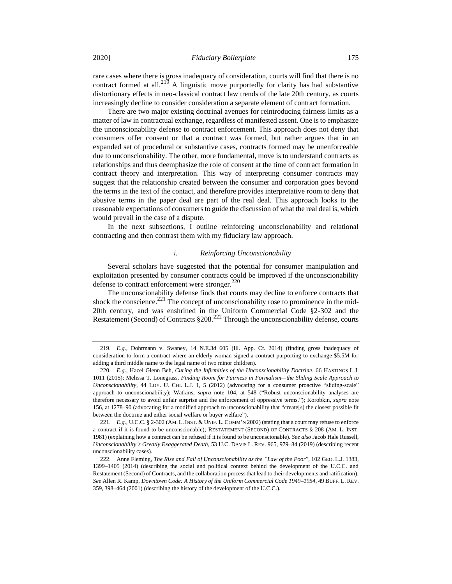rare cases where there is gross inadequacy of consideration, courts will find that there is no contract formed at all.<sup>219</sup> A linguistic move purportedly for clarity has had substantive distortionary effects in neo-classical contract law trends of the late 20th century, as courts increasingly decline to consider consideration a separate element of contract formation.

There are two major existing doctrinal avenues for reintroducing fairness limits as a matter of law in contractual exchange, regardless of manifested assent. One is to emphasize the unconscionability defense to contract enforcement. This approach does not deny that consumers offer consent or that a contract was formed, but rather argues that in an expanded set of procedural or substantive cases, contracts formed may be unenforceable due to unconscionability. The other, more fundamental, move is to understand contracts as relationships and thus deemphasize the role of consent at the time of contract formation in contract theory and interpretation. This way of interpreting consumer contracts may suggest that the relationship created between the consumer and corporation goes beyond the terms in the text of the contact, and therefore provides interpretative room to deny that abusive terms in the paper deal are part of the real deal. This approach looks to the reasonable expectations of consumers to guide the discussion of what the real deal is, which would prevail in the case of a dispute.

In the next subsections, I outline reinforcing unconscionability and relational contracting and then contrast them with my fiduciary law approach.

### <span id="page-32-2"></span><span id="page-32-1"></span><span id="page-32-0"></span>*i. Reinforcing Unconscionability*

Several scholars have suggested that the potential for consumer manipulation and exploitation presented by consumer contracts could be improved if the unconscionability defense to contract enforcement were stronger. 220

The unconscionability defense finds that courts may decline to enforce contracts that shock the conscience.<sup>221</sup> The concept of unconscionability rose to prominence in the mid-20th century, and was enshrined in the Uniform Commercial Code §2-302 and the Restatement (Second) of Contracts §208.<sup>222</sup> Through the unconscionability defense, courts

<sup>219.</sup> *E.g.*, Dohrmann v. Swaney, 14 N.E.3d 605 (Ill. App. Ct. 2014) (finding gross inadequacy of consideration to form a contract where an elderly woman signed a contract purporting to exchange \$5.5M for adding a third middle name to the legal name of two minor children).

<sup>220.</sup> *E.g.*, Hazel Glenn Beh, *Curing the Infirmities of the Unconscionability Doctrine*, 66 HASTINGS L.J. 1011 (2015); Melissa T. Lonegrass, *Finding Room for Fairness in Formalism—the Sliding Scale Approach to Unconscionability*, 44 LOY. U. CHI. L.J. 1, 5 (2012) (advocating for a consumer proactive "sliding-scale" approach to unconscionability); Watkins, *supra* note [104,](#page-15-2) at 548 ("Robust unconscionability analyses are therefore necessary to avoid unfair surprise and the enforcement of oppressive terms."); Korobkin, *supra* note [156,](#page-23-1) at 1278–90 (advocating for a modified approach to unconscionability that "create[s] the closest possible fit between the doctrine and either social welfare or buyer welfare").

<sup>221.</sup> *E.g.*, U.C.C. § 2-302 (AM. L. INST. & UNIF. L. COMM'N 2002) (stating that a court may refuse to enforce a contract if it is found to be unconscionable); RESTATEMENT (SECOND) OF CONTRACTS § 208 (AM. L. INST. 1981) (explaining how a contract can be refused if it is found to be unconscionable). *See also* Jacob Hale Russell, *Unconscionability's Greatly Exaggerated Death*, 53 U.C. DAVIS L. REV. 965, 979–84 (2019) (describing recent unconscionability cases).

<sup>222.</sup> Anne Fleming, *The Rise and Fall of Unconscionability as the "Law of the Poor*", 102 GEO. L.J. 1383, 1399–1405 (2014) (describing the social and political context behind the development of the U.C.C. and Restatement (Second) of Contracts, and the collaboration process that lead to their developments and ratification). *See* Allen R. Kamp, *Downtown Code: A History of the Uniform Commercial Code 1949–1954*, 49 BUFF. L. REV. 359, 398–464 (2001) (describing the history of the development of the U.C.C.).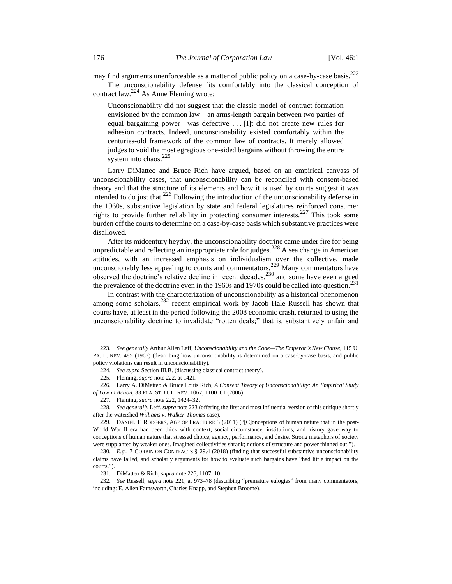may find arguments unenforceable as a matter of public policy on a case-by-case basis.<sup>223</sup> The unconscionability defense fits comfortably into the classical conception of contract law.<sup>224</sup> As Anne Fleming wrote:

<span id="page-33-0"></span>Unconscionability did not suggest that the classic model of contract formation envisioned by the common law––an arms-length bargain between two parties of equal bargaining power––was defective . . . [I]t did not create new rules for adhesion contracts. Indeed, unconscionability existed comfortably within the centuries-old framework of the common law of contracts. It merely allowed judges to void the most egregious one-sided bargains without throwing the entire system into chaos.<sup>225</sup>

<span id="page-33-1"></span>Larry DiMatteo and Bruce Rich have argued, based on an empirical canvass of unconscionability cases, that unconscionability can be reconciled with consent-based theory and that the structure of its elements and how it is used by courts suggest it was intended to do just that.<sup>226</sup> Following the introduction of the unconscionability defense in the 1960s, substantive legislation by state and federal legislatures reinforced consumer rights to provide further reliability in protecting consumer interests.<sup>227</sup> This took some burden off the courts to determine on a case-by-case basis which substantive practices were disallowed.

After its midcentury heyday, the unconscionability doctrine came under fire for being unpredictable and reflecting an inappropriate role for judges.<sup>228</sup> A sea change in American attitudes, with an increased emphasis on individualism over the collective, made unconscionably less appealing to courts and commentators.<sup>229</sup> Many commentators have observed the doctrine's relative decline in recent decades,  $230$  and some have even argued the prevalence of the doctrine even in the 1960s and 1970s could be called into question.<sup>231</sup>

In contrast with the characterization of unconscionability as a historical phenomenon among some scholars, $232$  recent empirical work by Jacob Hale Russell has shown that courts have, at least in the period following the 2008 economic crash, returned to using the unconscionability doctrine to invalidate "rotten deals;" that is, substantively unfair and

<sup>223.</sup> *See generally* Arthur Allen Leff, *Unconscionability and the Code—The Emperor's New Clause*, 115 U. PA. L. REV. 485 (1967) (describing how unconscionability is determined on a case-by-case basis, and public policy violations can result in unconscionability).

<sup>224.</sup> *See supra* Section III.B. (discussing classical contract theory).

<sup>225.</sup> Fleming, *supra* not[e 222,](#page-32-0) at 1421.

<sup>226.</sup> Larry A. DiMatteo & Bruce Louis Rich, *A Consent Theory of Unconscionability: An Empirical Study of Law in Action*, 33 FLA. ST. U. L. REV. 1067, 1100–01 (2006).

<sup>227.</sup> Fleming, *supra* not[e 222,](#page-32-0) 1424–32.

<sup>228.</sup> *See generally* Leff, *supra* not[e 223](#page-33-0) (offering the first and most influential version of this critique shortly after the watershed *Williams v. Walker-Thomas* case).

<sup>229.</sup> DANIEL T. RODGERS, AGE OF FRACTURE 3 (2011) ("[C]onceptions of human nature that in the post-World War II era had been thick with context, social circumstance, institutions, and history gave way to conceptions of human nature that stressed choice, agency, performance, and desire. Strong metaphors of society were supplanted by weaker ones. Imagined collectivities shrank; notions of structure and power thinned out.").

<sup>230.</sup> *E.g.*, 7 CORBIN ON CONTRACTS § 29.4 (2018) (finding that successful substantive unconscionability claims have failed, and scholarly arguments for how to evaluate such bargains have "had little impact on the courts.").

<sup>231.</sup> DiMatteo & Rich, *supra* not[e 226,](#page-33-1) 1107–10.

<sup>232.</sup> *See* Russell, *supra* note [221,](#page-32-1) at 973–78 (describing "premature eulogies" from many commentators, including: E. Allen Farnsworth, Charles Knapp, and Stephen Broome).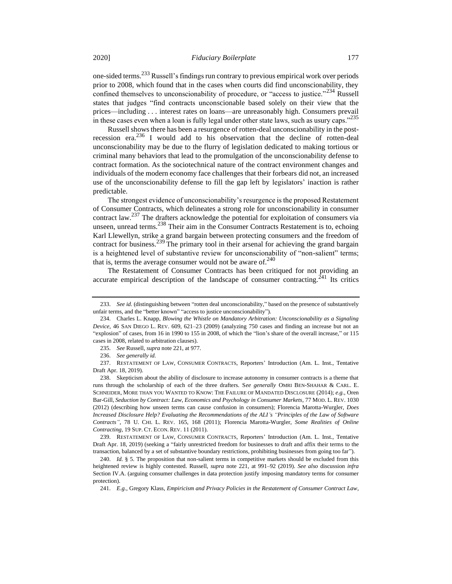one-sided terms.<sup>233</sup> Russell's findings run contrary to previous empirical work over periods prior to 2008, which found that in the cases when courts did find unconscionability, they confined themselves to unconscionability of procedure, or "access to justice."<sup>234</sup> Russell states that judges "find contracts unconscionable based solely on their view that the prices—including . . . interest rates on loans—are unreasonably high. Consumers prevail in these cases even when a loan is fully legal under other state laws, such as usury caps. $^{3235}$ 

Russell shows there has been a resurgence of rotten-deal unconscionability in the postrecession era.<sup>236</sup> I would add to his observation that the decline of rotten-deal unconscionability may be due to the flurry of legislation dedicated to making tortious or criminal many behaviors that lead to the promulgation of the unconscionability defense to contract formation. As the sociotechnical nature of the contract environment changes and individuals of the modern economy face challenges that their forbears did not, an increased use of the unconscionability defense to fill the gap left by legislators' inaction is rather predictable.

The strongest evidence of unconscionability's resurgence is the proposed Restatement of Consumer Contracts, which delineates a strong role for unconscionability in consumer contract law.<sup>237</sup> The drafters acknowledge the potential for exploitation of consumers via unseen, unread terms.<sup>238</sup> Their aim in the Consumer Contracts Restatement is to, echoing Karl Llewellyn, strike a grand bargain between protecting consumers and the freedom of contract for business.<sup>239</sup> The primary tool in their arsenal for achieving the grand bargain is a heightened level of substantive review for unconscionability of "non-salient" terms; that is, terms the average consumer would not be aware of. $240$ 

<span id="page-34-0"></span>The Restatement of Consumer Contracts has been critiqued for not providing an accurate empirical description of the landscape of consumer contracting.<sup>241</sup> Its critics

239. RESTATEMENT OF LAW, CONSUMER CONTRACTS, Reporters' Introduction (Am. L. Inst., Tentative Draft Apr. 18, 2019) (seeking a "fairly unrestricted freedom for businesses to draft and affix their terms to the transaction, balanced by a set of substantive boundary restrictions, prohibiting businesses from going too far").

<sup>233.</sup> *See id.* (distinguishing between "rotten deal unconscionability," based on the presence of substantively unfair terms, and the "better known" "access to justice unconscionability").

<sup>234.</sup> Charles L. Knapp, *Blowing the Whistle on Mandatory Arbitration: Unconscionability as a Signaling Device*, 46 SAN DIEGO L. REV. 609, 621–23 (2009) (analyzing 750 cases and finding an increase but not an "explosion" of cases, from 16 in 1990 to 155 in 2008, of which the "lion's share of the overall increase," or 115 cases in 2008, related to arbitration clauses).

<sup>235.</sup> *See* Russell, *supra* not[e 221,](#page-32-1) at 977.

<sup>236.</sup> *See generally id.*

<sup>237.</sup> RESTATEMENT OF LAW, CONSUMER CONTRACTS, Reporters' Introduction (Am. L. Inst., Tentative Draft Apr. 18, 2019).

<sup>238.</sup> Skepticism about the ability of disclosure to increase autonomy in consumer contracts is a theme that runs through the scholarship of each of the three drafters. S*ee generally* OMRI BEN-SHAHAR & CARL. E. SCHNEIDER, MORE THAN YOU WANTED TO KNOW: THE FAILURE OF MANDATED DISCLOSURE (2014); *e.g.*, Oren Bar-Gill, *Seduction by Contract: Law, Economics and Psychology in Consumer Markets*, 77 MOD. L. REV. 1030 (2012) (describing how unseen terms can cause confusion in consumers); Florencia Marotta-Wurgler, *Does Increased Disclosure Help? Evaluating the Recommendations of the ALI's "Principles of the Law of Software Contracts"*, 78 U. CHI. L. REV. 165, 168 (2011); Florencia Marotta-Wurgler, *Some Realities of Online Contracting*, 19 SUP. CT. ECON. REV. 11 (2011).

<sup>240.</sup> *Id.* § 5. The proposition that non-salient terms in competitive markets should be excluded from this heightened review is highly contested. Russell, *supra* note [221,](#page-32-1) at 991–92 (2019). *See also* discussion *infra* Section IV.A. (arguing consumer challenges in data protection justify imposing mandatory terms for consumer protection).

<sup>241.</sup> *E.g.*, Gregory Klass, *Empiricism and Privacy Policies in the Restatement of Consumer Contract Law*,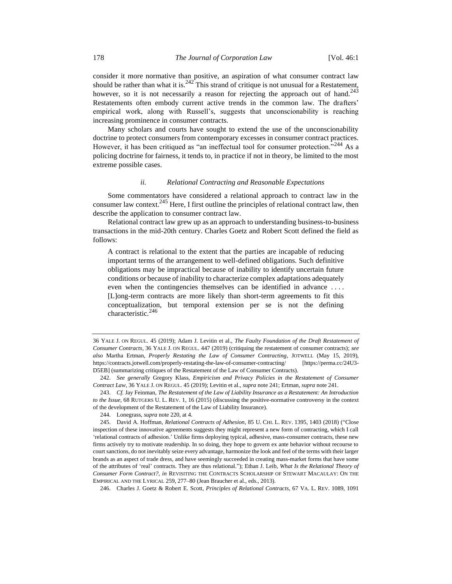consider it more normative than positive, an aspiration of what consumer contract law should be rather than what it is.  $242$  This strand of critique is not unusual for a Restatement, however, so it is not necessarily a reason for rejecting the approach out of hand.<sup>243</sup> Restatements often embody current active trends in the common law. The drafters' empirical work, along with Russell's, suggests that unconscionability is reaching increasing prominence in consumer contracts.

Many scholars and courts have sought to extend the use of the unconscionability doctrine to protect consumers from contemporary excesses in consumer contract practices. However, it has been critiqued as "an ineffectual tool for consumer protection."<sup>244</sup> As a policing doctrine for fairness, it tends to, in practice if not in theory, be limited to the most extreme possible cases.

## <span id="page-35-0"></span>*ii. Relational Contracting and Reasonable Expectations*

Some commentators have considered a relational approach to contract law in the consumer law context.<sup>245</sup> Here, I first outline the principles of relational contract law, then describe the application to consumer contract law.

Relational contract law grew up as an approach to understanding business-to-business transactions in the mid-20th century. Charles Goetz and Robert Scott defined the field as follows:

A contract is relational to the extent that the parties are incapable of reducing important terms of the arrangement to well-defined obligations. Such definitive obligations may be impractical because of inability to identify uncertain future conditions or because of inability to characterize complex adaptations adequately even when the contingencies themselves can be identified in advance . . . . [L]ong-term contracts are more likely than short-term agreements to fit this conceptualization, but temporal extension per se is not the defining characteristic.<sup>246</sup>

<sup>36</sup> YALE J. ON REGUL. 45 (2019); Adam J. Levitin et al., *The Faulty Foundation of the Draft Restatement of Consumer Contracts*, 36 YALE J. ON REGUL. 447 (2019) (critiquing the restatement of consumer contracts); *see also* Martha Ertman, *Properly Restating the Law of Consumer Contracting*, JOTWELL (May 15, 2019), https://contracts.jotwell.com/properly-restating-the-law-of-consumer-contracting/ [https://perma.cc/24U3- D5EB] (summarizing critiques of the Restatement of the Law of Consumer Contracts).

<sup>242.</sup> *See generally* Gregory Klass, *Empiricism and Privacy Policies in the Restatement of Consumer Contract Law*, 36 YALE J. ON REGUL. 45 (2019); Levitin et al., *supra* not[e 241;](#page-34-0) Ertman, *supra* not[e 241.](#page-34-0)

<sup>243.</sup> *Cf.* Jay Feinman, *The Restatement of the Law of Liability Insurance as a Restatement: An Introduction to the Issue*, 68 RUTGERS U. L. REV. 1, 16 (2015) (discussing the positive-normative controversy in the context of the development of the Restatement of the Law of Liability Insurance).

<sup>244.</sup> Lonegrass, *supra* note [220,](#page-32-2) at 4.

<sup>245.</sup> David A. Hoffman, *Relational Contracts of Adhesion*, 85 U. CHI. L. REV. 1395, 1403 (2018) ("Close inspection of these innovative agreements suggests they might represent a new form of contracting, which I call 'relational contracts of adhesion.' Unlike firms deploying typical, adhesive, mass-consumer contracts, these new firms actively try to motivate readership. In so doing, they hope to govern ex ante behavior without recourse to court sanctions, do not inevitably seize every advantage, harmonize the look and feel of the terms with their larger brands as an aspect of trade dress, and have seemingly succeeded in creating mass-market forms that have some of the attributes of 'real' contracts. They are thus relational."); Ethan J. Leib, *What Is the Relational Theory of Consumer Form Contract?*, *in* REVISITING THE CONTRACTS SCHOLARSHIP OF STEWART MACAULAY: ON THE EMPIRICAL AND THE LYRICAL 259, 277–80 (Jean Braucher et al., eds., 2013).

<sup>246.</sup> Charles J. Goetz & Robert E. Scott, *Principles of Relational Contracts*, 67 VA. L. REV. 1089, 1091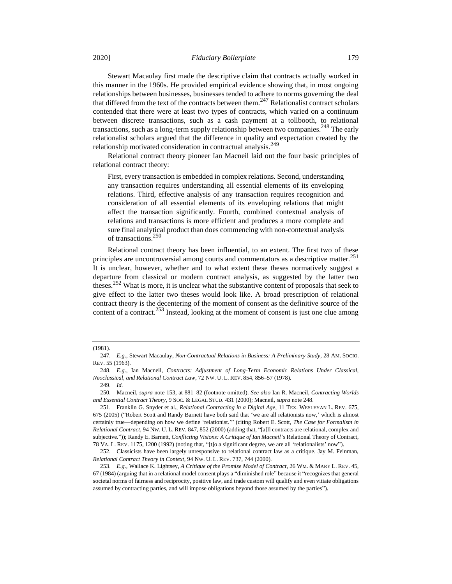Stewart Macaulay first made the descriptive claim that contracts actually worked in this manner in the 1960s. He provided empirical evidence showing that, in most ongoing relationships between businesses, businesses tended to adhere to norms governing the deal that differed from the text of the contracts between them.<sup>247</sup> Relationalist contract scholars contended that there were at least two types of contracts, which varied on a continuum between discrete transactions, such as a cash payment at a tollbooth, to relational transactions, such as a long-term supply relationship between two companies.<sup>248</sup> The early relationalist scholars argued that the difference in quality and expectation created by the relationship motivated consideration in contractual analysis.<sup>249</sup>

Relational contract theory pioneer Ian Macneil laid out the four basic principles of relational contract theory:

<span id="page-36-0"></span>First, every transaction is embedded in complex relations. Second, understanding any transaction requires understanding all essential elements of its enveloping relations. Third, effective analysis of any transaction requires recognition and consideration of all essential elements of its enveloping relations that might affect the transaction significantly. Fourth, combined contextual analysis of relations and transactions is more efficient and produces a more complete and sure final analytical product than does commencing with non-contextual analysis of transactions.<sup>250</sup>

<span id="page-36-1"></span>Relational contract theory has been influential, to an extent. The first two of these principles are uncontroversial among courts and commentators as a descriptive matter.<sup>251</sup> It is unclear, however, whether and to what extent these theses normatively suggest a departure from classical or modern contract analysis, as suggested by the latter two theses.<sup>252</sup> What is more, it is unclear what the substantive content of proposals that seek to give effect to the latter two theses would look like. A broad prescription of relational contract theory is the decentering of the moment of consent as the definitive source of the content of a contract.<sup>253</sup> Instead, looking at the moment of consent is just one clue among

<sup>(1981).</sup> 

<sup>247.</sup> *E.g.*, Stewart Macaulay, *Non-Contractual Relations in Business: A Preliminary Study*, 28 AM. SOCIO. REV. 55 (1963).

<sup>248.</sup> *E.g.*, Ian Macneil, *Contracts: Adjustment of Long-Term Economic Relations Under Classical, Neoclassical, and Relational Contract Law*, 72 NW. U. L. REV. 854, 856–57 (1978).

<sup>249.</sup> *Id.*

<sup>250.</sup> Macneil, *supra* not[e 153,](#page-22-1) at 881–82 (footnote omitted). *See also* Ian R. Macneil, *Contracting Worlds and Essential Contract Theory*, 9 SOC. & LEGAL STUD. 431 (2000); Macneil, *supra* note [248.](#page-36-0)

<sup>251.</sup> Franklin G. Snyder et al., *Relational Contracting in a Digital Age*, 11 TEX. WESLEYAN L. REV. 675, 675 (2005) ("Robert Scott and Randy Barnett have both said that 'we are all relationists now,' which is almost certainly true—depending on how we define 'relationist.'" (citing Robert E. Scott, *The Case for Formalism in Relational Contract*, 94 NW. U. L. REV. 847, 852 (2000) (adding that, "[a]ll contracts are relational, complex and subjective.")); Randy E. Barnett, *Conflicting Visions: A Critique of Ian Macneil's* Relational Theory of Contract, 78 VA. L. REV. 1175, 1200 (1992) (noting that, "[t]o a significant degree, we are all 'relationalists' now").

<sup>252.</sup> Classicists have been largely unresponsive to relational contract law as a critique. Jay M. Feinman, *Relational Contract Theory in Context*, 94 NW. U. L. REV. 737, 744 (2000).

<sup>253.</sup> *E.g.*, Wallace K. Lightsey, *A Critique of the Promise Model of Contract*, 26 WM. & MARY L. REV. 45, 67 (1984) (arguing that in a relational model consent plays a "diminished role" because it "recognizes that general societal norms of fairness and reciprocity, positive law, and trade custom will qualify and even vitiate obligations assumed by contracting parties, and will impose obligations beyond those assumed by the parties").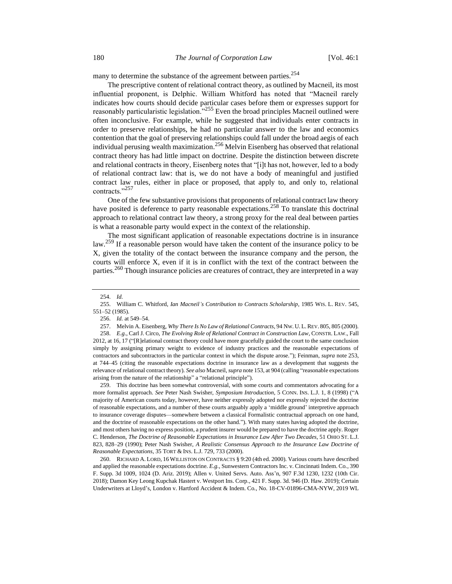many to determine the substance of the agreement between parties.<sup>254</sup>

The prescriptive content of relational contract theory, as outlined by Macneil, its most influential proponent, is Delphic. William Whitford has noted that "Macneil rarely indicates how courts should decide particular cases before them or expresses support for reasonably particularistic legislation."<sup>255</sup> Even the broad principles Macneil outlined were often inconclusive. For example, while he suggested that individuals enter contracts in order to preserve relationships, he had no particular answer to the law and economics contention that the goal of preserving relationships could fall under the broad aegis of each individual perusing wealth maximization.<sup>256</sup> Melvin Eisenberg has observed that relational contract theory has had little impact on doctrine. Despite the distinction between discrete and relational contracts in theory, Eisenberg notes that "[i]t has not, however, led to a body of relational contract law: that is, we do not have a body of meaningful and justified contract law rules, either in place or proposed, that apply to, and only to, relational contracts."<sup>257</sup>

One of the few substantive provisions that proponents of relational contract law theory have posited is deference to party reasonable expectations.<sup>258</sup> To translate this doctrinal approach to relational contract law theory, a strong proxy for the real deal between parties is what a reasonable party would expect in the context of the relationship.

The most significant application of reasonable expectations doctrine is in insurance law.<sup>259</sup> If a reasonable person would have taken the content of the insurance policy to be X, given the totality of the contact between the insurance company and the person, the courts will enforce X, even if it is in conflict with the text of the contract between the parties.<sup>260</sup> Though insurance policies are creatures of contract, they are interpreted in a way

259. This doctrine has been somewhat controversial, with some courts and commentators advocating for a more formalist approach. *See* Peter Nash Swisher, *Symposium Introduction*, 5 CONN. INS. L.J. 1, 8 (1998) ("A majority of American courts today, however, have neither expressly adopted nor expressly rejected the doctrine of reasonable expectations, and a number of these courts arguably apply a 'middle ground' interpretive approach to insurance coverage disputes—somewhere between a classical Formalistic contractual approach on one hand, and the doctrine of reasonable expectations on the other hand."). With many states having adopted the doctrine, and most others having no express position, a prudent insurer would be prepared to have the doctrine apply. Roger C. Henderson, *The Doctrine of Reasonable Expectations in Insurance Law After Two Decades*, 51 OHIO ST. L.J. 823, 828–29 (1990); Peter Nash Swisher, *A Realistic Consensus Approach to the Insurance Law Doctrine of Reasonable Expectations*, 35 TORT & INS. L.J. 729, 733 (2000).

260. RICHARD A. LORD, 16 WILLISTON ON CONTRACTS § 9:20 (4th ed. 2000). Various courts have described and applied the reasonable expectations doctrine. *E.g.*, Sunwestern Contractors Inc. v. Cincinnati Indem. Co*.*, 390 F. Supp. 3d 1009, 1024 (D. Ariz. 2019); Allen v. United Servs. Auto. Ass'n, 907 F.3d 1230, 1232 (10th Cir. 2018); Damon Key Leong Kupchak Hastert v. Westport Ins. Corp*.*, 421 F. Supp. 3d. 946 (D. Haw. 2019); Certain Underwriters at Lloyd's, London v. Hartford Accident & Indem. Co*.*, No. 18-CV-01896-CMA-NYW, 2019 WL

<sup>254.</sup> *Id.*

<sup>255.</sup> William C. Whitford, *Ian Macneil's Contribution to Contracts Scholarship*, 1985 WIS. L. REV. 545, 551–52 (1985).

<sup>256.</sup> *Id.* at 549–54.

<sup>257.</sup> Melvin A. Eisenberg, *Why There Is No Law of Relational Contracts*, 94 NW. U. L.REV. 805, 805 (2000). 258. *E.g.*, Carl J. Circo, *The Evolving Role of Relational Contract in Construction Law*, CONSTR. LAW., Fall 2012, at 16, 17 ("[R]elational contract theory could have more gracefully guided the court to the same conclusion simply by assigning primary weight to evidence of industry practices and the reasonable expectations of contractors and subcontractors in the particular context in which the dispute arose."); Feinman, *supra* note 253, at 744–45 (citing the reasonable expectations doctrine in insurance law as a development that suggests the relevance of relational contract theory). *See also* Macneil, *supra* not[e 153,](#page-22-1) at 904 (calling "reasonable expectations arising from the nature of the relationship" a "relational principle").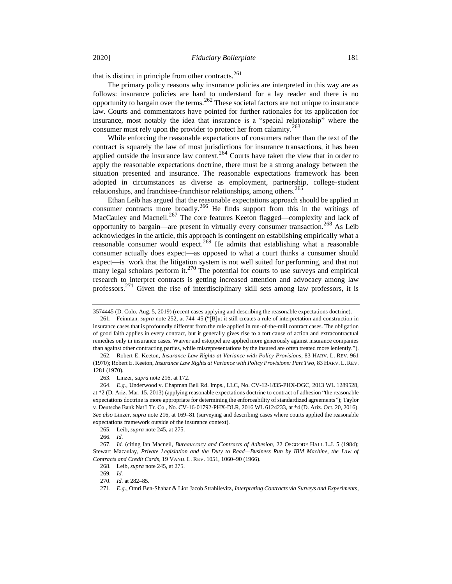that is distinct in principle from other contracts.<sup>261</sup>

The primary policy reasons why insurance policies are interpreted in this way are as follows: insurance policies are hard to understand for a lay reader and there is no opportunity to bargain over the terms.<sup>262</sup> These societal factors are not unique to insurance law. Courts and commentators have pointed for further rationales for its application for insurance, most notably the idea that insurance is a "special relationship" where the consumer must rely upon the provider to protect her from calamity.<sup>263</sup>

While enforcing the reasonable expectations of consumers rather than the text of the contract is squarely the law of most jurisdictions for insurance transactions, it has been applied outside the insurance law context.<sup>264</sup> Courts have taken the view that in order to apply the reasonable expectations doctrine, there must be a strong analogy between the situation presented and insurance. The reasonable expectations framework has been adopted in circumstances as diverse as employment, partnership, college-student relationships, and franchisee-franchisor relationships, among others.<sup>265</sup>

Ethan Leib has argued that the reasonable expectations approach should be applied in consumer contracts more broadly.<sup>266</sup> He finds support from this in the writings of MacCauley and Macneil.<sup>267</sup> The core features Keeton flagged—complexity and lack of opportunity to bargain—are present in virtually every consumer transaction.<sup>268</sup> As Leib acknowledges in the article, this approach is contingent on establishing empirically what a reasonable consumer would expect.<sup>269</sup> He admits that establishing what a reasonable consumer actually does expect—as opposed to what a court thinks a consumer should expect—is work that the litigation system is not well suited for performing, and that not many legal scholars perform it.<sup>270</sup> The potential for courts to use surveys and empirical research to interpret contracts is getting increased attention and advocacy among law professors.<sup>271</sup> Given the rise of interdisciplinary skill sets among law professors, it is

<sup>3574445 (</sup>D. Colo. Aug. 5, 2019) (recent cases applying and describing the reasonable expectations doctrine).

<sup>261.</sup> Feinman, *supra* note [252,](#page-36-1) at 744–45 ("[B]ut it still creates a rule of interpretation and construction in insurance cases that is profoundly different from the rule applied in run-of-the-mill contract cases. The obligation of good faith applies in every contract, but it generally gives rise to a tort cause of action and extracontractual remedies only in insurance cases. Waiver and estoppel are applied more generously against insurance companies than against other contracting parties, while misrepresentations by the insured are often treated more leniently.").

<sup>262.</sup> Robert E. Keeton, *Insurance Law Rights at Variance with Policy Provisions*, 83 HARV. L. REV. 961 (1970); Robert E. Keeton, *Insurance Law Rights at Variance with Policy Provisions: Part Two*, 83 HARV. L. REV. 1281 (1970).

<sup>263.</sup> Linzer, *supra* note [216,](#page-31-0) at 172.

<sup>264.</sup> *E.g.*, Underwood v. Chapman Bell Rd. Imps., LLC, No. CV-12-1835-PHX-DGC, 2013 WL 1289528, at \*2 (D. Ariz. Mar. 15, 2013) (applying reasonable expectations doctrine to contract of adhesion "the reasonable expectations doctrine is more appropriate for determining the enforceability of standardized agreements"); Taylor v. Deutsche Bank Nat'l Tr. Co., No. CV-16-01792-PHX-DLR, 2016 WL 6124233, at \*4 (D. Ariz. Oct. 20, 2016). *See also* Linzer, *supra* not[e 216,](#page-31-0) at 169–81 (surveying and describing cases where courts applied the reasonable expectations framework outside of the insurance context).

<sup>265.</sup> Leib, *supra* not[e 245,](#page-35-0) at 275.

<sup>266.</sup> *Id.* 

<sup>267.</sup> *Id.* (citing Ian Macneil, *Bureaucracy and Contracts of Adhesion*, 22 OSGOODE HALL L.J. 5 (1984); Stewart Macaulay, *Private Legislation and the Duty to Read—Business Run by IBM Machine, the Law of Contracts and Credit Cards*, 19 VAND. L. REV. 1051, 1060–90 (1966).

<sup>268.</sup> Leib, *supra* not[e 245,](#page-35-0) at 275.

<sup>269.</sup> *Id.*

<sup>270.</sup> *Id.* at 282–85.

<sup>271.</sup> *E.g.*, Omri Ben-Shahar & Lior Jacob Strahilevitz, *Interpreting Contracts via Surveys and Experiments*,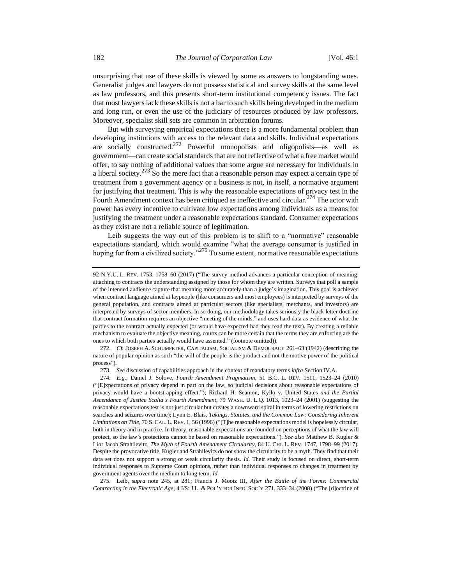unsurprising that use of these skills is viewed by some as answers to longstanding woes. Generalist judges and lawyers do not possess statistical and survey skills at the same level as law professors, and this presents short-term institutional competency issues. The fact that most lawyers lack these skills is not a bar to such skills being developed in the medium and long run, or even the use of the judiciary of resources produced by law professors. Moreover, specialist skill sets are common in arbitration forums.

But with surveying empirical expectations there is a more fundamental problem than developing institutions with access to the relevant data and skills. Individual expectations are socially constructed.<sup>272</sup> Powerful monopolists and oligopolists—as well as government—can create social standards that are not reflective of what a free market would offer, to say nothing of additional values that some argue are necessary for individuals in a liberal society.<sup>273</sup> So the mere fact that a reasonable person may expect a certain type of treatment from a government agency or a business is not, in itself, a normative argument for justifying that treatment. This is why the reasonable expectations of privacy test in the Fourth Amendment context has been critiqued as ineffective and circular.<sup>274</sup> The actor with power has every incentive to cultivate low expectations among individuals as a means for justifying the treatment under a reasonable expectations standard. Consumer expectations as they exist are not a reliable source of legitimation.

Leib suggests the way out of this problem is to shift to a "normative" reasonable expectations standard, which would examine "what the average consumer is justified in hoping for from a civilized society."<sup>275</sup> To some extent, normative reasonable expectations

275. Leib, *supra* note [245,](#page-35-0) at 281; Francis J. Mootz III, *After the Battle of the Forms: Commercial Contracting in the Electronic Age*, 4 I/S: J.L. & POL'Y FOR INFO. SOC'Y 271, 333–34 (2008) ("The [d]octrine of

<sup>92</sup> N.Y.U. L. REV. 1753, 1758–60 (2017) ("The survey method advances a particular conception of meaning: attaching to contracts the understanding assigned by those for whom they are written. Surveys that poll a sample of the intended audience capture that meaning more accurately than a judge's imagination. This goal is achieved when contract language aimed at laypeople (like consumers and most employees) is interpreted by surveys of the general population, and contracts aimed at particular sectors (like specialists, merchants, and investors) are interpreted by surveys of sector members. In so doing, our methodology takes seriously the black letter doctrine that contract formation requires an objective "meeting of the minds," and uses hard data as evidence of what the parties to the contract actually expected (or would have expected had they read the text). By creating a reliable mechanism to evaluate the objective meaning, courts can be more certain that the terms they are enforcing are the ones to which both parties actually would have assented." (footnote omitted)).

<sup>272.</sup> *Cf.* JOSEPH A. SCHUMPETER, CAPITALISM, SOCIALISM & DEMOCRACY 261–63 (1942) (describing the nature of popular opinion as such "the will of the people is the product and not the motive power of the political process").

<sup>273.</sup> *See* discussion of capabilities approach in the context of mandatory terms *infra* Section IV.A.

<sup>274.</sup> *E.g.*, Daniel J. Solove, *Fourth Amendment Pragmatism*, 51 B.C. L. REV. 1511, 1523–24 (2010) ("[E]xpectations of privacy depend in part on the law, so judicial decisions about reasonable expectations of privacy would have a bootstrapping effect."); Richard H. Seamon, Kyllo v. United States *and the Partial Ascendance of Justice Scalia's Fourth Amendment*, 79 WASH. U. L.Q. 1013, 1023–24 (2001) (suggesting the reasonable expectations test is not just circular but creates a downward spiral in terms of lowering restrictions on searches and seizures over time); Lynn E. Blais, *Takings, Statutes, and the Common Law: Considering Inherent Limitations on Title*, 70 S. CAL. L. REV. 1, 56 (1996) ("[T]he reasonable expectations model is hopelessly circular, both in theory and in practice. In theory, reasonable expectations are founded on perceptions of what the law will protect, so the law's protections cannot be based on reasonable expectations."). *See also* Matthew B. Kugler & Lior Jacob Strahilevitz, *The Myth of Fourth Amendment Circularity*, 84 U. CHI. L. REV. 1747, 1798–99 (2017). Despite the provocative title, Kugler and Strahilevitz do not show the circularity to be a myth. They find that their data set does not support a strong or weak circularity thesis. *Id.* Their study is focused on direct, short-term individual responses to Supreme Court opinions, rather than individual responses to changes in treatment by government agents over the medium to long term. *Id.*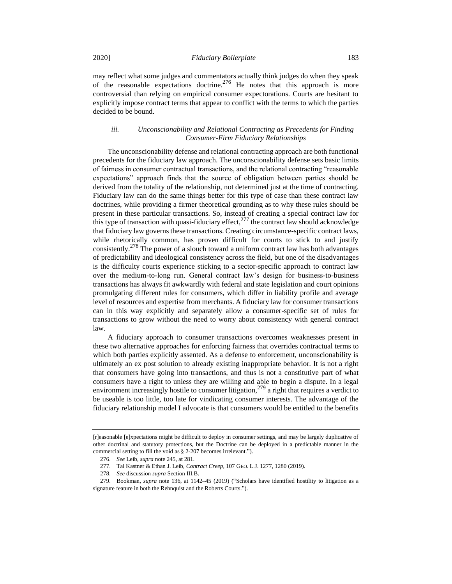may reflect what some judges and commentators actually think judges do when they speak of the reasonable expectations doctrine.<sup>276</sup> He notes that this approach is more controversial than relying on empirical consumer expectorations. Courts are hesitant to explicitly impose contract terms that appear to conflict with the terms to which the parties decided to be bound.

# *iii. Unconscionability and Relational Contracting as Precedents for Finding Consumer-Firm Fiduciary Relationships*

The unconscionability defense and relational contracting approach are both functional precedents for the fiduciary law approach. The unconscionability defense sets basic limits of fairness in consumer contractual transactions, and the relational contracting "reasonable expectations" approach finds that the source of obligation between parties should be derived from the totality of the relationship, not determined just at the time of contracting. Fiduciary law can do the same things better for this type of case than these contract law doctrines, while providing a firmer theoretical grounding as to why these rules should be present in these particular transactions. So, instead of creating a special contract law for this type of transaction with quasi-fiduciary effect,  $277$  the contract law should acknowledge that fiduciary law governs these transactions. Creating circumstance-specific contract laws, while rhetorically common, has proven difficult for courts to stick to and justify consistently.<sup>278</sup> The power of a slouch toward a uniform contract law has both advantages of predictability and ideological consistency across the field, but one of the disadvantages is the difficulty courts experience sticking to a sector-specific approach to contract law over the medium-to-long run. General contract law's design for business-to-business transactions has always fit awkwardly with federal and state legislation and court opinions promulgating different rules for consumers, which differ in liability profile and average level of resources and expertise from merchants. A fiduciary law for consumer transactions can in this way explicitly and separately allow a consumer-specific set of rules for transactions to grow without the need to worry about consistency with general contract law.

A fiduciary approach to consumer transactions overcomes weaknesses present in these two alternative approaches for enforcing fairness that overrides contractual terms to which both parties explicitly assented. As a defense to enforcement, unconscionability is ultimately an ex post solution to already existing inappropriate behavior. It is not a right that consumers have going into transactions, and thus is not a constitutive part of what consumers have a right to unless they are willing and able to begin a dispute. In a legal environment increasingly hostile to consumer litigation,  $279$  a right that requires a verdict to be useable is too little, too late for vindicating consumer interests. The advantage of the fiduciary relationship model I advocate is that consumers would be entitled to the benefits

<sup>[</sup>r]easonable [e]xpectations might be difficult to deploy in consumer settings, and may be largely duplicative of other doctrinal and statutory protections, but the Doctrine can be deployed in a predictable manner in the commercial setting to fill the void as § 2-207 becomes irrelevant.").

<sup>276.</sup> *See* Leib, *supra* note [245,](#page-35-0) at 281.

<sup>277.</sup> Tal Kastner & Ethan J. Leib, *Contract Creep*, 107 GEO. L.J. 1277, 1280 (2019).

<sup>278.</sup> *See* discussion *supra* Section III.B.

<sup>279.</sup> Bookman, *supra* note [136,](#page-19-0) at 1142–45 (2019) ("Scholars have identified hostility to litigation as a signature feature in both the Rehnquist and the Roberts Courts.").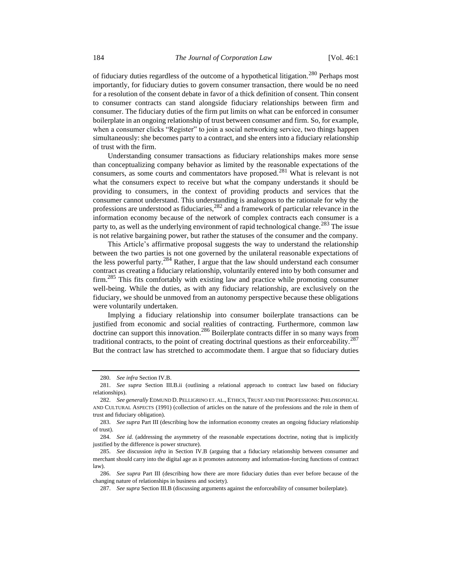of fiduciary duties regardless of the outcome of a hypothetical litigation.<sup>280</sup> Perhaps most importantly, for fiduciary duties to govern consumer transaction, there would be no need for a resolution of the consent debate in favor of a thick definition of consent. Thin consent to consumer contracts can stand alongside fiduciary relationships between firm and consumer. The fiduciary duties of the firm put limits on what can be enforced in consumer boilerplate in an ongoing relationship of trust between consumer and firm. So, for example, when a consumer clicks "Register" to join a social networking service, two things happen simultaneously: she becomes party to a contract, and she enters into a fiduciary relationship of trust with the firm.

Understanding consumer transactions as fiduciary relationships makes more sense than conceptualizing company behavior as limited by the reasonable expectations of the consumers, as some courts and commentators have proposed.<sup>281</sup> What is relevant is not what the consumers expect to receive but what the company understands it should be providing to consumers, in the context of providing products and services that the consumer cannot understand. This understanding is analogous to the rationale for why the professions are understood as fiduciaries,  $^{282}$  and a framework of particular relevance in the information economy because of the network of complex contracts each consumer is a party to, as well as the underlying environment of rapid technological change.<sup>283</sup> The issue is not relative bargaining power, but rather the statuses of the consumer and the company.

This Article's affirmative proposal suggests the way to understand the relationship between the two parties is not one governed by the unilateral reasonable expectations of the less powerful party.<sup>284</sup> Rather, I argue that the law should understand each consumer contract as creating a fiduciary relationship, voluntarily entered into by both consumer and firm.<sup>285</sup> This fits comfortably with existing law and practice while promoting consumer well-being. While the duties, as with any fiduciary relationship, are exclusively on the fiduciary, we should be unmoved from an autonomy perspective because these obligations were voluntarily undertaken.

Implying a fiduciary relationship into consumer boilerplate transactions can be justified from economic and social realities of contracting. Furthermore, common law doctrine can support this innovation.<sup>286</sup> Boilerplate contracts differ in so many ways from traditional contracts, to the point of creating doctrinal questions as their enforceability.<sup>287</sup> But the contract law has stretched to accommodate them. I argue that so fiduciary duties

<sup>280.</sup> *See infra* Section IV.B.

<sup>281.</sup> *See supra* Section III.B.ii (outlining a relational approach to contract law based on fiduciary relationships).

<sup>282.</sup> *See generally* EDMUND D. PELLIGRINO ET. AL., ETHICS, TRUST AND THE PROFESSIONS: PHILOSOPHICAL AND CULTURAL ASPECTS (1991) (collection of articles on the nature of the professions and the role in them of trust and fiduciary obligation).

<sup>283.</sup> *See supra* Part III (describing how the information economy creates an ongoing fiduciary relationship of trust).

<sup>284.</sup> *See id.* (addressing the asymmetry of the reasonable expectations doctrine, noting that is implicitly justified by the difference is power structure).

<sup>285.</sup> *See* discussion *infra* in Section IV.B (arguing that a fiduciary relationship between consumer and merchant should carry into the digital age as it promotes autonomy and information-forcing functions of contract law).

<sup>286.</sup> *See supra* Part III (describing how there are more fiduciary duties than ever before because of the changing nature of relationships in business and society)*.*

<sup>287.</sup> *See supra* Section III.B (discussing arguments against the enforceability of consumer boilerplate).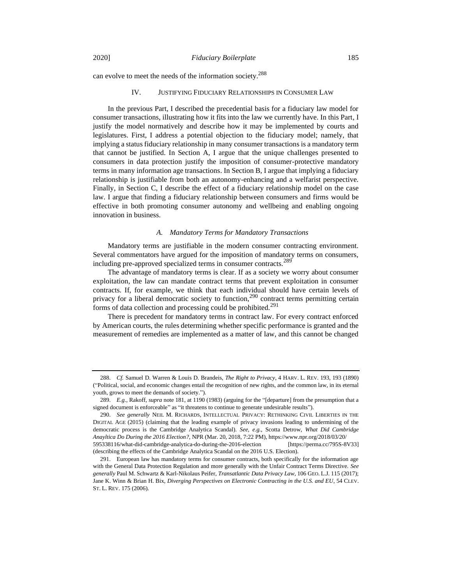can evolve to meet the needs of the information society.<sup>288</sup>

## IV. JUSTIFYING FIDUCIARY RELATIONSHIPS IN CONSUMER LAW

In the previous Part, I described the precedential basis for a fiduciary law model for consumer transactions, illustrating how it fits into the law we currently have. In this Part, I justify the model normatively and describe how it may be implemented by courts and legislatures. First, I address a potential objection to the fiduciary model; namely, that implying a status fiduciary relationship in many consumer transactions is a mandatory term that cannot be justified. In Section A, I argue that the unique challenges presented to consumers in data protection justify the imposition of consumer-protective mandatory terms in many information age transactions. In Section B, I argue that implying a fiduciary relationship is justifiable from both an autonomy-enhancing and a welfarist perspective. Finally, in Section C, I describe the effect of a fiduciary relationship model on the case law. I argue that finding a fiduciary relationship between consumers and firms would be effective in both promoting consumer autonomy and wellbeing and enabling ongoing innovation in business.

#### *A. Mandatory Terms for Mandatory Transactions*

Mandatory terms are justifiable in the modern consumer contracting environment. Several commentators have argued for the imposition of mandatory terms on consumers, including pre-approved specialized terms in consumer contracts.<sup>289</sup>

The advantage of mandatory terms is clear. If as a society we worry about consumer exploitation, the law can mandate contract terms that prevent exploitation in consumer contracts. If, for example, we think that each individual should have certain levels of privacy for a liberal democratic society to function,<sup>290</sup> contract terms permitting certain forms of data collection and processing could be prohibited.<sup>291</sup>

There is precedent for mandatory terms in contract law. For every contract enforced by American courts, the rules determining whether specific performance is granted and the measurement of remedies are implemented as a matter of law, and this cannot be changed

<sup>288.</sup> *Cf.* Samuel D. Warren & Louis D. Brandeis, *The Right to Privacy*, 4 HARV. L. REV. 193, 193 (1890) ("Political, social, and economic changes entail the recognition of new rights, and the common law, in its eternal youth, grows to meet the demands of society.").

<sup>289.</sup> *E.g.*, Rakoff, *supra* not[e 181,](#page-26-0) at 1190 (1983) (arguing for the "[departure] from the presumption that a signed document is enforceable" as "it threatens to continue to generate undesirable results").

<sup>290.</sup> *See generally* NEIL M. RICHARDS, INTELLECTUAL PRIVACY: RETHINKING CIVIL LIBERTIES IN THE DIGITAL AGE (2015) (claiming that the leading example of privacy invasions leading to undermining of the democratic process is the Cambridge Analytica Scandal). *See, e.g.*, Scotta Detrow, *What Did Cambridge Anayltica Do During the 2016 Election?*, NPR (Mar. 20, 2018, 7:22 PM), https://www.npr.org/2018/03/20/ 595338116/what-did-cambridge-analytica-do-during-the-2016-election [https://perma.cc/795S-8V33] (describing the effects of the Cambridge Analytica Scandal on the 2016 U.S. Election).

<sup>291.</sup> European law has mandatory terms for consumer contracts, both specifically for the information age with the General Data Protection Regulation and more generally with the Unfair Contract Terms Directive. *See generally* Paul M. Schwartz & Karl-Nikolaus Peifer, *Transatlantic Data Privacy Law*, 106 GEO. L.J. 115 (2017); Jane K. Winn & Brian H. Bix, *Diverging Perspectives on Electronic Contracting in the U.S. and EU*, 54 CLEV. ST. L. REV. 175 (2006).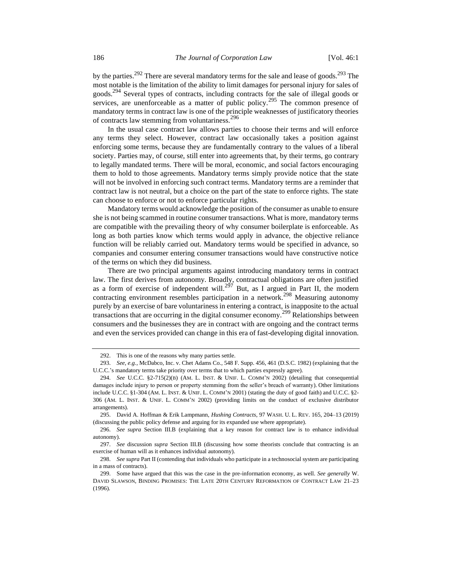by the parties.<sup>292</sup> There are several mandatory terms for the sale and lease of goods.<sup>293</sup> The most notable is the limitation of the ability to limit damages for personal injury for sales of goods.<sup>294</sup> Several types of contracts, including contracts for the sale of illegal goods or services, are unenforceable as a matter of public policy.<sup>295</sup> The common presence of mandatory terms in contract law is one of the principle weaknesses of justificatory theories of contracts law stemming from voluntariness.<sup>296</sup>

In the usual case contract law allows parties to choose their terms and will enforce any terms they select. However, contract law occasionally takes a position against enforcing some terms, because they are fundamentally contrary to the values of a liberal society. Parties may, of course, still enter into agreements that, by their terms, go contrary to legally mandated terms. There will be moral, economic, and social factors encouraging them to hold to those agreements. Mandatory terms simply provide notice that the state will not be involved in enforcing such contract terms. Mandatory terms are a reminder that contract law is not neutral, but a choice on the part of the state to enforce rights. The state can choose to enforce or not to enforce particular rights.

Mandatory terms would acknowledge the position of the consumer as unable to ensure she is not being scammed in routine consumer transactions. What is more, mandatory terms are compatible with the prevailing theory of why consumer boilerplate is enforceable. As long as both parties know which terms would apply in advance, the objective reliance function will be reliably carried out. Mandatory terms would be specified in advance, so companies and consumer entering consumer transactions would have constructive notice of the terms on which they did business.

There are two principal arguments against introducing mandatory terms in contract law. The first derives from autonomy. Broadly, contractual obligations are often justified as a form of exercise of independent will.<sup>297</sup> But, as I argued in Part II, the modern contracting environment resembles participation in a network.<sup>298</sup> Measuring autonomy purely by an exercise of bare voluntariness in entering a contract, is inapposite to the actual transactions that are occurring in the digital consumer economy.<sup>299</sup> Relationships between consumers and the businesses they are in contract with are ongoing and the contract terms and even the services provided can change in this era of fast-developing digital innovation.

<sup>292.</sup> This is one of the reasons why many parties settle.

<sup>293.</sup> *See, e.g.*, McDabco, Inc. v. Chet Adams Co., 548 F. Supp. 456, 461 (D.S.C. 1982) (explaining that the U.C.C.'s mandatory terms take priority over terms that to which parties expressly agree).

<sup>294.</sup> *See* U.C.C. §2-715(2)(B) (AM. L. INST. & UNIF. L. COMM'N 2002) (detailing that consequential damages include injury to person or property stemming from the seller's breach of warranty). Other limitations include U.C.C. §1-304 (AM. L. INST. & UNIF. L. COMM'N 2001) (stating the duty of good faith) and U.C.C. §2- 306 (AM. L. INST. & UNIF. L. COMM'N 2002) (providing limits on the conduct of exclusive distributor arrangements).

<sup>295.</sup> David A. Hoffman & Erik Lampmann, *Hushing Contracts*, 97 WASH. U. L. REV. 165, 204–13 (2019) (discussing the public policy defense and arguing for its expanded use where appropriate).

<sup>296.</sup> *See supra* Section III.B (explaining that a key reason for contract law is to enhance individual autonomy).

<sup>297.</sup> *See* discussion *supra* Section III.B (discussing how some theorists conclude that contracting is an exercise of human will as it enhances individual autonomy).

<sup>298.</sup> *See supra* Part II (contending that individuals who participate in a technosocial system are participating in a mass of contracts)*.*

<sup>299.</sup> Some have argued that this was the case in the pre-information economy, as well. *See generally* W. DAVID SLAWSON, BINDING PROMISES: THE LATE 20TH CENTURY REFORMATION OF CONTRACT LAW 21–23 (1996).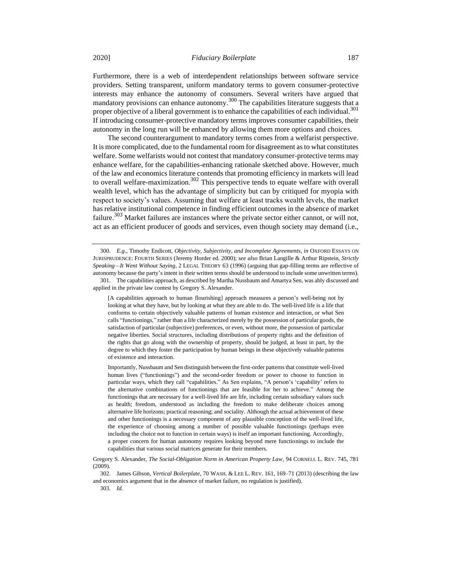Furthermore, there is a web of interdependent relationships between software service providers. Setting transparent, uniform mandatory terms to govern consumer-protective interests may enhance the autonomy of consumers. Several writers have argued that mandatory provisions can enhance autonomy.<sup>300</sup> The capabilities literature suggests that a proper objective of a liberal government is to enhance the capabilities of each individual.<sup>301</sup> If introducing consumer-protective mandatory terms improves consumer capabilities, their autonomy in the long run will be enhanced by allowing them more options and choices.

<span id="page-44-0"></span>The second counterargument to mandatory terms comes from a welfarist perspective. It is more complicated, due to the fundamental room for disagreement as to what constitutes welfare. Some welfarists would not contest that mandatory consumer-protective terms may enhance welfare, for the capabilities-enhancing rationale sketched above. However, much of the law and economics literature contends that promoting efficiency in markets will lead to overall welfare-maximization.<sup>302</sup> This perspective tends to equate welfare with overall wealth level, which has the advantage of simplicity but can by critiqued for myopia with respect to society's values. Assuming that welfare at least tracks wealth levels, the market has relative institutional competence in finding efficient outcomes in the absence of market failure.<sup>303</sup> Market failures are instances where the private sector either cannot, or will not, act as an efficient producer of goods and services, even though society may demand (i.e.,

<sup>300.</sup> *E.g.*, Timothy Endicott, *Objectivity, Subjectivity, and Incomplete Agreements*, *in* OXFORD ESSAYS ON JURISPRUDENCE: FOURTH SERIES (Jeremy Horder ed. 2000); *see also* Brian Langille & Arthur Ripstein, *Strictly Speaking—It Went Without Saying*, 2 LEGAL THEORY 63 (1996) (arguing that gap-filling terms are reflective of autonomy because the party's intent in their written terms should be understood to include some unwritten terms). 301. The capabilities approach, as described by Martha Nussbaum and Amartya Sen, was ably discussed and applied in the private law contest by Gregory S. Alexander.

<sup>[</sup>A capabilities approach to human flourishing] approach measures a person's well-being not by looking at what they have, but by looking at what they are able to do. The well-lived life is a life that conforms to certain objectively valuable patterns of human existence and interaction, or what Sen calls "functionings," rather than a life characterized merely by the possession of particular goods, the satisfaction of particular (subjective) preferences, or even, without more, the possession of particular negative liberties. Social structures, including distributions of property rights and the definition of the rights that go along with the ownership of property, should be judged, at least in part, by the degree to which they foster the participation by human beings in these objectively valuable patterns of existence and interaction.

Importantly, Nussbaum and Sen distinguish between the first-order patterns that constitute well-lived human lives ("functionings") and the second-order freedom or power to choose to function in particular ways, which they call "capabilities." As Sen explains, "A person's 'capability' refers to the alternative combinations of functionings that are feasible for her to achieve." Among the functionings that are necessary for a well-lived life are life, including certain subsidiary values such as health; freedom, understood as including the freedom to make deliberate choices among alternative life horizons; practical reasoning; and sociality. Although the actual achievement of these and other functionings is a necessary component of any plausible conception of the well-lived life, the experience of choosing among a number of possible valuable functionings (perhaps even including the choice not to function in certain ways) is itself an important functioning. Accordingly, a proper concern for human autonomy requires looking beyond mere functionings to include the capabilities that various social matrices generate for their members.

Gregory S. Alexander, *The Social-Obligation Norm in American Property Law*, 94 CORNELL L. REV. 745, 781 (2009).

<sup>302.</sup> James Gibson, *Vertical Boilerplate*, 70 WASH. & LEE L. REV. 161, 169–71 (2013) (describing the law and economics argument that in the absence of market failure, no regulation is justified). 303. *Id.*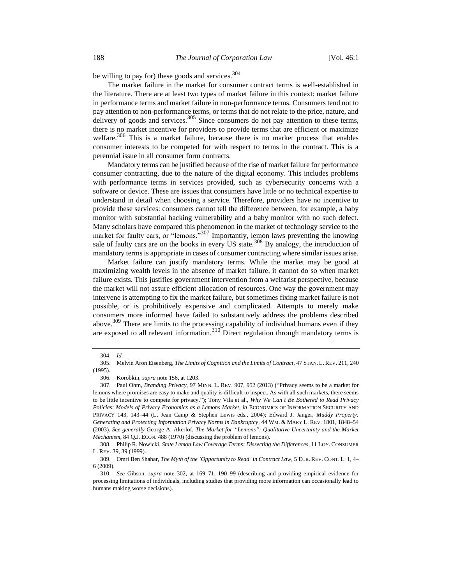be willing to pay for) these goods and services.<sup>304</sup>

The market failure in the market for consumer contract terms is well-established in the literature. There are at least two types of market failure in this context: market failure in performance terms and market failure in non-performance terms. Consumers tend not to pay attention to non-performance terms, or terms that do not relate to the price, nature, and delivery of goods and services.<sup>305</sup> Since consumers do not pay attention to these terms, there is no market incentive for providers to provide terms that are efficient or maximize welfare.<sup>306</sup> This is a market failure, because there is no market process that enables consumer interests to be competed for with respect to terms in the contract. This is a perennial issue in all consumer form contracts.

Mandatory terms can be justified because of the rise of market failure for performance consumer contracting, due to the nature of the digital economy. This includes problems with performance terms in services provided, such as cybersecurity concerns with a software or device. These are issues that consumers have little or no technical expertise to understand in detail when choosing a service. Therefore, providers have no incentive to provide these services: consumers cannot tell the difference between, for example, a baby monitor with substantial hacking vulnerability and a baby monitor with no such defect. Many scholars have compared this phenomenon in the market of technology service to the market for faulty cars, or "lemons."<sup>307</sup> Importantly, lemon laws preventing the knowing sale of faulty cars are on the books in every US state.<sup>308</sup> By analogy, the introduction of mandatory terms is appropriate in cases of consumer contracting where similar issues arise.

Market failure can justify mandatory terms. While the market may be good at maximizing wealth levels in the absence of market failure, it cannot do so when market failure exists. This justifies government intervention from a welfarist perspective, because the market will not assure efficient allocation of resources. One way the government may intervene is attempting to fix the market failure, but sometimes fixing market failure is not possible, or is prohibitively expensive and complicated. Attempts to merely make consumers more informed have failed to substantively address the problems described above.<sup>309</sup> There are limits to the processing capability of individual humans even if they are exposed to all relevant information.<sup>310</sup> Direct regulation through mandatory terms is

<sup>304.</sup> *Id.*

<sup>305.</sup> Melvin Aron Eisenberg, *The Limits of Cognition and the Limits of Contract*, 47 STAN. L. REV. 211, 240 (1995).

<sup>306.</sup> Korobkin, *supra* not[e 156,](#page-23-1) at 1203.

<sup>307.</sup> Paul Ohm, *Branding Privacy*, 97 MINN. L. REV. 907, 952 (2013) ("Privacy seems to be a market for lemons where promises are easy to make and quality is difficult to inspect. As with all such markets, there seems to be little incentive to compete for privacy."); Tony Vila et al., *Why We Can't Be Bothered to Read Privacy Policies: Models of Privacy Economics as a Lemons Market*, *in* ECONOMICS OF INFORMATION SECURITY AND PRIVACY 143, 143–44 (L. Jean Camp & Stephen Lewis eds., 2004); Edward J. Janger, *Muddy Property: Generating and Protecting Information Privacy Norms in Bankruptcy*, 44 WM. & MARY L. REV. 1801, 1848–54 (2003). *See generally* George A. Akerlof, *The Market for "Lemons": Qualitative Uncertainty and the Market Mechanism*, 84 Q.J. ECON. 488 (1970) (discussing the problem of lemons).

<sup>308.</sup> Philip R. Nowicki, *State Lemon Law Coverage Terms: Dissecting the Differences*, 11 LOY. CONSUMER L. REV. 39, 39 (1999).

<sup>309.</sup> Omri Ben Shahar, *The Myth of the 'Opportunity to Read' in Contract Law*, 5 EUR. REV. CONT. L. 1, 4– 6 (2009).

<sup>310.</sup> *See* Gibson, *supra* note [302,](#page-44-0) at 169–71, 190–99 (describing and providing empirical evidence for processing limitations of individuals, including studies that providing more information can occasionally lead to humans making worse decisions).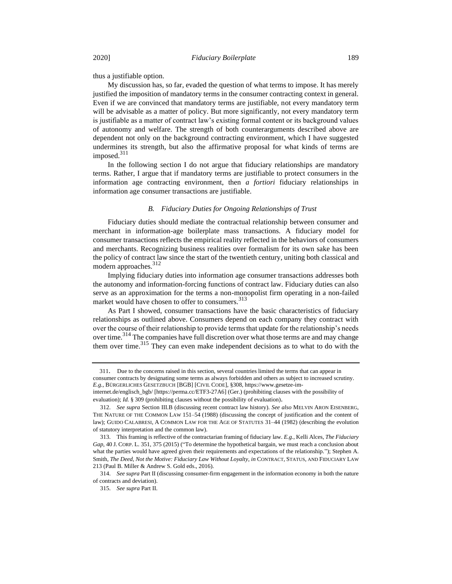thus a justifiable option.

My discussion has, so far, evaded the question of what terms to impose. It has merely justified the imposition of mandatory terms in the consumer contracting context in general. Even if we are convinced that mandatory terms are justifiable, not every mandatory term will be advisable as a matter of policy. But more significantly, not every mandatory term is justifiable as a matter of contract law's existing formal content or its background values of autonomy and welfare. The strength of both counterarguments described above are dependent not only on the background contracting environment, which I have suggested undermines its strength, but also the affirmative proposal for what kinds of terms are imposed.<sup>311</sup>

In the following section I do not argue that fiduciary relationships are mandatory terms. Rather, I argue that if mandatory terms are justifiable to protect consumers in the information age contracting environment, then *a fortiori* fiduciary relationships in information age consumer transactions are justifiable.

# *B. Fiduciary Duties for Ongoing Relationships of Trust*

Fiduciary duties should mediate the contractual relationship between consumer and merchant in information-age boilerplate mass transactions. A fiduciary model for consumer transactions reflects the empirical reality reflected in the behaviors of consumers and merchants. Recognizing business realities over formalism for its own sake has been the policy of contract law since the start of the twentieth century, uniting both classical and modern approaches.<sup>312</sup>

Implying fiduciary duties into information age consumer transactions addresses both the autonomy and information-forcing functions of contract law. Fiduciary duties can also serve as an approximation for the terms a non-monopolist firm operating in a non-failed market would have chosen to offer to consumers.<sup>313</sup>

As Part I showed, consumer transactions have the basic characteristics of fiduciary relationships as outlined above. Consumers depend on each company they contract with over the course of their relationship to provide terms that update for the relationship's needs over time.<sup>314</sup> The companies have full discretion over what those terms are and may change them over time.<sup>315</sup> They can even make independent decisions as to what to do with the

<sup>311</sup>. Due to the concerns raised in this section, several countries limited the terms that can appear in consumer contracts by designating some terms as always forbidden and others as subject to increased scrutiny.

*E.g.*, BÜRGERLICHES GESETZBUCH [BGB] [CIVIL CODE], §308, https://www.gesetze-iminternet.de/englisch\_bgb/ [https://perma.cc/ETF3-27A6] (Ger.) (prohibiting clauses with the possibility of evaluation); *Id.* § 309 (prohibiting clauses without the possibility of evaluation).

<sup>312.</sup> *See supra* Section III.B (discussing recent contract law history). *See also* MELVIN ARON EISENBERG, THE NATURE OF THE COMMON LAW 151–54 (1988) (discussing the concept of justification and the content of law); GUIDO CALABRESI, A COMMON LAW FOR THE AGE OF STATUTES 31–44 (1982) (describing the evolution of statutory interpretation and the common law).

<sup>313.</sup> This framing is reflective of the contractarian framing of fiduciary law. *E.g.*, Kelli Alces, *The Fiduciary Gap*, 40 J. CORP. L. 351, 375 (2015) ("To determine the hypothetical bargain, we must reach a conclusion about what the parties would have agreed given their requirements and expectations of the relationship."); Stephen A. Smith, *The Deed, Not the Motive: Fiduciary Law Without Loyalty*, *in* CONTRACT, STATUS, AND FIDUCIARY LAW 213 (Paul B. Miller & Andrew S. Gold eds., 2016).

<sup>314.</sup> *See supra* Part II (discussing consumer-firm engagement in the information economy in both the nature of contracts and deviation).

<sup>315.</sup> *See supra* Part II.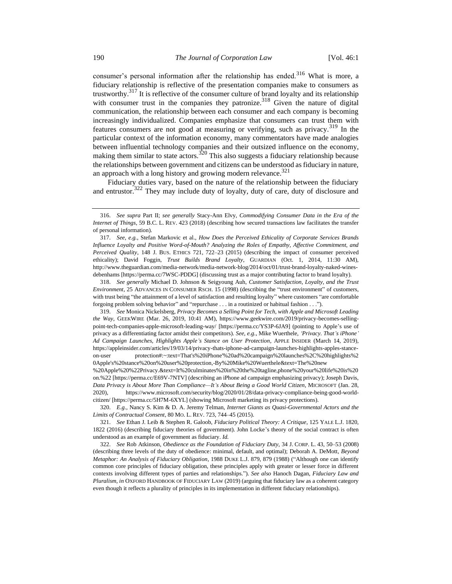consumer's personal information after the relationship has ended.<sup>316</sup> What is more, a fiduciary relationship is reflective of the presentation companies make to consumers as trustworthy.<sup>317</sup> It is reflective of the consumer culture of brand loyalty and its relationship with consumer trust in the companies they patronize.<sup>318</sup> Given the nature of digital communication, the relationship between each consumer and each company is becoming increasingly individualized. Companies emphasize that consumers can trust them with features consumers are not good at measuring or verifying, such as privacy.<sup>319</sup> In the particular context of the information economy, many commentators have made analogies between influential technology companies and their outsized influence on the economy, making them similar to state actors.<sup>320</sup> This also suggests a fiduciary relationship because the relationships between government and citizens can be understood as fiduciary in nature, an approach with a long history and growing modern relevance.<sup>321</sup>

Fiduciary duties vary, based on the nature of the relationship between the fiduciary and entrustor.<sup>322</sup> They may include duty of loyalty, duty of care, duty of disclosure and

318. *See generally* Michael D. Johnson & Seigyoung Auh, *Customer Satisfaction, Loyalty, and the Trust Environment*, 25 ADVANCES IN CONSUMER RSCH. 15 (1998) (describing the "trust environment" of customers, with trust being "the attainment of a level of satisfaction and resulting loyalty" where customers "are comfortable forgoing problem solving behavior" and "repurchase . . . in a routinized or habitual fashion . . .").

319. *See* Monica Nickelsberg, *Privacy Becomes a Selling Point for Tech, with Apple and Microsoft Leading the Way*, GEEKWIRE (Mar. 26, 2019, 10:41 AM), https://www.geekwire.com/2019/privacy-becomes-sellingpoint-tech-companies-apple-microsoft-leading-way/ [https://perma.cc/YS3P-6JA9] (pointing to Apple's use of privacy as a differentiating factor amidst their competitors). *See, e.g.*, Mike Wuerthele, *'Privacy. That's iPhone' Ad Campaign Launches, Highlights Apple's Stance on User Protection*, APPLE INSIDER (March 14, 2019), https://appleinsider.com/articles/19/03/14/privacy-thats-iphone-ad-campaign-launches-highlights-apples-stanceon-user protection#:~:text=That's%20iPhone'%20ad%20campaign%20launches%2C%20highlights%2 0Apple's%20stance%20on%20user%20protection,-By%20Mike%20Wuerthele&text=The%20new

<sup>316.</sup> *See supra* Part II; *see generally* Stacy-Ann Elvy, *Commodifying Consumer Data in the Era of the Internet of Things*, 59 B.C. L. REV. 423 (2018) (describing how secured transactions law facilitates the transfer of personal information).

<sup>317.</sup> *See, e.g.*, Stefan Markovic et al., *How Does the Perceived Ethicality of Corporate Services Brands Influence Loyalty and Positive Word-of-Mouth? Analyzing the Roles of Empathy, Affective Commitment, and Perceived Quality*, 148 J. BUS. ETHICS 721, 722–23 (2015) (describing the impact of consumer perceived ethicality); David Foggin, *Trust Builds Brand Loyalty*, GUARDIAN (Oct. 1, 2014, 11:30 AM), http://www.theguardian.com/media-network/media-network-blog/2014/oct/01/trust-brand-loyalty-naked-winesdebenhams [https://perma.cc/7WSC-PDDG] (discussing trust as a major contributing factor to brand loyalty).

<sup>%20</sup>Apple%20%22Privacy.&text=It%20culminates%20in%20the%20tagline,phone%20your%20life%20is%20 on.%22 [https://perma.cc/E69V-7NTV] (describing an iPhone ad campaign emphasizing privacy); Joseph Davis, *Data Privacy is About More Than Compliance—It's About Being a Good World Citizen*, MICROSOFT (Jan. 28, 2020), https://www.microsoft.com/security/blog/2020/01/28/data-privacy-compliance-being-good-worldcitizen/ [https://perma.cc/5H7M-6XYL] (showing Microsoft marketing its privacy protections).

<sup>320.</sup> *E.g.*, Nancy S. Kim & D. A. Jeremy Telman, *Internet Giants as Quasi-Governmental Actors and the Limits of Contractual Consent*, 80 MO. L. REV. 723, 744–45 (2015).

<sup>321.</sup> *See* Ethan J. Leib & Stephen R. Galoob, *Fiduciary Political Theory: A Critique*, 125 YALE L.J. 1820, 1822 (2016) (describing fiduciary theories of government). John Locke's theory of the social contract is often understood as an example of government as fiduciary. *Id.*

<sup>322.</sup> *See* Rob Atkinson, *Obedience as the Foundation of Fiduciary Duty*, 34 J. CORP. L. 43, 50–53 (2008) (describing three levels of the duty of obedience: minimal, default, and optimal); Deborah A. DeMott, *Beyond Metaphor: An Analysis of Fiduciary Obligation*, 1988 DUKE L.J. 879, 879 (1988) ("Although one can identify common core principles of fiduciary obligation, these principles apply with greater or lesser force in different contexts involving different types of parties and relationships."). *See also* Hanoch Dagan, *Fiduciary Law and Pluralism*, *in* OXFORD HANDBOOK OF FIDUCIARY LAW (2019) (arguing that fiduciary law as a coherent category even though it reflects a plurality of principles in its implementation in different fiduciary relationships).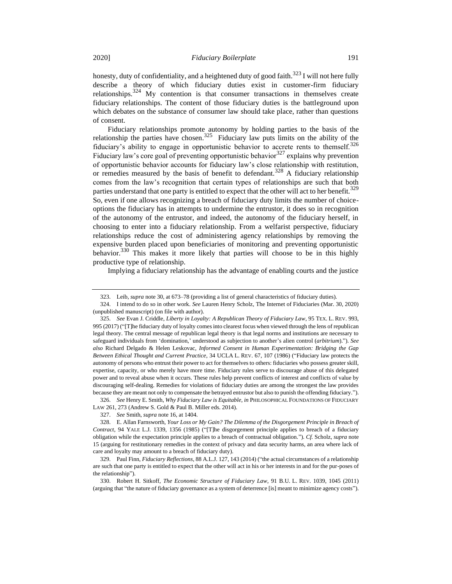honesty, duty of confidentiality, and a heightened duty of good faith.<sup>323</sup> I will not here fully describe a theory of which fiduciary duties exist in customer-firm fiduciary relationships.<sup>324</sup> My contention is that consumer transactions in themselves create fiduciary relationships. The content of those fiduciary duties is the battleground upon which debates on the substance of consumer law should take place, rather than questions of consent.

Fiduciary relationships promote autonomy by holding parties to the basis of the relationship the parties have chosen.<sup>325</sup> Fiduciary law puts limits on the ability of the fiduciary's ability to engage in opportunistic behavior to accrete rents to themself.<sup>326</sup> Fiduciary law's core goal of preventing opportunistic behavior<sup>327</sup> explains why prevention of opportunistic behavior accounts for fiduciary law's close relationship with restitution, or remedies measured by the basis of benefit to defendant.<sup>328</sup> A fiduciary relationship comes from the law's recognition that certain types of relationships are such that both parties understand that one party is entitled to expect that the other will act to her benefit.<sup>329</sup> So, even if one allows recognizing a breach of fiduciary duty limits the number of choiceoptions the fiduciary has in attempts to undermine the entrustor, it does so in recognition of the autonomy of the entrustor, and indeed, the autonomy of the fiduciary herself, in choosing to enter into a fiduciary relationship. From a welfarist perspective, fiduciary relationships reduce the cost of administering agency relationships by removing the expensive burden placed upon beneficiaries of monitoring and preventing opportunistic behavior.<sup>330</sup> This makes it more likely that parties will choose to be in this highly productive type of relationship.

Implying a fiduciary relationship has the advantage of enabling courts and the justice

326. *See* Henry E. Smith, *Why Fiduciary Law is Equitable*, *in* PHILOSOPHICAL FOUNDATIONS OF FIDUCIARY LAW 261, 273 (Andrew S. Gold & Paul B. Miller eds. 2014).

<sup>323.</sup> Leib, *supra* not[e 30,](#page-5-1) at 673–78 (providing a list of general characteristics of fiduciary duties).

<sup>324.</sup> I intend to do so in other work. *See* Lauren Henry Scholz, The Internet of Fiduciaries (Mar. 30, 2020) (unpublished manuscript) (on file with author).

<sup>325.</sup> *See* Evan J. Criddle, *Liberty in Loyalty: A Republican Theory of Fiduciary Law*, 95 TEX. L. REV. 993, 995 (2017) ("[T]he fiduciary duty of loyalty comes into clearest focus when viewed through the lens of republican legal theory. The central message of republican legal theory is that legal norms and institutions are necessary to safeguard individuals from 'domination,' understood as subjection to another's alien control (*arbitrium*)."). *See also* Richard Delgado & Helen Leskovac, *Informed Consent in Human Experimentation: Bridging the Gap Between Ethical Thought and Current Practice*, 34 UCLA L. REV. 67, 107 (1986) ("Fiduciary law protects the autonomy of persons who entrust their power to act for themselves to others: fiduciaries who possess greater skill, expertise, capacity, or who merely have more time. Fiduciary rules serve to discourage abuse of this delegated power and to reveal abuse when it occurs. These rules help prevent conflicts of interest and conflicts of value by discouraging self-dealing. Remedies for violations of fiduciary duties are among the strongest the law provides because they are meant not only to compensate the betrayed entrustor but also to punish the offending fiduciary.").

<sup>327.</sup> *See* Smith, *supra* not[e 16,](#page-3-0) at 1404.

<sup>328.</sup> E. Allan Farnsworth, *Your Loss or My Gain? The Dilemma of the Disgorgement Principle in Breach of Contract*, 94 YALE L.J. 1339, 1356 (1985) ("[T]he disgorgement principle applies to breach of a fiduciary obligation while the expectation principle applies to a breach of contractual obligation."). *Cf.* Scholz, *supra* note [15](#page-3-1) (arguing for restitutionary remedies in the context of privacy and data security harms, an area where lack of care and loyalty may amount to a breach of fiduciary duty).

<sup>329.</sup> Paul Finn, *Fiduciary Reflections*, 88 A.L.J. 127, 143 (2014) ("the actual circumstances of a relationship are such that one party is entitled to expect that the other will act in his or her interests in and for the pur-poses of the relationship").

<sup>330.</sup> Robert H. Sitkoff, *The Economic Structure of Fiduciary Law*, 91 B.U. L. REV. 1039, 1045 (2011) (arguing that "the nature of fiduciary governance as a system of deterrence [is] meant to minimize agency costs").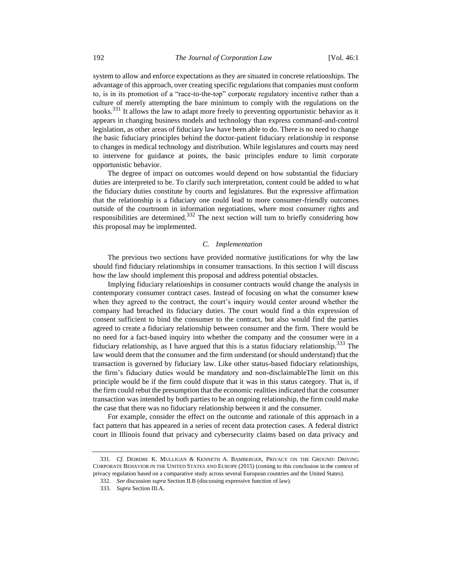system to allow and enforce expectations as they are situated in concrete relationships. The advantage of this approach, over creating specific regulations that companies must conform to, is in its promotion of a "race-to-the-top" corporate regulatory incentive rather than a culture of merely attempting the bare minimum to comply with the regulations on the books.<sup>331</sup> It allows the law to adapt more freely to preventing opportunistic behavior as it appears in changing business models and technology than express command-and-control legislation, as other areas of fiduciary law have been able to do. There is no need to change the basic fiduciary principles behind the doctor-patient fiduciary relationship in response to changes in medical technology and distribution. While legislatures and courts may need to intervene for guidance at points, the basic principles endure to limit corporate opportunistic behavior.

The degree of impact on outcomes would depend on how substantial the fiduciary duties are interpreted to be. To clarify such interpretation, content could be added to what the fiduciary duties constitute by courts and legislatures. But the expressive affirmation that the relationship is a fiduciary one could lead to more consumer-friendly outcomes outside of the courtroom in information negotiations, where most consumer rights and responsibilities are determined.<sup>332</sup> The next section will turn to briefly considering how this proposal may be implemented.

# *C. Implementation*

The previous two sections have provided normative justifications for why the law should find fiduciary relationships in consumer transactions. In this section I will discuss how the law should implement this proposal and address potential obstacles.

Implying fiduciary relationships in consumer contracts would change the analysis in contemporary consumer contract cases. Instead of focusing on what the consumer knew when they agreed to the contract, the court's inquiry would center around whether the company had breached its fiduciary duties. The court would find a thin expression of consent sufficient to bind the consumer to the contract, but also would find the parties agreed to create a fiduciary relationship between consumer and the firm. There would be no need for a fact-based inquiry into whether the company and the consumer were in a fiduciary relationship, as I have argued that this is a status fiduciary relationship.<sup>333</sup> The law would deem that the consumer and the firm understand (or should understand) that the transaction is governed by fiduciary law. Like other status-based fiduciary relationships, the firm's fiduciary duties would be mandatory and non-disclaimableThe limit on this principle would be if the firm could dispute that it was in this status category. That is, if the firm could rebut the presumption that the economic realities indicated that the consumer transaction was intended by both parties to be an ongoing relationship, the firm could make the case that there was no fiduciary relationship between it and the consumer.

For example, consider the effect on the outcome and rationale of this approach in a fact pattern that has appeared in a series of recent data protection cases. A federal district court in Illinois found that privacy and cybersecurity claims based on data privacy and

<sup>331.</sup> *Cf.* DEIRDRE K. MULLIGAN & KENNETH A. BAMBERGER, PRIVACY ON THE GROUND: DRIVING CORPORATE BEHAVIOR IN THE UNITED STATES AND EUROPE (2015) (coming to this conclusion in the context of privacy regulation based on a comparative study across several European countries and the United States).

<sup>332.</sup> *See* discussion *supra* Section II.B (discussing expressive function of law).

<sup>333.</sup> *Supra* Section III.A.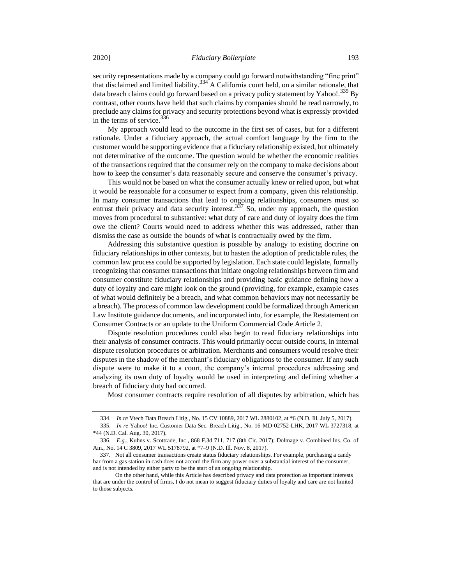security representations made by a company could go forward notwithstanding "fine print" that disclaimed and limited liability.<sup>334</sup> A California court held, on a similar rationale, that data breach claims could go forward based on a privacy policy statement by Yahoo!.<sup>335</sup> By contrast, other courts have held that such claims by companies should be read narrowly, to preclude any claims for privacy and security protections beyond what is expressly provided in the terms of service. $336$ 

My approach would lead to the outcome in the first set of cases, but for a different rationale. Under a fiduciary approach, the actual comfort language by the firm to the customer would be supporting evidence that a fiduciary relationship existed, but ultimately not determinative of the outcome. The question would be whether the economic realities of the transactions required that the consumer rely on the company to make decisions about how to keep the consumer's data reasonably secure and conserve the consumer's privacy.

This would not be based on what the consumer actually knew or relied upon, but what it would be reasonable for a consumer to expect from a company, given this relationship. In many consumer transactions that lead to ongoing relationships, consumers must so entrust their privacy and data security interest.<sup>337</sup> So, under my approach, the question moves from procedural to substantive: what duty of care and duty of loyalty does the firm owe the client? Courts would need to address whether this was addressed, rather than dismiss the case as outside the bounds of what is contractually owed by the firm.

Addressing this substantive question is possible by analogy to existing doctrine on fiduciary relationships in other contexts, but to hasten the adoption of predictable rules, the common law process could be supported by legislation. Each state could legislate, formally recognizing that consumer transactions that initiate ongoing relationships between firm and consumer constitute fiduciary relationships and providing basic guidance defining how a duty of loyalty and care might look on the ground (providing, for example, example cases of what would definitely be a breach, and what common behaviors may not necessarily be a breach). The process of common law development could be formalized through American Law Institute guidance documents, and incorporated into, for example, the Restatement on Consumer Contracts or an update to the Uniform Commercial Code Article 2.

Dispute resolution procedures could also begin to read fiduciary relationships into their analysis of consumer contracts. This would primarily occur outside courts, in internal dispute resolution procedures or arbitration. Merchants and consumers would resolve their disputes in the shadow of the merchant's fiduciary obligations to the consumer. If any such dispute were to make it to a court, the company's internal procedures addressing and analyzing its own duty of loyalty would be used in interpreting and defining whether a breach of fiduciary duty had occurred.

Most consumer contracts require resolution of all disputes by arbitration, which has

<sup>334.</sup> *In re* Vtech Data Breach Litig., No. 15 CV 10889, 2017 WL 2880102, at \*6 (N.D. Ill. July 5, 2017).

<sup>335.</sup> *In re* Yahoo! Inc. Customer Data Sec. Breach Litig., No. 16-MD-02752-LHK, 2017 WL 3727318, at \*44 (N.D. Cal. Aug. 30, 2017).

<sup>336.</sup> *E.g.*, Kuhns v. Scottrade, Inc., 868 F.3d 711, 717 (8th Cir. 2017); Dolmage v. Combined Ins. Co. of Am., No. 14 C 3809, 2017 WL 5178792, at \*7–9 (N.D. Ill. Nov. 8, 2017).

<sup>337.</sup> Not all consumer transactions create status fiduciary relationships. For example, purchasing a candy bar from a gas station in cash does not accord the firm any power over a substantial interest of the consumer, and is not intended by either party to be the start of an ongoing relationship.

On the other hand, while this Article has described privacy and data protection as important interests that are under the control of firms, I do not mean to suggest fiduciary duties of loyalty and care are not limited to those subjects.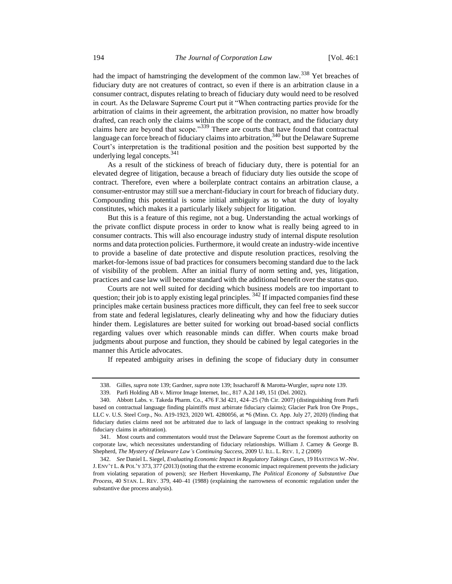had the impact of hamstringing the development of the common law.<sup>338</sup> Yet breaches of fiduciary duty are not creatures of contract, so even if there is an arbitration clause in a consumer contract, disputes relating to breach of fiduciary duty would need to be resolved in court. As the Delaware Supreme Court put it "When contracting parties provide for the arbitration of claims in their agreement, the arbitration provision, no matter how broadly drafted, can reach only the claims within the scope of the contract, and the fiduciary duty claims here are beyond that scope."<sup>339</sup> There are courts that have found that contractual language can force breach of fiduciary claims into arbitration,<sup>340</sup> but the Delaware Supreme Court's interpretation is the traditional position and the position best supported by the underlying legal concepts.<sup>341</sup>

As a result of the stickiness of breach of fiduciary duty, there is potential for an elevated degree of litigation, because a breach of fiduciary duty lies outside the scope of contract. Therefore, even where a boilerplate contract contains an arbitration clause, a consumer-entrustor may still sue a merchant-fiduciary in court for breach of fiduciary duty. Compounding this potential is some initial ambiguity as to what the duty of loyalty constitutes, which makes it a particularly likely subject for litigation.

But this is a feature of this regime, not a bug. Understanding the actual workings of the private conflict dispute process in order to know what is really being agreed to in consumer contracts. This will also encourage industry study of internal dispute resolution norms and data protection policies. Furthermore, it would create an industry-wide incentive to provide a baseline of date protective and dispute resolution practices, resolving the market-for-lemons issue of bad practices for consumers becoming standard due to the lack of visibility of the problem. After an initial flurry of norm setting and, yes, litigation, practices and case law will become standard with the additional benefit over the status quo.

Courts are not well suited for deciding which business models are too important to question; their job is to apply existing legal principles.  $342$  If impacted companies find these principles make certain business practices more difficult, they can feel free to seek succor from state and federal legislatures, clearly delineating why and how the fiduciary duties hinder them. Legislatures are better suited for working out broad-based social conflicts regarding values over which reasonable minds can differ. When courts make broad judgments about purpose and function, they should be cabined by legal categories in the manner this Article advocates.

If repeated ambiguity arises in defining the scope of fiduciary duty in consumer

341. Most courts and commentators would trust the Delaware Supreme Court as the foremost authority on corporate law, which necessitates understanding of fiduciary relationships. William J. Carney & George B. Shepherd, *The Mystery of Delaware Law's Continuing Success*, 2009 U. ILL. L. REV. 1, 2 (2009)

<sup>338.</sup> Gilles, *supra* not[e 139;](#page-20-0) Gardner, *supra* not[e 139;](#page-20-0) Issacharoff & Marotta-Wurgler, *supra* not[e 139.](#page-20-0)

<sup>339.</sup> Parfi Holding AB v. Mirror Image Internet, Inc., 817 A.2d 149, 151 (Del. 2002).

<sup>340.</sup> Abbott Labs. v. Takeda Pharm. Co., 476 F.3d 421, 424–25 (7th Cir. 2007) (distinguishing from Parfi based on contractual language finding plaintiffs must arbirrate fiduciary claims); Glacier Park Iron Ore Props., LLC v. U.S. Steel Corp., No. A19-1923, 2020 WL 4280056, at \*6 (Minn. Ct. App. July 27, 2020) (finding that fiduciary duties claims need not be arbitrated due to lack of language in the contract speaking to resolving fiduciary claims in arbitration).

<sup>342.</sup> *See* Daniel L. Siegel, *Evaluating Economic Impact in Regulatory Takings Cases*, 19 HASTINGS W.-NW. J. ENV'T L. &POL'Y 373, 377 (2013) (noting that the extreme economic impact requirement prevents the judiciary from violating separation of powers); *see* Herbert Hovenkamp, *The Political Economy of Substantive Due Process*, 40 STAN. L. REV. 379, 440–41 (1988) (explaining the narrowness of economic regulation under the substantive due process analysis).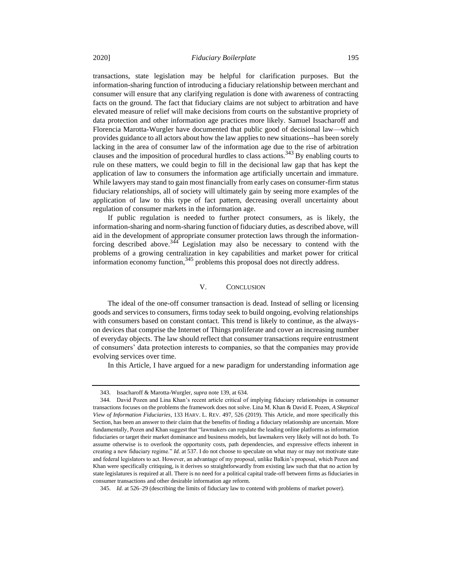transactions, state legislation may be helpful for clarification purposes. But the information-sharing function of introducing a fiduciary relationship between merchant and consumer will ensure that any clarifying regulation is done with awareness of contracting facts on the ground. The fact that fiduciary claims are not subject to arbitration and have elevated measure of relief will make decisions from courts on the substantive propriety of data protection and other information age practices more likely. Samuel Issacharoff and Florencia Marotta-Wurgler have documented that public good of decisional law—which provides guidance to all actors about how the law applies to new situations--has been sorely lacking in the area of consumer law of the information age due to the rise of arbitration clauses and the imposition of procedural hurdles to class actions.<sup>343</sup> By enabling courts to rule on these matters, we could begin to fill in the decisional law gap that has kept the application of law to consumers the information age artificially uncertain and immature. While lawyers may stand to gain most financially from early cases on consumer-firm status fiduciary relationships, all of society will ultimately gain by seeing more examples of the application of law to this type of fact pattern, decreasing overall uncertainty about regulation of consumer markets in the information age.

If public regulation is needed to further protect consumers, as is likely, the information-sharing and norm-sharing function of fiduciary duties, as described above, will aid in the development of appropriate consumer protection laws through the informationforcing described above. <sup>344</sup> Legislation may also be necessary to contend with the problems of a growing centralization in key capabilities and market power for critical information economy function,<sup>345</sup> problems this proposal does not directly address.

# V. CONCLUSION

The ideal of the one-off consumer transaction is dead. Instead of selling or licensing goods and services to consumers, firms today seek to build ongoing, evolving relationships with consumers based on constant contact. This trend is likely to continue, as the alwayson devices that comprise the Internet of Things proliferate and cover an increasing number of everyday objects. The law should reflect that consumer transactions require entrustment of consumers' data protection interests to companies, so that the companies may provide evolving services over time.

In this Article, I have argued for a new paradigm for understanding information age

<sup>343.</sup> Issacharoff & Marotta-Wurgler, *supra* not[e 139,](#page-20-0) at 634.

<sup>344.</sup> David Pozen and Lina Khan's recent article critical of implying fiduciary relationships in consumer transactions focuses on the problems the framework does not solve. Lina M. Khan & David E. Pozen, *A Skeptical View of Information Fiduciaries*, 133 HARV. L. REV. 497, 526 (2019). This Article, and more specifically this Section, has been an answer to their claim that the benefits of finding a fiduciary relationship are uncertain. More fundamentally, Pozen and Khan suggest that "lawmakers can regulate the leading online platforms as information fiduciaries or target their market dominance and business models, but lawmakers very likely will not do both. To assume otherwise is to overlook the opportunity costs, path dependencies, and expressive effects inherent in creating a new fiduciary regime." *Id.* at 537. I do not choose to speculate on what may or may not motivate state and federal legislators to act. However, an advantage of my proposal, unlike Balkin's proposal, which Pozen and Khan were specifically critiquing, is it derives so straightforwardly from existing law such that that no action by state legislatures is required at all. There is no need for a political capital trade-off between firms as fiduciaries in consumer transactions and other desirable information age reform.

<sup>345.</sup> *Id.* at 526–29 (describing the limits of fiduciary law to contend with problems of market power).